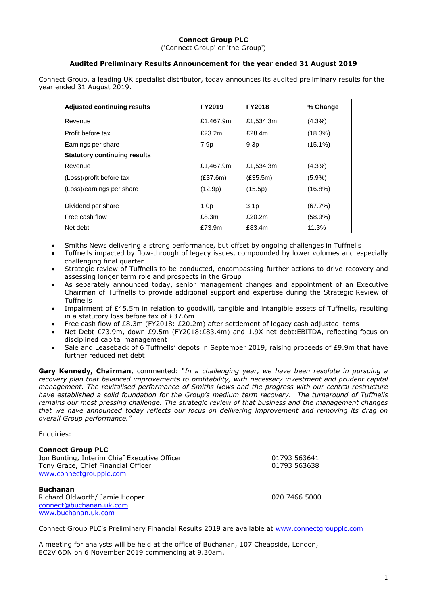# **Connect Group PLC**

('Connect Group' or 'the Group')

# **Audited Preliminary Results Announcement for the year ended 31 August 2019**

Connect Group, a leading UK specialist distributor, today announces its audited preliminary results for the year ended 31 August 2019.

| <b>Adjusted continuing results</b>  | FY2019           | <b>FY2018</b>    | % Change   |
|-------------------------------------|------------------|------------------|------------|
| Revenue                             | £1,467.9m        | £1,534.3m        | $(4.3\%)$  |
| Profit before tax                   | £23.2m           | £28.4m           | (18.3%)    |
| Earnings per share                  | 7.9p             | 9.3 <sub>p</sub> | $(15.1\%)$ |
| <b>Statutory continuing results</b> |                  |                  |            |
| Revenue                             | £1,467.9m        | £1.534.3m        | $(4.3\%)$  |
| (Loss)/profit before tax            | (E37.6m)         | (E35.5m)         | $(5.9\%)$  |
| (Loss)/earnings per share           | (12.9p)          | (15.5p)          | $(16.8\%)$ |
| Dividend per share                  | 1.0 <sub>p</sub> | 3.1 <sub>p</sub> | (67.7%)    |
| Free cash flow                      | £8.3m            | £20.2m           | $(58.9\%)$ |
| Net debt                            | £73.9m           | £83.4m           | 11.3%      |

- Smiths News delivering a strong performance, but offset by ongoing challenges in Tuffnells
- Tuffnells impacted by flow-through of legacy issues, compounded by lower volumes and especially challenging final quarter
- Strategic review of Tuffnells to be conducted, encompassing further actions to drive recovery and assessing longer term role and prospects in the Group
- As separately announced today, senior management changes and appointment of an Executive Chairman of Tuffnells to provide additional support and expertise during the Strategic Review of **Tuffnells**
- Impairment of £45.5m in relation to goodwill, tangible and intangible assets of Tuffnells, resulting in a statutory loss before tax of £37.6m
- Free cash flow of £8.3m (FY2018: £20.2m) after settlement of legacy cash adjusted items
- Net Debt £73.9m, down £9.5m (FY2018:£83.4m) and 1.9X net debt:EBITDA, reflecting focus on disciplined capital management
- Sale and Leaseback of 6 Tuffnells' depots in September 2019, raising proceeds of £9.9m that have further reduced net debt.

**Gary Kennedy, Chairman**, commented: "*In a challenging year, we have been resolute in pursuing a recovery plan that balanced improvements to profitability, with necessary investment and prudent capital management. The revitalised performance of Smiths News and the progress with our central restructure have established a solid foundation for the Group's medium term recovery. The turnaround of Tuffnells remains our most pressing challenge. The strategic review of that business and the management changes that we have announced today reflects our focus on delivering improvement and removing its drag on overall Group performance."*

Enquiries:

| <b>Connect Group PLC</b>                     |               |
|----------------------------------------------|---------------|
| Jon Bunting, Interim Chief Executive Officer | 01793 563641  |
| Tony Grace, Chief Financial Officer          | 01793 563638  |
| www.connectgroupplc.com                      |               |
| <b>Buchanan</b>                              |               |
| Richard Oldworth/ Jamie Hooper               | 020 7466 5000 |
| connect@buchanan.uk.com                      |               |
| www.buchanan.uk.com                          |               |

Connect Group PLC's Preliminary Financial Results 2019 are available at [www.connectgroupplc.com](http://www.connectgroupplc.com/)

A meeting for analysts will be held at the office of Buchanan, 107 Cheapside, London, EC2V 6DN on 6 November 2019 commencing at 9.30am.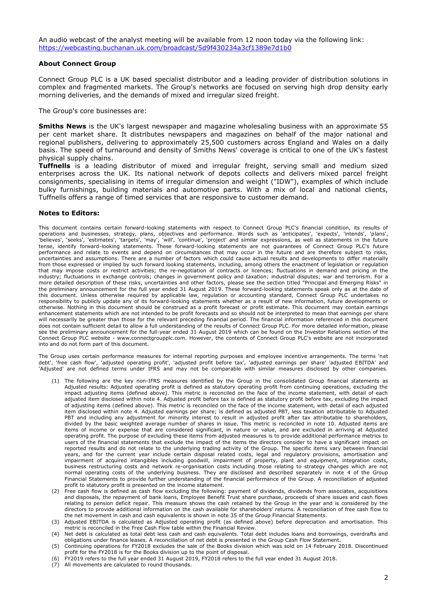### **About Connect Group**

Connect Group PLC is a UK based specialist distributor and a leading provider of distribution solutions in complex and fragmented markets. The Group's networks are focused on serving high drop density early morning deliveries, and the demands of mixed and irregular sized freight.

The Group's core businesses are:

**Smiths News** is the UK's largest newspaper and magazine wholesaling business with an approximate 55 per cent market share. It distributes newspapers and magazines on behalf of the major national and regional publishers, delivering to approximately 25,500 customers across England and Wales on a daily basis. The speed of turnaround and density of Smiths News' coverage is critical to one of the UK's fastest physical supply chains.

**Tuffnells** is a leading distributor of mixed and irregular freight, serving small and medium sized enterprises across the UK. Its national network of depots collects and delivers mixed parcel freight consignments, specialising in items of irregular dimension and weight ("IDW"), examples of which include bulky furnishings, building materials and automotive parts. With a mix of local and national clients, Tuffnells offers a range of timed services that are responsive to customer demand.

### **Notes to Editors:**

This document contains certain forward-looking statements with respect to Connect Group PLC's financial condition, its results of operations and businesses, strategy, plans, objectives and performance. Words such as 'anticipates', 'expects', 'intends', 'plans', 'believes', 'seeks', 'estimates', 'targets', 'may', 'will', 'continue', 'project' and similar expressions, as well as statements in the future tense, identify forward-looking statements. These forward-looking statements are not guarantees of Connect Group PLC's future performance and relate to events and depend on circumstances that may occur in the future and are therefore subject to risks, uncertainties and assumptions. There are a number of factors which could cause actual results and developments to differ materially from those expressed or implied by such forward looking statements, including, among others the enactment of legislation or regulation that may impose costs or restrict activities; the re-negotiation of contracts or licences; fluctuations in demand and pricing in the industry; fluctuations in exchange controls; changes in government policy and taxation; industrial disputes; war and terrorism. For a more detailed description of these risks, uncertainties and other factors, please see the section titled "Principal and Emerging Risks" in the preliminary announcement for the full year ended 31 August 2019. These forward-looking statements speak only as at the date of this document. Unless otherwise required by applicable law, regulation or accounting standard, Connect Group PLC undertakes no responsibility to publicly update any of its forward-looking statements whether as a result of new information, future developments or otherwise. Nothing in this document should be construed as a profit forecast or profit estimate. This document may contain earnings enhancement statements which are not intended to be profit forecasts and so should not be interpreted to mean that earnings per share will necessarily be greater than those for the relevant preceding financial period. The financial information referenced in this document does not contain sufficient detail to allow a full understanding of the results of Connect Group PLC. For more detailed information, please see the preliminary announcement for the full-year ended 31 August 2019 which can be found on the Investor Relations section of the Connect Group PLC website - www.connectgroupplc.com. However, the contents of Connect Group PLC's website are not incorporated into and do not form part of this document.

The Group uses certain performance measures for internal reporting purposes and employee incentive arrangements. The terms 'net debt', 'free cash flow', 'adjusted operating profit', 'adjusted profit before tax', 'adjusted earnings per share' 'adjusted EBITDA' and 'Adjusted' are not defined terms under IFRS and may not be comparable with similar measures disclosed by other companies.

- (1) The following are the key non-IFRS measures identified by the Group in the consolidated Group financial statements as Adjusted results: Adjusted operating profit is defined as statutory operating profit from continuing operations, excluding the impact adjusting items (defined above). This metric is reconciled on the face of the income statement, with detail of each adjusted item disclosed within note 4. Adjusted profit before tax is defined as statutory profit before tax, excluding the impact of adjusting items (defined above). This metric is reconciled on the face of the income statement, with detail of each adjusted item disclosed within note 4. Adjusted earnings per share; is defined as adjusted PBT, less taxation attributable to Adjusted PBT and including any adjustment for minority interest to result in adjusted profit after tax attributable to shareholders, divided by the basic weighted average number of shares in issue. This metric is reconciled in note 10. Adjusted items are items of income or expense that are considered significant, in nature or value, and are excluded in arriving at Adjusted operating profit. The purpose of excluding these items from adjusted measures is to provide additional performance metrics to users of the financial statements that exclude the impact of the items the directors consider to have a significant impact on reported results and do not relate to the underlying trading activity of the Group. The specific items vary between financial years, and for the current year include certain disposal related costs, legal and regulatory provisions, amortisation and impairment of acquired intangibles including goodwill, impairment of property, plant and equipment, integration costs, business restructuring costs and network re-organisation costs including those relating to strategy changes which are not normal operating costs of the underlying business. They are disclosed and described separately in note 4 of the Group Financial Statements to provide further understanding of the financial performance of the Group. A reconciliation of adjusted profit to statutory profit is presented on the income statement.
- (2) Free cash flow is defined as cash flow excluding the following: payment of dividends, dividends from associates, acquisitions and disposals, the repayment of bank loans, Employee Benefit Trust share purchase, proceeds of share issues and cash flows relating to pension deficit repair. This measure shows the cash retained by the Group in the year and is considered by the directors to provide additional information on the cash available for shareholders' returns. A reconciliation of free cash flow to the net movement in cash and cash equivalents is shown in note 35 of the Group Financial Statements.
- (3) Adjusted EBITDA is calculated as Adjusted operating profit (as defined above) before depreciation and amortisation. This metric is reconciled in the Free Cash Flow table within the Financial Review.
- (4) Net debt is calculated as total debt less cash and cash equivalents. Total debt includes loans and borrowings, overdrafts and obligations under finance leases. A reconciliation of net debt is presented in the Group Cash Flow Statement.
- (5) Continuing operations for FY2018 excludes the sale of the Books division which was sold on 14 February 2018. Discontinued profit for the FY2018 is for the Books division up to the point of disposal.
- (6) FY2019 refers to the full year ended 31 August 2019, FY2018 refers to the full year ended 31 August 2018.
- (7) All movements are calculated to round thousands.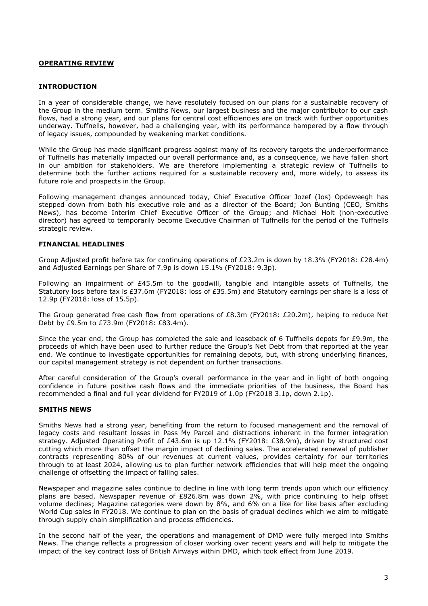# **OPERATING REVIEW**

## **INTRODUCTION**

In a year of considerable change, we have resolutely focused on our plans for a sustainable recovery of the Group in the medium term. Smiths News, our largest business and the major contributor to our cash flows, had a strong year, and our plans for central cost efficiencies are on track with further opportunities underway. Tuffnells, however, had a challenging year, with its performance hampered by a flow through of legacy issues, compounded by weakening market conditions.

While the Group has made significant progress against many of its recovery targets the underperformance of Tuffnells has materially impacted our overall performance and, as a consequence, we have fallen short in our ambition for stakeholders. We are therefore implementing a strategic review of Tuffnells to determine both the further actions required for a sustainable recovery and, more widely, to assess its future role and prospects in the Group.

Following management changes announced today, Chief Executive Officer Jozef (Jos) Opdeweegh has stepped down from both his executive role and as a director of the Board; Jon Bunting (CEO, Smiths News), has become Interim Chief Executive Officer of the Group; and Michael Holt (non-executive director) has agreed to temporarily become Executive Chairman of Tuffnells for the period of the Tuffnells strategic review.

## **FINANCIAL HEADLINES**

Group Adjusted profit before tax for continuing operations of £23.2m is down by 18.3% (FY2018: £28.4m) and Adjusted Earnings per Share of 7.9p is down 15.1% (FY2018: 9.3p).

Following an impairment of £45.5m to the goodwill, tangible and intangible assets of Tuffnells, the Statutory loss before tax is £37.6m (FY2018: loss of £35.5m) and Statutory earnings per share is a loss of 12.9p (FY2018: loss of 15.5p).

The Group generated free cash flow from operations of £8.3m (FY2018: £20.2m), helping to reduce Net Debt by £9.5m to £73.9m (FY2018: £83.4m).

Since the year end, the Group has completed the sale and leaseback of 6 Tuffnells depots for £9.9m, the proceeds of which have been used to further reduce the Group's Net Debt from that reported at the year end. We continue to investigate opportunities for remaining depots, but, with strong underlying finances, our capital management strategy is not dependent on further transactions.

After careful consideration of the Group's overall performance in the year and in light of both ongoing confidence in future positive cash flows and the immediate priorities of the business, the Board has recommended a final and full year dividend for FY2019 of 1.0p (FY2018 3.1p, down 2.1p).

### **SMITHS NEWS**

Smiths News had a strong year, benefiting from the return to focused management and the removal of legacy costs and resultant losses in Pass My Parcel and distractions inherent in the former integration strategy. Adjusted Operating Profit of £43.6m is up 12.1% (FY2018: £38.9m), driven by structured cost cutting which more than offset the margin impact of declining sales. The accelerated renewal of publisher contracts representing 80% of our revenues at current values, provides certainty for our territories through to at least 2024, allowing us to plan further network efficiencies that will help meet the ongoing challenge of offsetting the impact of falling sales.

Newspaper and magazine sales continue to decline in line with long term trends upon which our efficiency plans are based. Newspaper revenue of £826.8m was down 2%, with price continuing to help offset volume declines; Magazine categories were down by 8%, and 6% on a like for like basis after excluding World Cup sales in FY2018. We continue to plan on the basis of gradual declines which we aim to mitigate through supply chain simplification and process efficiencies.

In the second half of the year, the operations and management of DMD were fully merged into Smiths News. The change reflects a progression of closer working over recent years and will help to mitigate the impact of the key contract loss of British Airways within DMD, which took effect from June 2019.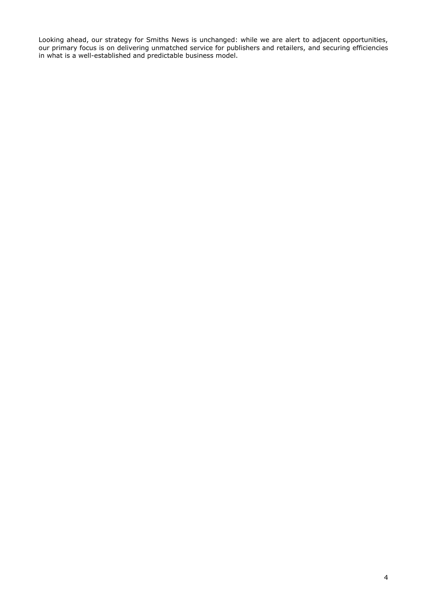Looking ahead, our strategy for Smiths News is unchanged: while we are alert to adjacent opportunities, our primary focus is on delivering unmatched service for publishers and retailers, and securing efficiencies in what is a well-established and predictable business model.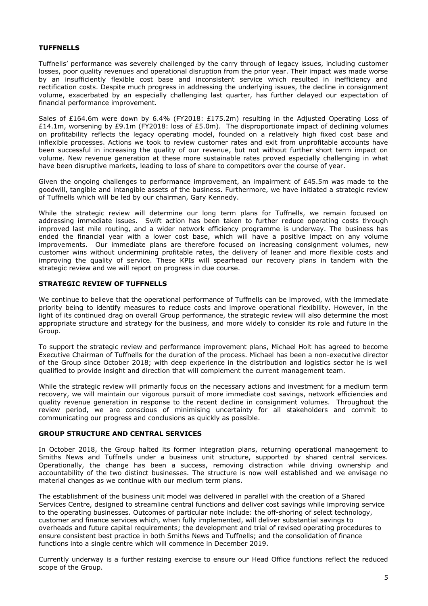# **TUFFNELLS**

Tuffnells' performance was severely challenged by the carry through of legacy issues, including customer losses, poor quality revenues and operational disruption from the prior year. Their impact was made worse by an insufficiently flexible cost base and inconsistent service which resulted in inefficiency and rectification costs. Despite much progress in addressing the underlying issues, the decline in consignment volume, exacerbated by an especially challenging last quarter, has further delayed our expectation of financial performance improvement.

Sales of £164.6m were down by 6.4% (FY2018: £175.2m) resulting in the Adjusted Operating Loss of £14.1m, worsening by £9.1m (FY2018: loss of £5.0m). The disproportionate impact of declining volumes on profitability reflects the legacy operating model, founded on a relatively high fixed cost base and inflexible processes. Actions we took to review customer rates and exit from unprofitable accounts have been successful in increasing the quality of our revenue, but not without further short term impact on volume. New revenue generation at these more sustainable rates proved especially challenging in what have been disruptive markets, leading to loss of share to competitors over the course of year.

Given the ongoing challenges to performance improvement, an impairment of  $E45.5m$  was made to the goodwill, tangible and intangible assets of the business. Furthermore, we have initiated a strategic review of Tuffnells which will be led by our chairman, Gary Kennedy.

While the strategic review will determine our long term plans for Tuffnells, we remain focused on addressing immediate issues. Swift action has been taken to further reduce operating costs through improved last mile routing, and a wider network efficiency programme is underway. The business has ended the financial year with a lower cost base, which will have a positive impact on any volume improvements. Our immediate plans are therefore focused on increasing consignment volumes, new customer wins without undermining profitable rates, the delivery of leaner and more flexible costs and improving the quality of service. These KPIs will spearhead our recovery plans in tandem with the strategic review and we will report on progress in due course.

## **STRATEGIC REVIEW OF TUFFNELLS**

We continue to believe that the operational performance of Tuffnells can be improved, with the immediate priority being to identify measures to reduce costs and improve operational flexibility. However, in the light of its continued drag on overall Group performance, the strategic review will also determine the most appropriate structure and strategy for the business, and more widely to consider its role and future in the Group.

To support the strategic review and performance improvement plans, Michael Holt has agreed to become Executive Chairman of Tuffnells for the duration of the process. Michael has been a non-executive director of the Group since October 2018; with deep experience in the distribution and logistics sector he is well qualified to provide insight and direction that will complement the current management team.

While the strategic review will primarily focus on the necessary actions and investment for a medium term recovery, we will maintain our vigorous pursuit of more immediate cost savings, network efficiencies and quality revenue generation in response to the recent decline in consignment volumes. Throughout the review period, we are conscious of minimising uncertainty for all stakeholders and commit to communicating our progress and conclusions as quickly as possible.

# **GROUP STRUCTURE AND CENTRAL SERVICES**

In October 2018, the Group halted its former integration plans, returning operational management to Smiths News and Tuffnells under a business unit structure, supported by shared central services. Operationally, the change has been a success, removing distraction while driving ownership and accountability of the two distinct businesses. The structure is now well established and we envisage no material changes as we continue with our medium term plans.

The establishment of the business unit model was delivered in parallel with the creation of a Shared Services Centre, designed to streamline central functions and deliver cost savings while improving service to the operating businesses. Outcomes of particular note include: the off-shoring of select technology, customer and finance services which, when fully implemented, will deliver substantial savings to overheads and future capital requirements; the development and trial of revised operating procedures to ensure consistent best practice in both Smiths News and Tuffnells; and the consolidation of finance functions into a single centre which will commence in December 2019.

Currently underway is a further resizing exercise to ensure our Head Office functions reflect the reduced scope of the Group.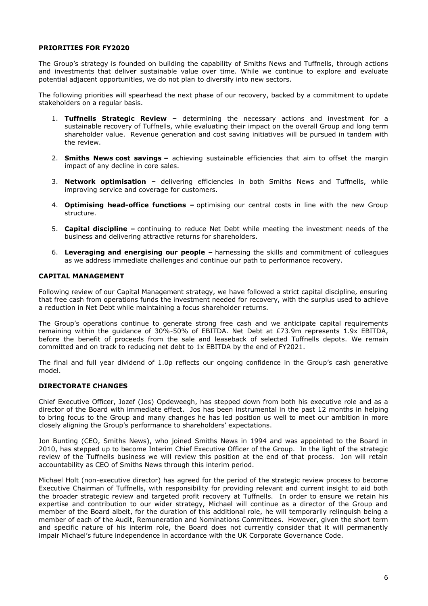# **PRIORITIES FOR FY2020**

The Group's strategy is founded on building the capability of Smiths News and Tuffnells, through actions and investments that deliver sustainable value over time. While we continue to explore and evaluate potential adjacent opportunities, we do not plan to diversify into new sectors.

The following priorities will spearhead the next phase of our recovery, backed by a commitment to update stakeholders on a regular basis.

- 1. **Tuffnells Strategic Review –** determining the necessary actions and investment for a sustainable recovery of Tuffnells, while evaluating their impact on the overall Group and long term shareholder value. Revenue generation and cost saving initiatives will be pursued in tandem with the review.
- 2. **Smiths News cost savings –** achieving sustainable efficiencies that aim to offset the margin impact of any decline in core sales.
- 3. **Network optimisation –** delivering efficiencies in both Smiths News and Tuffnells, while improving service and coverage for customers.
- 4. **Optimising head-office functions –** optimising our central costs in line with the new Group structure.
- 5. **Capital discipline –** continuing to reduce Net Debt while meeting the investment needs of the business and delivering attractive returns for shareholders.
- 6. **Leveraging and energising our people –** harnessing the skills and commitment of colleagues as we address immediate challenges and continue our path to performance recovery.

# **CAPITAL MANAGEMENT**

Following review of our Capital Management strategy, we have followed a strict capital discipline, ensuring that free cash from operations funds the investment needed for recovery, with the surplus used to achieve a reduction in Net Debt while maintaining a focus shareholder returns.

The Group's operations continue to generate strong free cash and we anticipate capital requirements remaining within the guidance of 30%-50% of EBITDA. Net Debt at £73.9m represents 1.9x EBITDA, before the benefit of proceeds from the sale and leaseback of selected Tuffnells depots. We remain committed and on track to reducing net debt to 1x EBITDA by the end of FY2021.

The final and full year dividend of 1.0p reflects our ongoing confidence in the Group's cash generative model.

# **DIRECTORATE CHANGES**

Chief Executive Officer, Jozef (Jos) Opdeweegh, has stepped down from both his executive role and as a director of the Board with immediate effect. Jos has been instrumental in the past 12 months in helping to bring focus to the Group and many changes he has led position us well to meet our ambition in more closely aligning the Group's performance to shareholders' expectations.

Jon Bunting (CEO, Smiths News), who joined Smiths News in 1994 and was appointed to the Board in 2010, has stepped up to become Interim Chief Executive Officer of the Group. In the light of the strategic review of the Tuffnells business we will review this position at the end of that process. Jon will retain accountability as CEO of Smiths News through this interim period.

Michael Holt (non-executive director) has agreed for the period of the strategic review process to become Executive Chairman of Tuffnells, with responsibility for providing relevant and current insight to aid both the broader strategic review and targeted profit recovery at Tuffnells. In order to ensure we retain his expertise and contribution to our wider strategy, Michael will continue as a director of the Group and member of the Board albeit, for the duration of this additional role, he will temporarily relinquish being a member of each of the Audit, Remuneration and Nominations Committees. However, given the short term and specific nature of his interim role, the Board does not currently consider that it will permanently impair Michael's future independence in accordance with the UK Corporate Governance Code.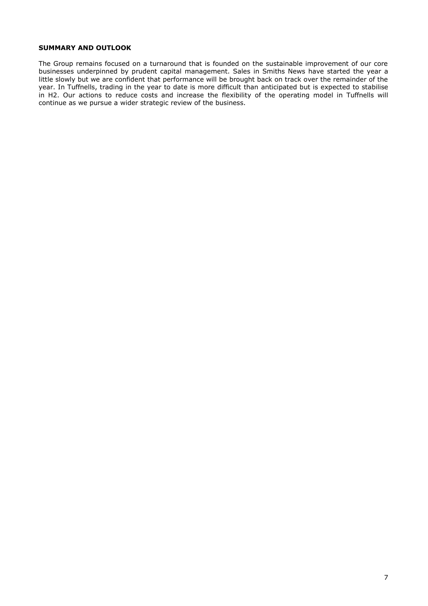# **SUMMARY AND OUTLOOK**

The Group remains focused on a turnaround that is founded on the sustainable improvement of our core businesses underpinned by prudent capital management. Sales in Smiths News have started the year a little slowly but we are confident that performance will be brought back on track over the remainder of the year. In Tuffnells, trading in the year to date is more difficult than anticipated but is expected to stabilise in H2. Our actions to reduce costs and increase the flexibility of the operating model in Tuffnells will continue as we pursue a wider strategic review of the business.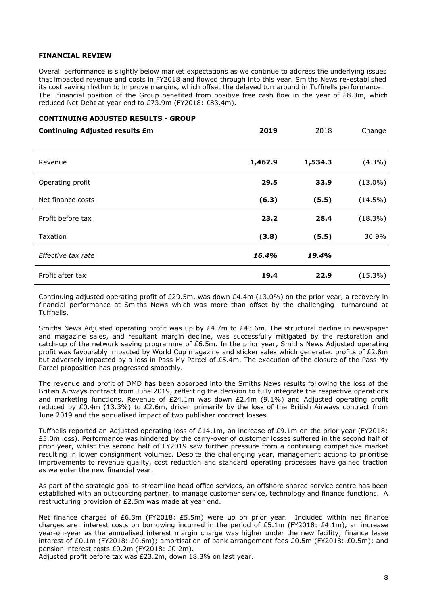# **FINANCIAL REVIEW**

Overall performance is slightly below market expectations as we continue to address the underlying issues that impacted revenue and costs in FY2018 and flowed through into this year. Smiths News re-established its cost saving rhythm to improve margins, which offset the delayed turnaround in Tuffnells performance. The financial position of the Group benefited from positive free cash flow in the year of £8.3m, which reduced Net Debt at year end to £73.9m (FY2018: £83.4m).

## **CONTINUING ADJUSTED RESULTS - GROUP**

| <b>Continuing Adjusted results £m</b> | 2019    | 2018    | Change     |
|---------------------------------------|---------|---------|------------|
| Revenue                               | 1,467.9 | 1,534.3 | $(4.3\%)$  |
| Operating profit                      | 29.5    | 33.9    | $(13.0\%)$ |
| Net finance costs                     | (6.3)   | (5.5)   | $(14.5\%)$ |
| Profit before tax                     | 23.2    | 28.4    | $(18.3\%)$ |
| Taxation                              | (3.8)   | (5.5)   | 30.9%      |
| Effective tax rate                    | 16.4%   | 19.4%   |            |
| Profit after tax                      | 19.4    | 22.9    | $(15.3\%)$ |

Continuing adjusted operating profit of £29.5m, was down £4.4m (13.0%) on the prior year, a recovery in financial performance at Smiths News which was more than offset by the challenging turnaround at Tuffnells.

Smiths News Adjusted operating profit was up by £4.7m to £43.6m. The structural decline in newspaper and magazine sales, and resultant margin decline, was successfully mitigated by the restoration and catch-up of the network saving programme of £6.5m. In the prior year, Smiths News Adjusted operating profit was favourably impacted by World Cup magazine and sticker sales which generated profits of £2.8m but adversely impacted by a loss in Pass My Parcel of £5.4m. The execution of the closure of the Pass My Parcel proposition has progressed smoothly.

The revenue and profit of DMD has been absorbed into the Smiths News results following the loss of the British Airways contract from June 2019, reflecting the decision to fully integrate the respective operations and marketing functions. Revenue of £24.1m was down £2.4m (9.1%) and Adjusted operating profit reduced by £0.4m (13.3%) to £2.6m, driven primarily by the loss of the British Airways contract from June 2019 and the annualised impact of two publisher contract losses.

Tuffnells reported an Adjusted operating loss of £14.1m, an increase of £9.1m on the prior year (FY2018: £5.0m loss). Performance was hindered by the carry-over of customer losses suffered in the second half of prior year, whilst the second half of FY2019 saw further pressure from a continuing competitive market resulting in lower consignment volumes. Despite the challenging year, management actions to prioritise improvements to revenue quality, cost reduction and standard operating processes have gained traction as we enter the new financial year.

As part of the strategic goal to streamline head office services, an offshore shared service centre has been established with an outsourcing partner, to manage customer service, technology and finance functions. A restructuring provision of £2.5m was made at year end.

Net finance charges of £6.3m (FY2018: £5.5m) were up on prior year. Included within net finance charges are: interest costs on borrowing incurred in the period of  $E5.1m$  (FY2018:  $E4.1m$ ), an increase year-on-year as the annualised interest margin charge was higher under the new facility; finance lease interest of £0.1m (FY2018: £0.6m); amortisation of bank arrangement fees £0.5m (FY2018: £0.5m); and pension interest costs £0.2m (FY2018: £0.2m).

Adjusted profit before tax was £23.2m, down 18.3% on last year.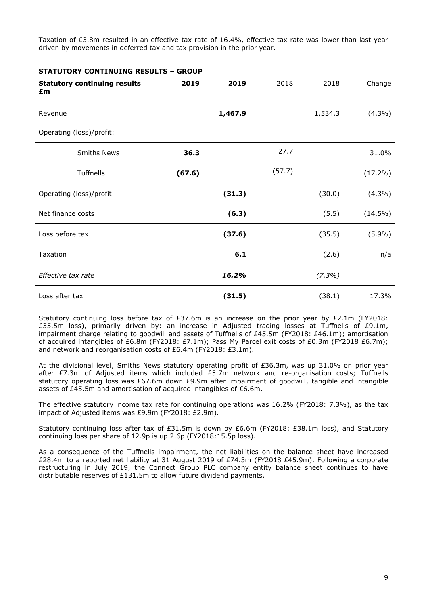Taxation of £3.8m resulted in an effective tax rate of 16.4%, effective tax rate was lower than last year driven by movements in deferred tax and tax provision in the prior year.

**STATUTORY CONTINUING RESULTS – GROUP**

|                                           | 2019   | 2019    | 2018   | 2018      |            |
|-------------------------------------------|--------|---------|--------|-----------|------------|
| <b>Statutory continuing results</b><br>£m |        |         |        |           | Change     |
| Revenue                                   |        | 1,467.9 |        | 1,534.3   | $(4.3\%)$  |
| Operating (loss)/profit:                  |        |         |        |           |            |
| <b>Smiths News</b>                        | 36.3   |         | 27.7   |           | 31.0%      |
| Tuffnells                                 | (67.6) |         | (57.7) |           | $(17.2\%)$ |
| Operating (loss)/profit                   |        | (31.3)  |        | (30.0)    | $(4.3\%)$  |
| Net finance costs                         |        | (6.3)   |        | (5.5)     | $(14.5\%)$ |
| Loss before tax                           |        | (37.6)  |        | (35.5)    | (5.9%)     |
| Taxation                                  |        | 6.1     |        | (2.6)     | n/a        |
| Effective tax rate                        |        | 16.2%   |        | $(7.3\%)$ |            |
| Loss after tax                            |        | (31.5)  |        | (38.1)    | 17.3%      |

Statutory continuing loss before tax of £37.6m is an increase on the prior year by £2.1m (FY2018: £35.5m loss), primarily driven by: an increase in Adjusted trading losses at Tuffnells of £9.1m, impairment charge relating to goodwill and assets of Tuffnells of £45.5m (FY2018: £46.1m); amortisation of acquired intangibles of £6.8m (FY2018: £7.1m); Pass My Parcel exit costs of £0.3m (FY2018 £6.7m); and network and reorganisation costs of £6.4m (FY2018: £3.1m).

At the divisional level, Smiths News statutory operating profit of £36.3m, was up 31.0% on prior year after  $E7.3$ m of Adjusted items which included  $E5.7$ m network and re-organisation costs; Tuffnells statutory operating loss was £67.6m down £9.9m after impairment of goodwill, tangible and intangible assets of £45.5m and amortisation of acquired intangibles of £6.6m.

The effective statutory income tax rate for continuing operations was 16.2% (FY2018: 7.3%), as the tax impact of Adjusted items was £9.9m (FY2018: £2.9m).

Statutory continuing loss after tax of £31.5m is down by £6.6m (FY2018: £38.1m loss), and Statutory continuing loss per share of 12.9p is up 2.6p (FY2018:15.5p loss).

As a consequence of the Tuffnells impairment, the net liabilities on the balance sheet have increased £28.4m to a reported net liability at 31 August 2019 of £74.3m (FY2018 £45.9m). Following a corporate restructuring in July 2019, the Connect Group PLC company entity balance sheet continues to have distributable reserves of £131.5m to allow future dividend payments.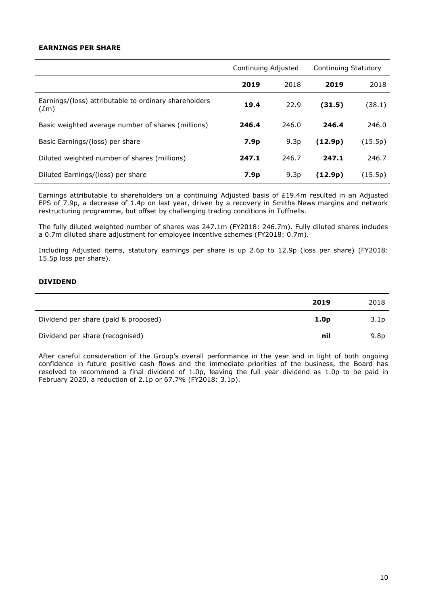# **EARNINGS PER SHARE**

|                                                                        | Continuing Adjusted |                  | Continuing Statutory |         |
|------------------------------------------------------------------------|---------------------|------------------|----------------------|---------|
|                                                                        | 2019                | 2018             | 2019                 | 2018    |
| Earnings/(loss) attributable to ordinary shareholders<br>$(\text{Em})$ | 19.4                | 22.9             | (31.5)               | (38.1)  |
| Basic weighted average number of shares (millions)                     | 246.4               | 246.0            | 246.4                | 246.0   |
| Basic Earnings/(loss) per share                                        | 7.9 <sub>p</sub>    | 9.3 <sub>p</sub> | (12.9p)              | (15.5p) |
| Diluted weighted number of shares (millions)                           | 247.1               | 246.7            | 247.1                | 246.7   |
| Diluted Earnings/(loss) per share                                      | 7.9 <sub>p</sub>    | 9.3 <sub>p</sub> | (12.9p)              | (15.5p) |

Earnings attributable to shareholders on a continuing Adjusted basis of £19.4m resulted in an Adjusted EPS of 7.9p, a decrease of 1.4p on last year, driven by a recovery in Smiths News margins and network restructuring programme, but offset by challenging trading conditions in Tuffnells.

The fully diluted weighted number of shares was 247.1m (FY2018: 246.7m). Fully diluted shares includes a 0.7m diluted share adjustment for employee incentive schemes (FY2018: 0.7m).

Including Adjusted items, statutory earnings per share is up 2.6p to 12.9p (loss per share) (FY2018: 15.5p loss per share).

# **DIVIDEND**

|                                      | 2019             | 2018             |
|--------------------------------------|------------------|------------------|
| Dividend per share (paid & proposed) | 1.0 <sub>p</sub> | 3.1 <sub>p</sub> |
| Dividend per share (recognised)      | nil              | 9.8 <sub>p</sub> |

After careful consideration of the Group's overall performance in the year and in light of both ongoing confidence in future positive cash flows and the immediate priorities of the business, the Board has resolved to recommend a final dividend of 1.0p, leaving the full year dividend as 1.0p to be paid in February 2020, a reduction of 2.1p or 67.7% (FY2018: 3.1p).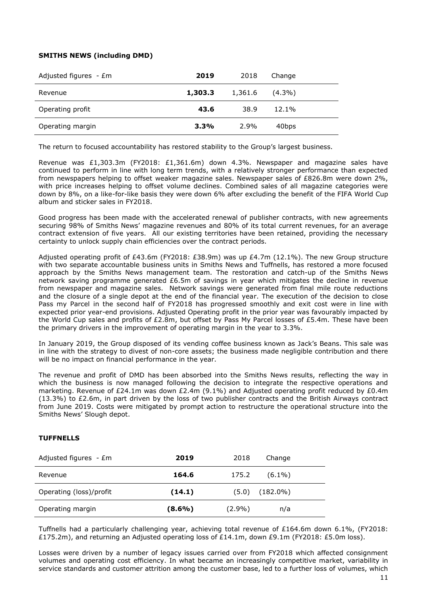# **SMITHS NEWS (including DMD)**

| Adjusted figures $-Em$ | 2019    | 2018    | Change    |  |
|------------------------|---------|---------|-----------|--|
| Revenue                | 1,303.3 | 1,361.6 | $(4.3\%)$ |  |
| Operating profit       | 43.6    | 38.9    | 12.1%     |  |
| Operating margin       | 3.3%    | 2.9%    | 40bps     |  |

The return to focused accountability has restored stability to the Group's largest business.

Revenue was £1,303.3m (FY2018: £1,361.6m) down 4.3%. Newspaper and magazine sales have continued to perform in line with long term trends, with a relatively stronger performance than expected from newspapers helping to offset weaker magazine sales. Newspaper sales of £826.8m were down 2%, with price increases helping to offset volume declines. Combined sales of all magazine categories were down by 8%, on a like-for-like basis they were down 6% after excluding the benefit of the FIFA World Cup album and sticker sales in FY2018.

Good progress has been made with the accelerated renewal of publisher contracts, with new agreements securing 98% of Smiths News' magazine revenues and 80% of its total current revenues, for an average contract extension of five years. All our existing territories have been retained, providing the necessary certainty to unlock supply chain efficiencies over the contract periods.

Adjusted operating profit of £43.6m (FY2018: £38.9m) was up £4.7m (12.1%). The new Group structure with two separate accountable business units in Smiths News and Tuffnells, has restored a more focused approach by the Smiths News management team. The restoration and catch-up of the Smiths News network saving programme generated £6.5m of savings in year which mitigates the decline in revenue from newspaper and magazine sales. Network savings were generated from final mile route reductions and the closure of a single depot at the end of the financial year. The execution of the decision to close Pass my Parcel in the second half of FY2018 has progressed smoothly and exit cost were in line with expected prior year-end provisions. Adjusted Operating profit in the prior year was favourably impacted by the World Cup sales and profits of £2.8m, but offset by Pass My Parcel losses of £5.4m. These have been the primary drivers in the improvement of operating margin in the year to 3.3%.

In January 2019, the Group disposed of its vending coffee business known as Jack's Beans. This sale was in line with the strategy to divest of non-core assets; the business made negligible contribution and there will be no impact on financial performance in the year.

The revenue and profit of DMD has been absorbed into the Smiths News results, reflecting the way in which the business is now managed following the decision to integrate the respective operations and marketing. Revenue of £24.1m was down £2.4m (9.1%) and Adjusted operating profit reduced by £0.4m (13.3%) to £2.6m, in part driven by the loss of two publisher contracts and the British Airways contract from June 2019. Costs were mitigated by prompt action to restructure the operational structure into the Smiths News' Slough depot.

# **TUFFNELLS**

| Adjusted figures - £m   | 2019      | 2018      | Change              |  |
|-------------------------|-----------|-----------|---------------------|--|
| Revenue                 | 164.6     | 175.2     | $(6.1\%)$           |  |
| Operating (loss)/profit | (14.1)    |           | $(5.0)$ $(182.0\%)$ |  |
| Operating margin        | $(8.6\%)$ | $(2.9\%)$ | n/a                 |  |

Tuffnells had a particularly challenging year, achieving total revenue of £164.6m down 6.1%, (FY2018: £175.2m), and returning an Adjusted operating loss of £14.1m, down £9.1m (FY2018: £5.0m loss).

Losses were driven by a number of legacy issues carried over from FY2018 which affected consignment volumes and operating cost efficiency. In what became an increasingly competitive market, variability in service standards and customer attrition among the customer base, led to a further loss of volumes, which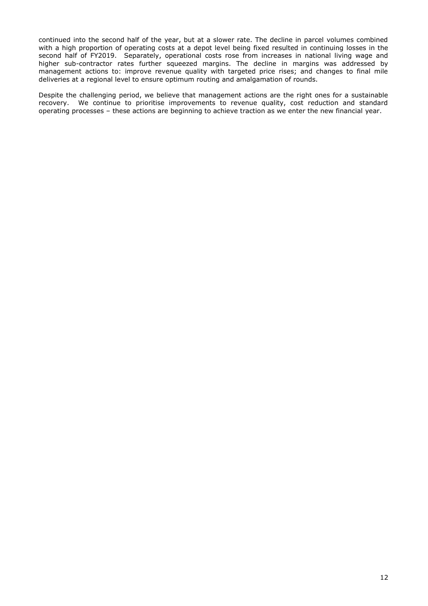continued into the second half of the year, but at a slower rate. The decline in parcel volumes combined with a high proportion of operating costs at a depot level being fixed resulted in continuing losses in the second half of FY2019. Separately, operational costs rose from increases in national living wage and higher sub-contractor rates further squeezed margins. The decline in margins was addressed by management actions to: improve revenue quality with targeted price rises; and changes to final mile deliveries at a regional level to ensure optimum routing and amalgamation of rounds.

Despite the challenging period, we believe that management actions are the right ones for a sustainable recovery. We continue to prioritise improvements to revenue quality, cost reduction and standard operating processes – these actions are beginning to achieve traction as we enter the new financial year.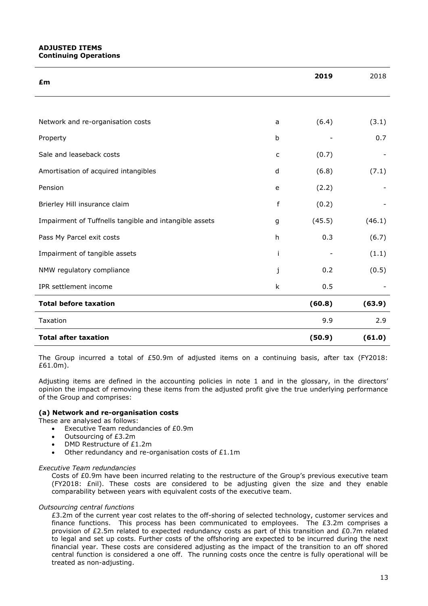# **ADJUSTED ITEMS Continuing Operations**

| £m                                                     |             | 2019   | 2018   |
|--------------------------------------------------------|-------------|--------|--------|
|                                                        |             |        |        |
| Network and re-organisation costs                      | a           | (6.4)  | (3.1)  |
| Property                                               | $\mathbf b$ |        | 0.7    |
| Sale and leaseback costs                               | c           | (0.7)  |        |
| Amortisation of acquired intangibles                   | d           | (6.8)  | (7.1)  |
| Pension                                                | e           | (2.2)  |        |
| Brierley Hill insurance claim                          | f           | (0.2)  |        |
| Impairment of Tuffnells tangible and intangible assets | g           | (45.5) | (46.1) |
| Pass My Parcel exit costs                              | h           | 0.3    | (6.7)  |
| Impairment of tangible assets                          | i           |        | (1.1)  |
| NMW regulatory compliance                              | j           | 0.2    | (0.5)  |
| IPR settlement income                                  | k           | 0.5    |        |
| <b>Total before taxation</b>                           |             | (60.8) | (63.9) |
| Taxation                                               |             | 9.9    | 2.9    |
| <b>Total after taxation</b>                            |             | (50.9) | (61.0) |

The Group incurred a total of £50.9m of adjusted items on a continuing basis, after tax (FY2018: £61.0m).

Adjusting items are defined in the accounting policies in note 1 and in the glossary, in the directors' opinion the impact of removing these items from the adjusted profit give the true underlying performance of the Group and comprises:

# **(a) Network and re-organisation costs**

These are analysed as follows:

- Executive Team redundancies of £0.9m
- Outsourcing of £3.2m
- DMD Restructure of £1.2m
- Other redundancy and re-organisation costs of £1.1m

### *Executive Team redundancies*

Costs of £0.9m have been incurred relating to the restructure of the Group's previous executive team (FY2018: £nil). These costs are considered to be adjusting given the size and they enable comparability between years with equivalent costs of the executive team.

### *Outsourcing central functions*

£3.2m of the current year cost relates to the off-shoring of selected technology, customer services and finance functions. This process has been communicated to employees. The  $£3.2m$  comprises a provision of £2.5m related to expected redundancy costs as part of this transition and £0.7m related to legal and set up costs. Further costs of the offshoring are expected to be incurred during the next financial year. These costs are considered adjusting as the impact of the transition to an off shored central function is considered a one off. The running costs once the centre is fully operational will be treated as non-adjusting.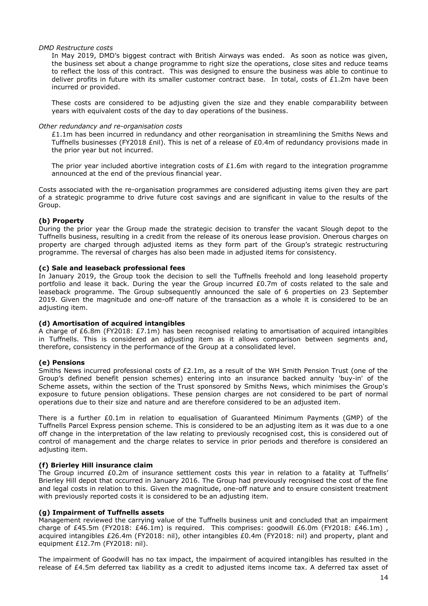## *DMD Restructure costs*

In May 2019, DMD's biggest contract with British Airways was ended. As soon as notice was given, the business set about a change programme to right size the operations, close sites and reduce teams to reflect the loss of this contract. This was designed to ensure the business was able to continue to deliver profits in future with its smaller customer contract base. In total, costs of  $£1.2m$  have been incurred or provided.

These costs are considered to be adjusting given the size and they enable comparability between years with equivalent costs of the day to day operations of the business.

## *Other redundancy and re-organisation costs*

£1.1m has been incurred in redundancy and other reorganisation in streamlining the Smiths News and Tuffnells businesses (FY2018 £nil). This is net of a release of £0.4m of redundancy provisions made in the prior year but not incurred.

The prior vear included abortive integration costs of £1.6m with regard to the integration programme announced at the end of the previous financial year.

Costs associated with the re-organisation programmes are considered adjusting items given they are part of a strategic programme to drive future cost savings and are significant in value to the results of the Group.

# **(b) Property**

During the prior year the Group made the strategic decision to transfer the vacant Slough depot to the Tuffnells business, resulting in a credit from the release of its onerous lease provision. Onerous charges on property are charged through adjusted items as they form part of the Group's strategic restructuring programme. The reversal of charges has also been made in adjusted items for consistency.

## **(c) Sale and leaseback professional fees**

In January 2019, the Group took the decision to sell the Tuffnells freehold and long leasehold property portfolio and lease it back. During the year the Group incurred £0.7m of costs related to the sale and leaseback programme. The Group subsequently announced the sale of 6 properties on 23 September 2019. Given the magnitude and one-off nature of the transaction as a whole it is considered to be an adjusting item.

# **(d) Amortisation of acquired intangibles**

A charge of £6.8m (FY2018: £7.1m) has been recognised relating to amortisation of acquired intangibles in Tuffnells. This is considered an adjusting item as it allows comparison between segments and, therefore, consistency in the performance of the Group at a consolidated level.

# **(e) Pensions**

Smiths News incurred professional costs of £2.1m, as a result of the WH Smith Pension Trust (one of the Group's defined benefit pension schemes) entering into an insurance backed annuity 'buy-in' of the Scheme assets, within the section of the Trust sponsored by Smiths News, which minimises the Group's exposure to future pension obligations. These pension charges are not considered to be part of normal operations due to their size and nature and are therefore considered to be an adjusted item.

There is a further £0.1m in relation to equalisation of Guaranteed Minimum Payments (GMP) of the Tuffnells Parcel Express pension scheme. This is considered to be an adjusting item as it was due to a one off change in the interpretation of the law relating to previously recognised cost, this is considered out of control of management and the charge relates to service in prior periods and therefore is considered an adjusting item.

# **(f) Brierley Hill insurance claim**

The Group incurred £0.2m of insurance settlement costs this year in relation to a fatality at Tuffnells' Brierley Hill depot that occurred in January 2016. The Group had previously recognised the cost of the fine and legal costs in relation to this. Given the magnitude, one-off nature and to ensure consistent treatment with previously reported costs it is considered to be an adjusting item.

# **(g) Impairment of Tuffnells assets**

Management reviewed the carrying value of the Tuffnells business unit and concluded that an impairment charge of £45.5m (FY2018: £46.1m) is required. This comprises: goodwill £6.0m (FY2018: £46.1m) , acquired intangibles £26.4m (FY2018: nil), other intangibles £0.4m (FY2018: nil) and property, plant and equipment £12.7m (FY2018: nil).

The impairment of Goodwill has no tax impact, the impairment of acquired intangibles has resulted in the release of £4.5m deferred tax liability as a credit to adjusted items income tax. A deferred tax asset of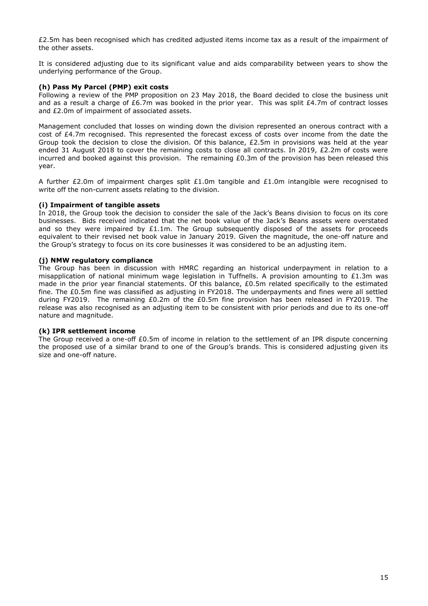£2.5m has been recognised which has credited adjusted items income tax as a result of the impairment of the other assets.

It is considered adjusting due to its significant value and aids comparability between years to show the underlying performance of the Group.

## **(h) Pass My Parcel (PMP) exit costs**

Following a review of the PMP proposition on 23 May 2018, the Board decided to close the business unit and as a result a charge of £6.7m was booked in the prior year. This was split £4.7m of contract losses and £2.0m of impairment of associated assets.

Management concluded that losses on winding down the division represented an onerous contract with a cost of £4.7m recognised. This represented the forecast excess of costs over income from the date the Group took the decision to close the division. Of this balance,  $£2.5m$  in provisions was held at the year ended 31 August 2018 to cover the remaining costs to close all contracts. In 2019, £2.2m of costs were incurred and booked against this provision. The remaining £0.3m of the provision has been released this year.

A further £2.0m of impairment charges split £1.0m tangible and £1.0m intangible were recognised to write off the non-current assets relating to the division.

# **(i) Impairment of tangible assets**

In 2018, the Group took the decision to consider the sale of the Jack's Beans division to focus on its core businesses. Bids received indicated that the net book value of the Jack's Beans assets were overstated and so they were impaired by  $£1.1m$ . The Group subsequently disposed of the assets for proceeds equivalent to their revised net book value in January 2019. Given the magnitude, the one-off nature and the Group's strategy to focus on its core businesses it was considered to be an adjusting item.

## **(j) NMW regulatory compliance**

The Group has been in discussion with HMRC regarding an historical underpayment in relation to a misapplication of national minimum wage legislation in Tuffnells. A provision amounting to £1.3m was made in the prior year financial statements. Of this balance, £0.5m related specifically to the estimated fine. The £0.5m fine was classified as adjusting in FY2018. The underpayments and fines were all settled during FY2019. The remaining £0.2m of the £0.5m fine provision has been released in FY2019. The release was also recognised as an adjusting item to be consistent with prior periods and due to its one-off nature and magnitude.

### **(k) IPR settlement income**

The Group received a one-off £0.5m of income in relation to the settlement of an IPR dispute concerning the proposed use of a similar brand to one of the Group's brands. This is considered adjusting given its size and one-off nature.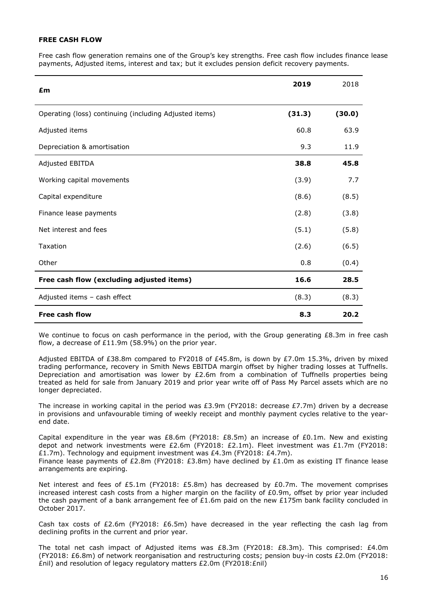# **FREE CASH FLOW**

Free cash flow generation remains one of the Group's key strengths. Free cash flow includes finance lease payments, Adjusted items, interest and tax; but it excludes pension deficit recovery payments.

| £m                                                     | 2019   | 2018   |
|--------------------------------------------------------|--------|--------|
| Operating (loss) continuing (including Adjusted items) | (31.3) | (30.0) |
| Adjusted items                                         | 60.8   | 63.9   |
| Depreciation & amortisation                            | 9.3    | 11.9   |
| Adjusted EBITDA                                        | 38.8   | 45.8   |
| Working capital movements                              | (3.9)  | 7.7    |
| Capital expenditure                                    | (8.6)  | (8.5)  |
| Finance lease payments                                 | (2.8)  | (3.8)  |
| Net interest and fees                                  | (5.1)  | (5.8)  |
| Taxation                                               | (2.6)  | (6.5)  |
| Other                                                  | 0.8    | (0.4)  |
| Free cash flow (excluding adjusted items)              | 16.6   | 28.5   |
| Adjusted items - cash effect                           | (8.3)  | (8.3)  |
| <b>Free cash flow</b>                                  | 8.3    | 20.2   |

We continue to focus on cash performance in the period, with the Group generating  $£8.3m$  in free cash flow, a decrease of £11.9m (58.9%) on the prior year.

Adjusted EBITDA of £38.8m compared to FY2018 of £45.8m, is down by £7.0m 15.3%, driven by mixed trading performance, recovery in Smith News EBITDA margin offset by higher trading losses at Tuffnells. Depreciation and amortisation was lower by £2.6m from a combination of Tuffnells properties being treated as held for sale from January 2019 and prior year write off of Pass My Parcel assets which are no longer depreciated.

The increase in working capital in the period was £3.9m (FY2018: decrease £7.7m) driven by a decrease in provisions and unfavourable timing of weekly receipt and monthly payment cycles relative to the yearend date.

Capital expenditure in the year was £8.6m (FY2018: £8.5m) an increase of £0.1m. New and existing depot and network investments were £2.6m (FY2018: £2.1m). Fleet investment was £1.7m (FY2018: £1.7m). Technology and equipment investment was £4.3m (FY2018: £4.7m). Finance lease payments of £2.8m (FY2018: £3.8m) have declined by £1.0m as existing IT finance lease arrangements are expiring.

Net interest and fees of £5.1m (FY2018: £5.8m) has decreased by £0.7m. The movement comprises increased interest cash costs from a higher margin on the facility of £0.9m, offset by prior year included the cash payment of a bank arrangement fee of £1.6m paid on the new £175m bank facility concluded in October 2017.

Cash tax costs of £2.6m (FY2018: £6.5m) have decreased in the year reflecting the cash lag from declining profits in the current and prior year.

The total net cash impact of Adjusted items was £8.3m (FY2018: £8.3m). This comprised: £4.0m (FY2018: £6.8m) of network reorganisation and restructuring costs; pension buy-in costs £2.0m (FY2018: £nil) and resolution of legacy regulatory matters £2.0m (FY2018:£nil)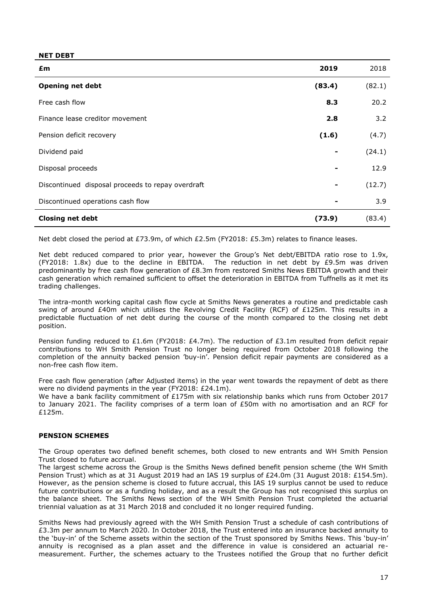### **NET DEBT**

| £m                                                | 2019   | 2018   |
|---------------------------------------------------|--------|--------|
| <b>Opening net debt</b>                           | (83.4) | (82.1) |
| Free cash flow                                    | 8.3    | 20.2   |
| Finance lease creditor movement                   | 2.8    | 3.2    |
| Pension deficit recovery                          | (1.6)  | (4.7)  |
| Dividend paid                                     |        | (24.1) |
| Disposal proceeds                                 |        | 12.9   |
| Discontinued disposal proceeds to repay overdraft |        | (12.7) |
| Discontinued operations cash flow                 |        | 3.9    |
| <b>Closing net debt</b>                           | (73.9) | (83.4) |

Net debt closed the period at £73.9m, of which £2.5m (FY2018: £5.3m) relates to finance leases.

Net debt reduced compared to prior year, however the Group's Net debt/EBITDA ratio rose to 1.9x, (FY2018: 1.8x) due to the decline in EBITDA. The reduction in net debt by  $E9.5m$  was driven predominantly by free cash flow generation of £8.3m from restored Smiths News EBITDA growth and their cash generation which remained sufficient to offset the deterioration in EBITDA from Tuffnells as it met its trading challenges.

The intra-month working capital cash flow cycle at Smiths News generates a routine and predictable cash swing of around £40m which utilises the Revolving Credit Facility (RCF) of £125m. This results in a predictable fluctuation of net debt during the course of the month compared to the closing net debt position.

Pension funding reduced to £1.6m (FY2018: £4.7m). The reduction of £3.1m resulted from deficit repair contributions to WH Smith Pension Trust no longer being required from October 2018 following the completion of the annuity backed pension 'buy-in'. Pension deficit repair payments are considered as a non-free cash flow item.

Free cash flow generation (after Adjusted items) in the year went towards the repayment of debt as there were no dividend payments in the year (FY2018: £24.1m).

We have a bank facility commitment of £175m with six relationship banks which runs from October 2017 to January 2021. The facility comprises of a term loan of £50m with no amortisation and an RCF for £125m.

# **PENSION SCHEMES**

The Group operates two defined benefit schemes, both closed to new entrants and WH Smith Pension Trust closed to future accrual.

The largest scheme across the Group is the Smiths News defined benefit pension scheme (the WH Smith Pension Trust) which as at 31 August 2019 had an IAS 19 surplus of £24.0m (31 August 2018: £154.5m). However, as the pension scheme is closed to future accrual, this IAS 19 surplus cannot be used to reduce future contributions or as a funding holiday, and as a result the Group has not recognised this surplus on the balance sheet. The Smiths News section of the WH Smith Pension Trust completed the actuarial triennial valuation as at 31 March 2018 and concluded it no longer required funding.

Smiths News had previously agreed with the WH Smith Pension Trust a schedule of cash contributions of £3.3m per annum to March 2020. In October 2018, the Trust entered into an insurance backed annuity to the 'buy-in' of the Scheme assets within the section of the Trust sponsored by Smiths News. This 'buy-in' annuity is recognised as a plan asset and the difference in value is considered an actuarial remeasurement. Further, the schemes actuary to the Trustees notified the Group that no further deficit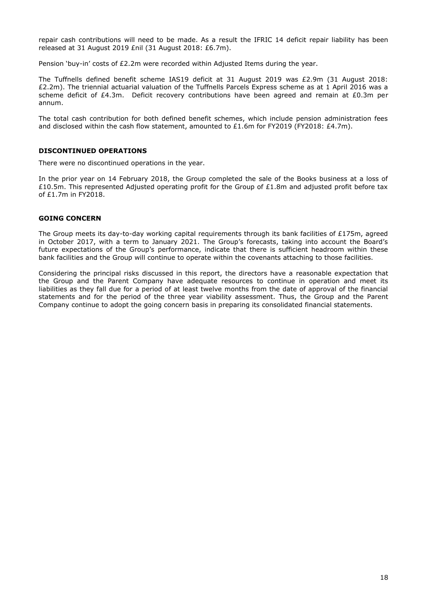repair cash contributions will need to be made. As a result the IFRIC 14 deficit repair liability has been released at 31 August 2019 £nil (31 August 2018: £6.7m).

Pension 'buy-in' costs of £2.2m were recorded within Adjusted Items during the year.

The Tuffnells defined benefit scheme IAS19 deficit at 31 August 2019 was £2.9m (31 August 2018: £2.2m). The triennial actuarial valuation of the Tuffnells Parcels Express scheme as at 1 April 2016 was a scheme deficit of £4.3m. Deficit recovery contributions have been agreed and remain at £0.3m per annum.

The total cash contribution for both defined benefit schemes, which include pension administration fees and disclosed within the cash flow statement, amounted to £1.6m for FY2019 (FY2018: £4.7m).

## **DISCONTINUED OPERATIONS**

There were no discontinued operations in the year.

In the prior year on 14 February 2018, the Group completed the sale of the Books business at a loss of £10.5m. This represented Adjusted operating profit for the Group of £1.8m and adjusted profit before tax of £1.7m in FY2018.

## **GOING CONCERN**

The Group meets its day-to-day working capital requirements through its bank facilities of £175m, agreed in October 2017, with a term to January 2021. The Group's forecasts, taking into account the Board's future expectations of the Group's performance, indicate that there is sufficient headroom within these bank facilities and the Group will continue to operate within the covenants attaching to those facilities.

Considering the principal risks discussed in this report, the directors have a reasonable expectation that the Group and the Parent Company have adequate resources to continue in operation and meet its liabilities as they fall due for a period of at least twelve months from the date of approval of the financial statements and for the period of the three year viability assessment. Thus, the Group and the Parent Company continue to adopt the going concern basis in preparing its consolidated financial statements.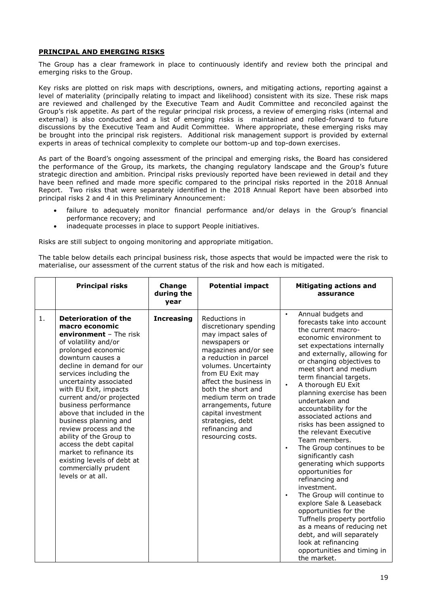# **PRINCIPAL AND EMERGING RISKS**

The Group has a clear framework in place to continuously identify and review both the principal and emerging risks to the Group.

Key risks are plotted on risk maps with descriptions, owners, and mitigating actions, reporting against a level of materiality (principally relating to impact and likelihood) consistent with its size. These risk maps are reviewed and challenged by the Executive Team and Audit Committee and reconciled against the Group's risk appetite. As part of the regular principal risk process, a review of emerging risks (internal and external) is also conducted and a list of emerging risks is maintained and rolled-forward to future discussions by the Executive Team and Audit Committee. Where appropriate, these emerging risks may be brought into the principal risk registers. Additional risk management support is provided by external experts in areas of technical complexity to complete our bottom-up and top-down exercises.

As part of the Board's ongoing assessment of the principal and emerging risks, the Board has considered the performance of the Group, its markets, the changing regulatory landscape and the Group's future strategic direction and ambition. Principal risks previously reported have been reviewed in detail and they have been refined and made more specific compared to the principal risks reported in the 2018 Annual Report. Two risks that were separately identified in the 2018 Annual Report have been absorbed into principal risks 2 and 4 in this Preliminary Announcement:

- failure to adequately monitor financial performance and/or delays in the Group's financial performance recovery; and
- inadequate processes in place to support People initiatives.

Risks are still subject to ongoing monitoring and appropriate mitigation.

The table below details each principal business risk, those aspects that would be impacted were the risk to materialise, our assessment of the current status of the risk and how each is mitigated.

|    | <b>Principal risks</b>                                                                                                                                                                                                                                                                                                                                                                                                                                                                                                                                | Change<br>during the<br>year | <b>Potential impact</b>                                                                                                                                                                                                                                                                                                                                        | <b>Mitigating actions and</b><br>assurance                                                                                                                                                                                                                                                                                                                                                                                                                                                                                                                                                                                                                                                                                                                                                                                                                                |
|----|-------------------------------------------------------------------------------------------------------------------------------------------------------------------------------------------------------------------------------------------------------------------------------------------------------------------------------------------------------------------------------------------------------------------------------------------------------------------------------------------------------------------------------------------------------|------------------------------|----------------------------------------------------------------------------------------------------------------------------------------------------------------------------------------------------------------------------------------------------------------------------------------------------------------------------------------------------------------|---------------------------------------------------------------------------------------------------------------------------------------------------------------------------------------------------------------------------------------------------------------------------------------------------------------------------------------------------------------------------------------------------------------------------------------------------------------------------------------------------------------------------------------------------------------------------------------------------------------------------------------------------------------------------------------------------------------------------------------------------------------------------------------------------------------------------------------------------------------------------|
| 1. | <b>Deterioration of the</b><br>macro economic<br>environment - The risk<br>of volatility and/or<br>prolonged economic<br>downturn causes a<br>decline in demand for our<br>services including the<br>uncertainty associated<br>with EU Exit, impacts<br>current and/or projected<br>business performance<br>above that included in the<br>business planning and<br>review process and the<br>ability of the Group to<br>access the debt capital<br>market to refinance its<br>existing levels of debt at<br>commercially prudent<br>levels or at all. | <b>Increasing</b>            | Reductions in<br>discretionary spending<br>may impact sales of<br>newspapers or<br>magazines and/or see<br>a reduction in parcel<br>volumes. Uncertainty<br>from EU Exit may<br>affect the business in<br>both the short and<br>medium term on trade<br>arrangements, future<br>capital investment<br>strategies, debt<br>refinancing and<br>resourcing costs. | Annual budgets and<br>$\bullet$<br>forecasts take into account<br>the current macro-<br>economic environment to<br>set expectations internally<br>and externally, allowing for<br>or changing objectives to<br>meet short and medium<br>term financial targets.<br>A thorough EU Exit<br>planning exercise has been<br>undertaken and<br>accountability for the<br>associated actions and<br>risks has been assigned to<br>the relevant Executive<br>Team members.<br>The Group continues to be<br>$\bullet$<br>significantly cash<br>generating which supports<br>opportunities for<br>refinancing and<br>investment.<br>The Group will continue to<br>explore Sale & Leaseback<br>opportunities for the<br>Tuffnells property portfolio<br>as a means of reducing net<br>debt, and will separately<br>look at refinancing<br>opportunities and timing in<br>the market. |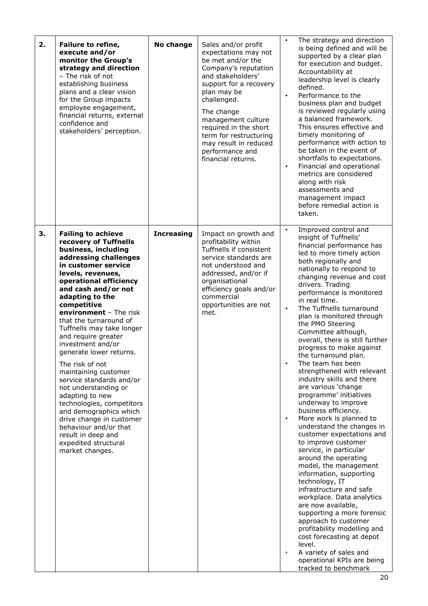| 2. | Failure to refine,<br>execute and/or<br>monitor the Group's<br>strategy and direction<br>- The risk of not<br>establishing business<br>plans and a clear vision<br>for the Group impacts<br>employee engagement,<br>financial returns, external<br>confidence and<br>stakeholders' perception.                                                                                                                                                                                                                                                                                                                                                                                           | No change         | Sales and/or profit<br>expectations may not<br>be met and/or the<br>Company's reputation<br>and stakeholders'<br>support for a recovery<br>plan may be<br>challenged.<br>The change<br>management culture<br>required in the short<br>term for restructuring<br>may result in reduced<br>performance and<br>financial returns. | The strategy and direction<br>is being defined and will be<br>supported by a clear plan<br>for execution and budget.<br>Accountability at<br>leadership level is clearly<br>defined.<br>Performance to the<br>$\bullet$<br>business plan and budget<br>is reviewed regularly using<br>a balanced framework.<br>This ensures effective and<br>timely monitoring of<br>performance with action to<br>be taken in the event of<br>shortfalls to expectations.<br>Financial and operational<br>$\bullet$<br>metrics are considered<br>along with risk<br>assessments and<br>management impact<br>before remedial action is<br>taken.                                                                                                                                                                                                                                                                                                                                                                                                                                                                                                                                  |
|----|------------------------------------------------------------------------------------------------------------------------------------------------------------------------------------------------------------------------------------------------------------------------------------------------------------------------------------------------------------------------------------------------------------------------------------------------------------------------------------------------------------------------------------------------------------------------------------------------------------------------------------------------------------------------------------------|-------------------|--------------------------------------------------------------------------------------------------------------------------------------------------------------------------------------------------------------------------------------------------------------------------------------------------------------------------------|-------------------------------------------------------------------------------------------------------------------------------------------------------------------------------------------------------------------------------------------------------------------------------------------------------------------------------------------------------------------------------------------------------------------------------------------------------------------------------------------------------------------------------------------------------------------------------------------------------------------------------------------------------------------------------------------------------------------------------------------------------------------------------------------------------------------------------------------------------------------------------------------------------------------------------------------------------------------------------------------------------------------------------------------------------------------------------------------------------------------------------------------------------------------|
| 3. | <b>Failing to achieve</b><br>recovery of Tuffnells<br>business, including<br>addressing challenges<br>in customer service<br>levels, revenues,<br>operational efficiency<br>and cash and/or not<br>adapting to the<br>competitive<br>environment - The risk<br>that the turnaround of<br>Tuffnells may take longer<br>and require greater<br>investment and/or<br>generate lower returns.<br>The risk of not<br>maintaining customer<br>service standards and/or<br>not understanding or<br>adapting to new<br>technologies, competitors<br>and demographics which<br>drive change in customer<br>behaviour and/or that<br>result in deep and<br>expedited structural<br>market changes. | <b>Increasing</b> | Impact on growth and<br>profitability within<br>Tuffnells if consistent<br>service standards are<br>not understood and<br>addressed, and/or if<br>organisational<br>efficiency goals and/or<br>commercial<br>opportunities are not<br>met.                                                                                     | Improved control and<br>insight of Tuffnells'<br>financial performance has<br>led to more timely action<br>both regionally and<br>nationally to respond to<br>changing revenue and cost<br>drivers. Trading<br>performance is monitored<br>in real time.<br>The Tuffnells turnaround<br>plan is monitored through<br>the PMO Steering<br>Committee although,<br>overall, there is still further<br>progress to make against<br>the turnaround plan.<br>The team has been<br>strengthened with relevant<br>industry skills and there<br>are various 'change<br>programme' initiatives<br>underway to improve<br>business efficiency.<br>More work is planned to<br>understand the changes in<br>customer expectations and<br>to improve customer<br>service, in particular<br>around the operating<br>model, the management<br>information, supporting<br>technology, IT<br>infrastructure and safe<br>workplace. Data analytics<br>are now available,<br>supporting a more forensic<br>approach to customer<br>profitability modelling and<br>cost forecasting at depot<br>level.<br>A variety of sales and<br>operational KPIs are being<br>tracked to benchmark |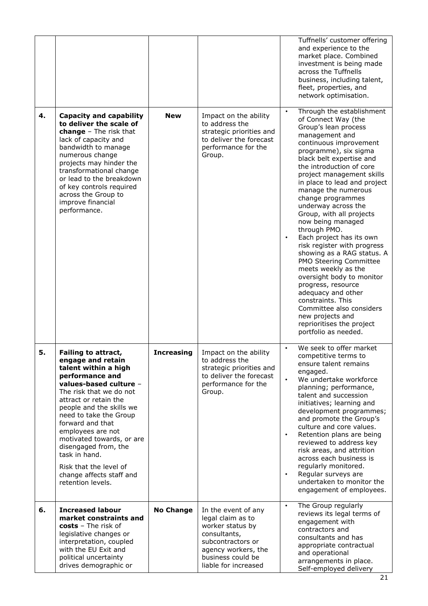|    |                                                                                                                                                                                                                                                                                                                                                                                                                   |                   |                                                                                                                                                                       | Tuffnells' customer offering<br>and experience to the<br>market place. Combined<br>investment is being made<br>across the Tuffnells<br>business, including talent,<br>fleet, properties, and<br>network optimisation.                                                                                                                                                                                                                                                                                                                                                                                                                                                                                                                               |
|----|-------------------------------------------------------------------------------------------------------------------------------------------------------------------------------------------------------------------------------------------------------------------------------------------------------------------------------------------------------------------------------------------------------------------|-------------------|-----------------------------------------------------------------------------------------------------------------------------------------------------------------------|-----------------------------------------------------------------------------------------------------------------------------------------------------------------------------------------------------------------------------------------------------------------------------------------------------------------------------------------------------------------------------------------------------------------------------------------------------------------------------------------------------------------------------------------------------------------------------------------------------------------------------------------------------------------------------------------------------------------------------------------------------|
| 4. | <b>Capacity and capability</b><br>to deliver the scale of<br>change - The risk that<br>lack of capacity and<br>bandwidth to manage<br>numerous change<br>projects may hinder the<br>transformational change<br>or lead to the breakdown<br>of key controls required<br>across the Group to<br>improve financial<br>performance.                                                                                   | <b>New</b>        | Impact on the ability<br>to address the<br>strategic priorities and<br>to deliver the forecast<br>performance for the<br>Group.                                       | Through the establishment<br>of Connect Way (the<br>Group's lean process<br>management and<br>continuous improvement<br>programme), six sigma<br>black belt expertise and<br>the introduction of core<br>project management skills<br>in place to lead and project<br>manage the numerous<br>change programmes<br>underway across the<br>Group, with all projects<br>now being managed<br>through PMO.<br>Each project has its own<br>risk register with progress<br>showing as a RAG status. A<br>PMO Steering Committee<br>meets weekly as the<br>oversight body to monitor<br>progress, resource<br>adequacy and other<br>constraints. This<br>Committee also considers<br>new projects and<br>reprioritises the project<br>portfolio as needed. |
| 5. | Failing to attract,<br>engage and retain<br>talent within a high<br>performance and<br>values-based culture -<br>The risk that we do not<br>attract or retain the<br>people and the skills we<br>need to take the Group<br>forward and that<br>employees are not<br>motivated towards, or are<br>disengaged from, the<br>task in hand.<br>Risk that the level of<br>change affects staff and<br>retention levels. | <b>Increasing</b> | Impact on the ability<br>to address the<br>strategic priorities and<br>to deliver the forecast<br>performance for the<br>Group.                                       | We seek to offer market<br>$\bullet$<br>competitive terms to<br>ensure talent remains<br>engaged.<br>We undertake workforce<br>planning; performance,<br>talent and succession<br>initiatives; learning and<br>development programmes;<br>and promote the Group's<br>culture and core values.<br>Retention plans are being<br>$\bullet$<br>reviewed to address key<br>risk areas, and attrition<br>across each business is<br>regularly monitored.<br>Regular surveys are<br>$\bullet$<br>undertaken to monitor the<br>engagement of employees.                                                                                                                                                                                                     |
| 6. | <b>Increased labour</b><br>market constraints and<br>costs - The risk of<br>legislative changes or<br>interpretation, coupled<br>with the EU Exit and<br>political uncertainty<br>drives demographic or                                                                                                                                                                                                           | <b>No Change</b>  | In the event of any<br>legal claim as to<br>worker status by<br>consultants,<br>subcontractors or<br>agency workers, the<br>business could be<br>liable for increased | The Group regularly<br>$\bullet$<br>reviews its legal terms of<br>engagement with<br>contractors and<br>consultants and has<br>appropriate contractual<br>and operational<br>arrangements in place.<br>Self-employed delivery                                                                                                                                                                                                                                                                                                                                                                                                                                                                                                                       |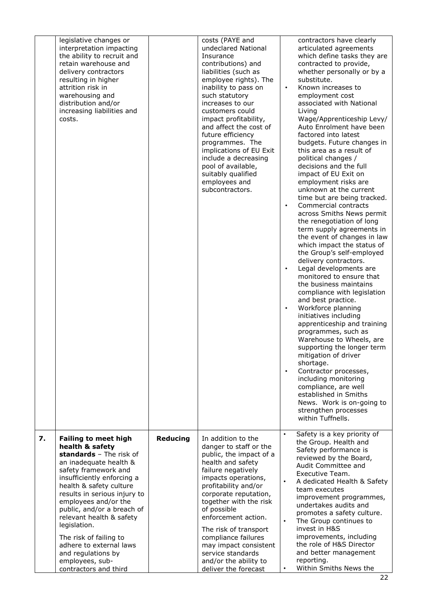|    | legislative changes or<br>interpretation impacting<br>the ability to recruit and<br>retain warehouse and<br>delivery contractors<br>resulting in higher<br>attrition risk in<br>warehousing and<br>distribution and/or<br>increasing liabilities and<br>costs.                                                                                                                                                                                |          | costs (PAYE and<br>undeclared National<br>Insurance<br>contributions) and<br>liabilities (such as<br>employee rights). The<br>inability to pass on<br>such statutory<br>increases to our<br>customers could<br>impact profitability,<br>and affect the cost of<br>future efficiency<br>programmes. The<br>implications of EU Exit<br>include a decreasing<br>pool of available,<br>suitably qualified<br>employees and<br>subcontractors. | contractors have clearly<br>articulated agreements<br>which define tasks they are<br>contracted to provide,<br>whether personally or by a<br>substitute.<br>Known increases to<br>employment cost<br>associated with National<br>Living<br>Wage/Apprenticeship Levy/<br>Auto Enrolment have been<br>factored into latest<br>budgets. Future changes in<br>this area as a result of<br>political changes /<br>decisions and the full<br>impact of EU Exit on<br>employment risks are<br>unknown at the current<br>time but are being tracked.<br>Commercial contracts<br>$\bullet$<br>across Smiths News permit<br>the renegotiation of long<br>term supply agreements in<br>the event of changes in law<br>which impact the status of<br>the Group's self-employed<br>delivery contractors.<br>Legal developments are<br>$\bullet$<br>monitored to ensure that<br>the business maintains<br>compliance with legislation<br>and best practice.<br>Workforce planning<br>$\bullet$<br>initiatives including<br>apprenticeship and training<br>programmes, such as<br>Warehouse to Wheels, are<br>supporting the longer term<br>mitigation of driver<br>shortage.<br>Contractor processes,<br>$\bullet$<br>including monitoring<br>compliance, are well<br>established in Smiths<br>News. Work is on-going to<br>strengthen processes<br>within Tuffnells. |
|----|-----------------------------------------------------------------------------------------------------------------------------------------------------------------------------------------------------------------------------------------------------------------------------------------------------------------------------------------------------------------------------------------------------------------------------------------------|----------|-------------------------------------------------------------------------------------------------------------------------------------------------------------------------------------------------------------------------------------------------------------------------------------------------------------------------------------------------------------------------------------------------------------------------------------------|---------------------------------------------------------------------------------------------------------------------------------------------------------------------------------------------------------------------------------------------------------------------------------------------------------------------------------------------------------------------------------------------------------------------------------------------------------------------------------------------------------------------------------------------------------------------------------------------------------------------------------------------------------------------------------------------------------------------------------------------------------------------------------------------------------------------------------------------------------------------------------------------------------------------------------------------------------------------------------------------------------------------------------------------------------------------------------------------------------------------------------------------------------------------------------------------------------------------------------------------------------------------------------------------------------------------------------------------------------|
| 7. | <b>Failing to meet high</b><br>health & safety<br>standards - The risk of<br>an inadequate health &<br>safety framework and<br>insufficiently enforcing a<br>health & safety culture<br>results in serious injury to<br>employees and/or the<br>public, and/or a breach of<br>relevant health & safety<br>legislation.<br>The risk of failing to<br>adhere to external laws<br>and regulations by<br>employees, sub-<br>contractors and third | Reducing | In addition to the<br>danger to staff or the<br>public, the impact of a<br>health and safety<br>failure negatively<br>impacts operations,<br>profitability and/or<br>corporate reputation,<br>together with the risk<br>of possible<br>enforcement action.<br>The risk of transport<br>compliance failures<br>may impact consistent<br>service standards<br>and/or the ability to<br>deliver the forecast                                 | Safety is a key priority of<br>$\bullet$<br>the Group. Health and<br>Safety performance is<br>reviewed by the Board,<br>Audit Committee and<br>Executive Team.<br>$\bullet$<br>A dedicated Health & Safety<br>team executes<br>improvement programmes,<br>undertakes audits and<br>promotes a safety culture.<br>$\bullet$<br>The Group continues to<br>invest in H&S<br>improvements, including<br>the role of H&S Director<br>and better management<br>reporting.<br>Within Smiths News the<br>٠                                                                                                                                                                                                                                                                                                                                                                                                                                                                                                                                                                                                                                                                                                                                                                                                                                                      |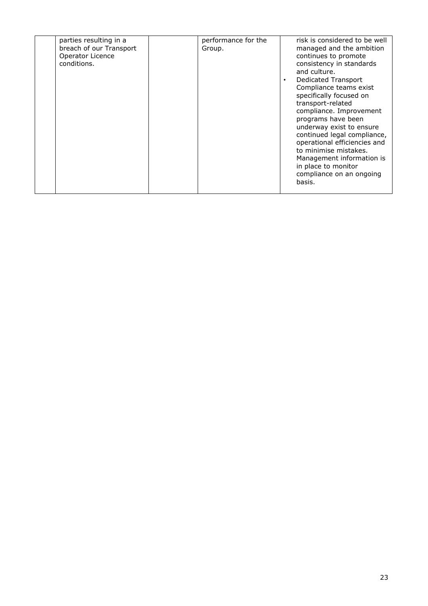| parties resulting in a<br>breach of our Transport<br>Operator Licence<br>conditions. | performance for the<br>Group. | risk is considered to be well<br>managed and the ambition<br>continues to promote<br>consistency in standards<br>and culture.<br>Dedicated Transport<br>$\bullet$<br>Compliance teams exist<br>specifically focused on<br>transport-related<br>compliance. Improvement<br>programs have been<br>underway exist to ensure<br>continued legal compliance,<br>operational efficiencies and<br>to minimise mistakes.<br>Management information is<br>in place to monitor<br>compliance on an ongoing<br>basis. |
|--------------------------------------------------------------------------------------|-------------------------------|------------------------------------------------------------------------------------------------------------------------------------------------------------------------------------------------------------------------------------------------------------------------------------------------------------------------------------------------------------------------------------------------------------------------------------------------------------------------------------------------------------|
|--------------------------------------------------------------------------------------|-------------------------------|------------------------------------------------------------------------------------------------------------------------------------------------------------------------------------------------------------------------------------------------------------------------------------------------------------------------------------------------------------------------------------------------------------------------------------------------------------------------------------------------------------|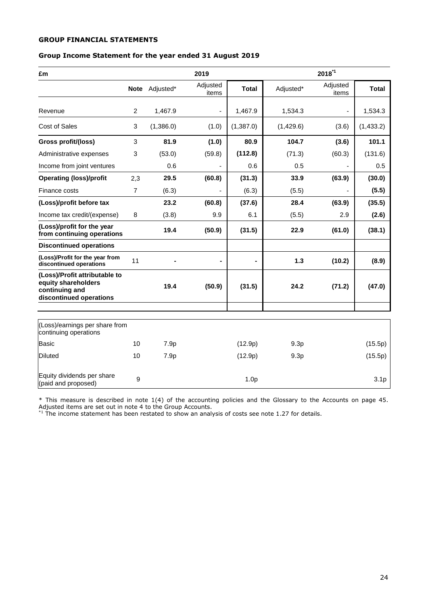# **GROUP FINANCIAL STATEMENTS**

# **Group Income Statement for the year ended 31 August 2019**

| £m                                                                                                |                |                | 2019                     |                  |           | $2018^{1}$        |                  |
|---------------------------------------------------------------------------------------------------|----------------|----------------|--------------------------|------------------|-----------|-------------------|------------------|
|                                                                                                   |                | Note Adjusted* | Adjusted<br>items        | <b>Total</b>     | Adjusted* | Adjusted<br>items | <b>Total</b>     |
| Revenue                                                                                           | $\overline{c}$ | 1,467.9        | $\overline{\phantom{a}}$ | 1,467.9          | 1,534.3   |                   | 1,534.3          |
| <b>Cost of Sales</b>                                                                              | 3              | (1,386.0)      | (1.0)                    | (1,387.0)        | (1,429.6) | (3.6)             | (1,433.2)        |
| Gross profit/(loss)                                                                               | 3              | 81.9           | (1.0)                    | 80.9             | 104.7     | (3.6)             | 101.1            |
| Administrative expenses                                                                           | 3              | (53.0)         | (59.8)                   | (112.8)          | (71.3)    | (60.3)            | (131.6)          |
| Income from joint ventures                                                                        |                | 0.6            |                          | 0.6              | 0.5       |                   | 0.5              |
| <b>Operating (loss)/profit</b>                                                                    | 2,3            | 29.5           | (60.8)                   | (31.3)           | 33.9      | (63.9)            | (30.0)           |
| Finance costs                                                                                     | 7              | (6.3)          |                          | (6.3)            | (5.5)     |                   | (5.5)            |
| (Loss)/profit before tax                                                                          |                | 23.2           | (60.8)                   | (37.6)           | 28.4      | (63.9)            | (35.5)           |
| Income tax credit/(expense)                                                                       | 8              | (3.8)          | 9.9                      | 6.1              | (5.5)     | 2.9               | (2.6)            |
| (Loss)/profit for the year<br>from continuing operations                                          |                | 19.4           | (50.9)                   | (31.5)           | 22.9      | (61.0)            | (38.1)           |
| <b>Discontinued operations</b>                                                                    |                |                |                          |                  |           |                   |                  |
| (Loss)/Profit for the year from<br>discontinued operations                                        | 11             |                |                          | $\blacksquare$   | 1.3       | (10.2)            | (8.9)            |
| (Loss)/Profit attributable to<br>equity shareholders<br>continuing and<br>discontinued operations |                | 19.4           | (50.9)                   | (31.5)           | 24.2      | (71.2)            | (47.0)           |
|                                                                                                   |                |                |                          |                  |           |                   |                  |
| (Loss)/earnings per share from<br>continuing operations                                           |                |                |                          |                  |           |                   |                  |
| <b>Basic</b>                                                                                      | 10             | 7.9p           |                          | (12.9p)          | 9.3p      |                   | (15.5p)          |
| <b>Diluted</b>                                                                                    | 10             | 7.9p           |                          | (12.9p)          | 9.3p      |                   | (15.5p)          |
| Equity dividends per share<br>(paid and proposed)                                                 | 9              |                |                          | 1.0 <sub>p</sub> |           |                   | 3.1 <sub>p</sub> |

\* This measure is described in note 1(4) of the accounting policies and the Glossary to the Accounts on page 45. Adjusted items are set out in note 4 to the Group Accounts.

 $*1$  The income statement has been restated to show an analysis of costs see note 1.27 for details.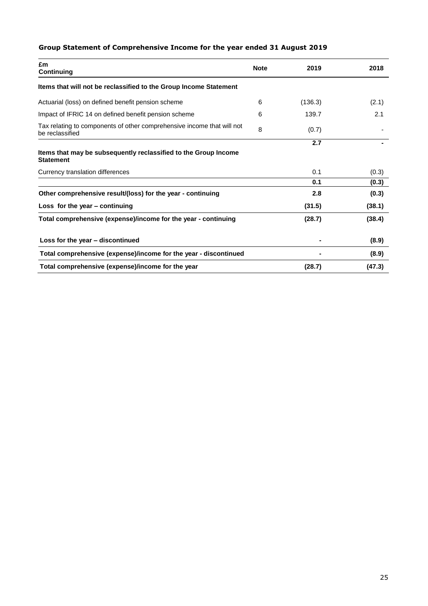# **Group Statement of Comprehensive Income for the year ended 31 August 2019**

| £m<br>Continuing                                                                          | <b>Note</b> | 2019    | 2018   |
|-------------------------------------------------------------------------------------------|-------------|---------|--------|
| Items that will not be reclassified to the Group Income Statement                         |             |         |        |
| Actuarial (loss) on defined benefit pension scheme                                        | 6           | (136.3) | (2.1)  |
| Impact of IFRIC 14 on defined benefit pension scheme                                      | 6           | 139.7   | 2.1    |
| Tax relating to components of other comprehensive income that will not<br>be reclassified | 8           | (0.7)   |        |
| Items that may be subsequently reclassified to the Group Income<br><b>Statement</b>       |             | 2.7     |        |
| Currency translation differences                                                          |             | 0.1     | (0.3)  |
|                                                                                           |             | 0.1     | (0.3)  |
| Other comprehensive result/(loss) for the year - continuing                               |             | 2.8     | (0.3)  |
| Loss for the year - continuing                                                            |             | (31.5)  | (38.1) |
| Total comprehensive (expense)/income for the year - continuing                            |             | (28.7)  | (38.4) |
| Loss for the year - discontinued                                                          |             |         | (8.9)  |
| Total comprehensive (expense)/income for the year - discontinued                          |             |         | (8.9)  |
| Total comprehensive (expense)/income for the year                                         |             | (28.7)  | (47.3) |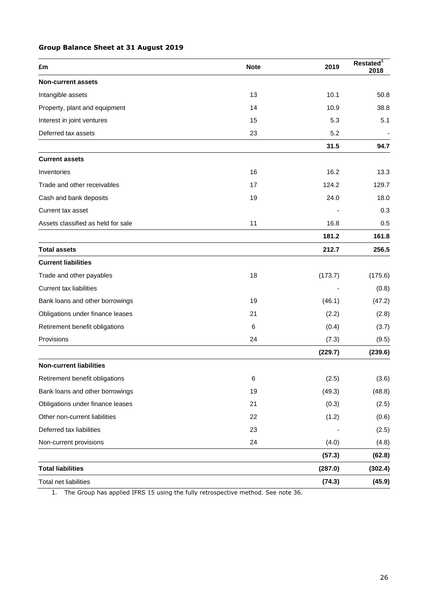# **Group Balance Sheet at 31 August 2019**

| £m                                 | <b>Note</b> | 2019    | Restated <sup>1</sup><br>2018 |
|------------------------------------|-------------|---------|-------------------------------|
| <b>Non-current assets</b>          |             |         |                               |
| Intangible assets                  | 13          | 10.1    | 50.8                          |
| Property, plant and equipment      | 14          | 10.9    | 38.8                          |
| Interest in joint ventures         | 15          | 5.3     | 5.1                           |
| Deferred tax assets                | 23          | 5.2     |                               |
|                                    |             | 31.5    | 94.7                          |
| <b>Current assets</b>              |             |         |                               |
| Inventories                        | 16          | 16.2    | 13.3                          |
| Trade and other receivables        | 17          | 124.2   | 129.7                         |
| Cash and bank deposits             | 19          | 24.0    | 18.0                          |
| Current tax asset                  |             |         | 0.3                           |
| Assets classified as held for sale | 11          | 16.8    | 0.5                           |
|                                    |             | 181.2   | 161.8                         |
| <b>Total assets</b>                |             | 212.7   | 256.5                         |
| <b>Current liabilities</b>         |             |         |                               |
| Trade and other payables           | 18          | (173.7) | (175.6)                       |
| <b>Current tax liabilities</b>     |             |         | (0.8)                         |
| Bank loans and other borrowings    | 19          | (46.1)  | (47.2)                        |
| Obligations under finance leases   | 21          | (2.2)   | (2.8)                         |
| Retirement benefit obligations     | 6           | (0.4)   | (3.7)                         |
| Provisions                         | 24          | (7.3)   | (9.5)                         |
|                                    |             | (229.7) | (239.6)                       |
| <b>Non-current liabilities</b>     |             |         |                               |
| Retirement benefit obligations     | 6           | (2.5)   | (3.6)                         |
| Bank loans and other borrowings    | 19          | (49.3)  | (48.8)                        |
| Obligations under finance leases   | 21          | (0.3)   | (2.5)                         |
| Other non-current liabilities      | 22          | (1.2)   | (0.6)                         |
| Deferred tax liabilities           | 23          |         | (2.5)                         |
| Non-current provisions             | 24          | (4.0)   | (4.8)                         |
|                                    |             | (57.3)  | (62.8)                        |
| <b>Total liabilities</b>           |             | (287.0) | (302.4)                       |
| Total net liabilities              |             | (74.3)  | (45.9)                        |

1. The Group has applied IFRS 15 using the fully retrospective method. See note 36.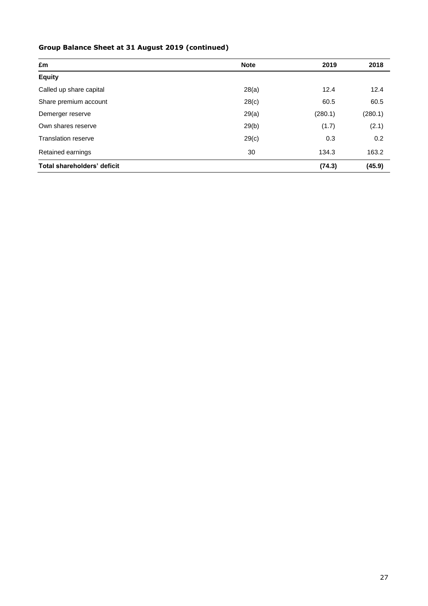# **Group Balance Sheet at 31 August 2019 (continued)**

| £m                          | <b>Note</b> | 2019    | 2018    |
|-----------------------------|-------------|---------|---------|
| <b>Equity</b>               |             |         |         |
| Called up share capital     | 28(a)       | 12.4    | 12.4    |
| Share premium account       | 28(c)       | 60.5    | 60.5    |
| Demerger reserve            | 29(a)       | (280.1) | (280.1) |
| Own shares reserve          | 29(b)       | (1.7)   | (2.1)   |
| <b>Translation reserve</b>  | 29(c)       | 0.3     | 0.2     |
| Retained earnings           | 30          | 134.3   | 163.2   |
| Total shareholders' deficit |             | (74.3)  | (45.9)  |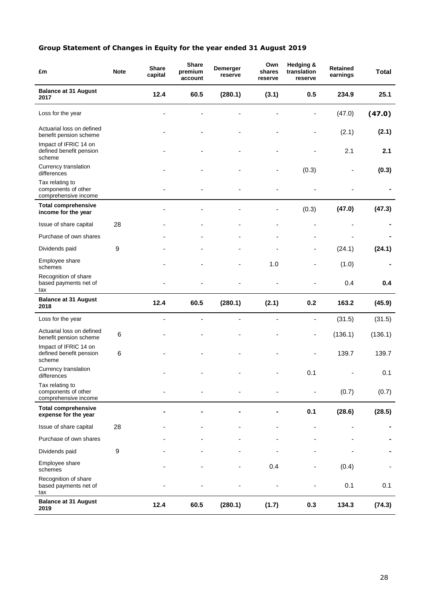# **Group Statement of Changes in Equity for the year ended 31 August 2019**

| £m                                                             | <b>Note</b> | <b>Share</b><br>capital  | <b>Share</b><br>premium<br>account | Demerger<br>reserve | Own<br>shares<br>reserve | Hedging &<br>translation<br>reserve | <b>Retained</b><br>earnings | <b>Total</b> |
|----------------------------------------------------------------|-------------|--------------------------|------------------------------------|---------------------|--------------------------|-------------------------------------|-----------------------------|--------------|
| <b>Balance at 31 August</b><br>2017                            |             | 12.4                     | 60.5                               | (280.1)             | (3.1)                    | 0.5                                 | 234.9                       | 25.1         |
| Loss for the year                                              |             |                          |                                    |                     |                          |                                     | (47.0)                      | (47.0)       |
| Actuarial loss on defined<br>benefit pension scheme            |             |                          |                                    |                     |                          |                                     | (2.1)                       | (2.1)        |
| Impact of IFRIC 14 on<br>defined benefit pension<br>scheme     |             |                          |                                    |                     |                          |                                     | 2.1                         | 2.1          |
| Currency translation<br>differences                            |             |                          |                                    |                     |                          | (0.3)                               |                             | (0.3)        |
| Tax relating to<br>components of other<br>comprehensive income |             |                          |                                    |                     |                          |                                     |                             |              |
| <b>Total comprehensive</b><br>income for the year              |             |                          |                                    |                     |                          | (0.3)                               | (47.0)                      | (47.3)       |
| Issue of share capital                                         | 28          |                          |                                    |                     |                          | ÷                                   |                             |              |
| Purchase of own shares                                         |             |                          |                                    |                     | ٠                        | $\overline{\phantom{a}}$            |                             |              |
| Dividends paid                                                 | 9           |                          |                                    |                     |                          | -                                   | (24.1)                      | (24.1)       |
| Employee share<br>schemes                                      |             |                          |                                    |                     | 1.0                      | ÷,                                  | (1.0)                       |              |
| Recognition of share<br>based payments net of<br>tax           |             |                          |                                    |                     |                          |                                     | 0.4                         | 0.4          |
| <b>Balance at 31 August</b><br>2018                            |             | 12.4                     | 60.5                               | (280.1)             | (2.1)                    | 0.2                                 | 163.2                       | (45.9)       |
| Loss for the year                                              |             | $\overline{\phantom{a}}$ | $\overline{a}$                     | ÷,                  | ÷,                       | $\blacksquare$                      | (31.5)                      | (31.5)       |
| Actuarial loss on defined<br>benefit pension scheme            | 6           |                          |                                    |                     |                          | $\frac{1}{2}$                       | (136.1)                     | (136.1)      |
| Impact of IFRIC 14 on<br>defined benefit pension<br>scheme     | 6           |                          |                                    |                     |                          | ä,                                  | 139.7                       | 139.7        |
| Currency translation<br>differences                            |             |                          |                                    |                     |                          | 0.1                                 |                             | 0.1          |
| Tax relating to<br>components of other<br>comprehensive income |             |                          |                                    |                     |                          | ٠                                   | (0.7)                       | (0.7)        |
| <b>Total comprehensive</b><br>expense for the year             |             |                          |                                    |                     |                          | 0.1                                 | (28.6)                      | (28.5)       |
| Issue of share capital                                         | 28          |                          |                                    |                     |                          |                                     |                             |              |
| Purchase of own shares                                         |             |                          |                                    |                     |                          |                                     |                             |              |
| Dividends paid                                                 | 9           |                          |                                    |                     |                          |                                     |                             |              |
| Employee share<br>schemes                                      |             |                          |                                    |                     | 0.4                      |                                     | (0.4)                       |              |
| Recognition of share<br>based payments net of<br>tax           |             |                          |                                    |                     |                          |                                     | 0.1                         | 0.1          |
| <b>Balance at 31 August</b><br>2019                            |             | 12.4                     | 60.5                               | (280.1)             | (1.7)                    | 0.3                                 | 134.3                       | (74.3)       |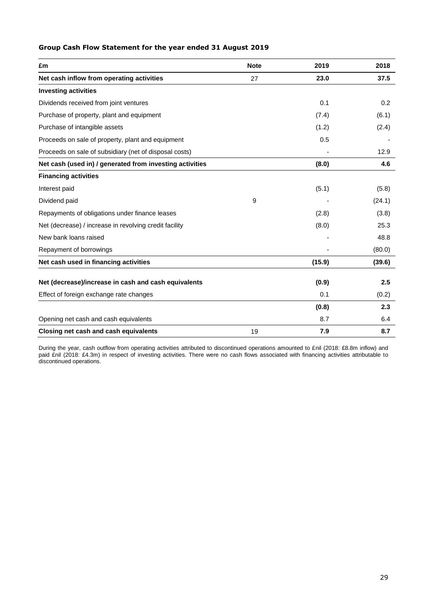# **Group Cash Flow Statement for the year ended 31 August 2019**

| £m                                                       | <b>Note</b> | 2019   | 2018   |
|----------------------------------------------------------|-------------|--------|--------|
| Net cash inflow from operating activities                | 27          | 23.0   | 37.5   |
| <b>Investing activities</b>                              |             |        |        |
| Dividends received from joint ventures                   |             | 0.1    | 0.2    |
| Purchase of property, plant and equipment                |             | (7.4)  | (6.1)  |
| Purchase of intangible assets                            |             | (1.2)  | (2.4)  |
| Proceeds on sale of property, plant and equipment        |             | 0.5    |        |
| Proceeds on sale of subsidiary (net of disposal costs)   |             |        | 12.9   |
| Net cash (used in) / generated from investing activities |             | (8.0)  | 4.6    |
| <b>Financing activities</b>                              |             |        |        |
| Interest paid                                            |             | (5.1)  | (5.8)  |
| Dividend paid                                            | 9           |        | (24.1) |
| Repayments of obligations under finance leases           |             | (2.8)  | (3.8)  |
| Net (decrease) / increase in revolving credit facility   |             | (8.0)  | 25.3   |
| New bank loans raised                                    |             |        | 48.8   |
| Repayment of borrowings                                  |             |        | (80.0) |
| Net cash used in financing activities                    |             | (15.9) | (39.6) |
| Net (decrease)/increase in cash and cash equivalents     |             | (0.9)  | 2.5    |
| Effect of foreign exchange rate changes                  |             | 0.1    | (0.2)  |
|                                                          |             | (0.8)  | 2.3    |
| Opening net cash and cash equivalents                    |             | 8.7    | 6.4    |
| Closing net cash and cash equivalents                    | 19          | 7.9    | 8.7    |

During the year, cash outflow from operating activities attributed to discontinued operations amounted to £nil (2018: £8.8m inflow) and paid £nil (2018: £4.3m) in respect of investing activities. There were no cash flows associated with financing activities attributable to discontinued operations.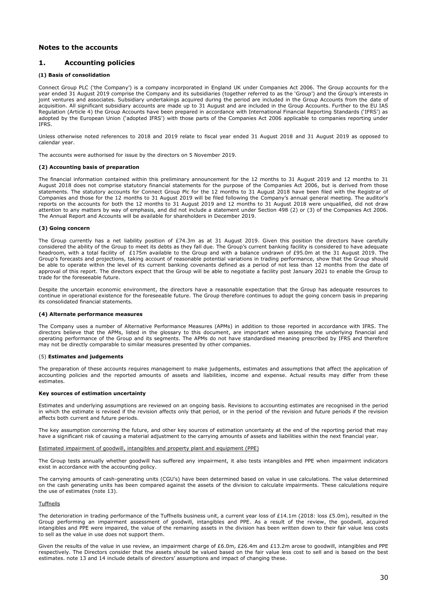### **Notes to the accounts**

### **1. Accounting policies**

### **(1) Basis of consolidation**

Connect Group PLC ('the Company') is a company incorporated in England UK under Companies Act 2006. The Group accounts for the year ended 31 August 2019 comprise the Company and its subsidiaries (together referred to as the 'Group') and the Group's interests in joint ventures and associates. Subsidiary undertakings acquired during the period are included in the Group Accounts from the date of acquisition. All significant subsidiary accounts are made up to 31 August and are included in the Group Accounts. Further to the EU IAS Regulation (Article 4) the Group Accounts have been prepared in accordance with International Financial Reporting Standards ('IFRS') as adopted by the European Union ('adopted IFRS') with those parts of the Companies Act 2006 applicable to companies reporting under IFRS.

Unless otherwise noted references to 2018 and 2019 relate to fiscal year ended 31 August 2018 and 31 August 2019 as opposed to calendar year.

The accounts were authorised for issue by the directors on 5 November 2019.

### **(2) Accounting basis of preparation**

The financial information contained within this preliminary announcement for the 12 months to 31 August 2019 and 12 months to 31 August 2018 does not comprise statutory financial statements for the purpose of the Companies Act 2006, but is derived from those statements. The statutory accounts for Connect Group Plc for the 12 months to 31 August 2018 have been filed with the Registrar of Companies and those for the 12 months to 31 August 2019 will be filed following the Company's annual general meeting. The auditor's reports on the accounts for both the 12 months to 31 August 2019 and 12 months to 31 August 2018 were unqualified, did not draw attention to any matters by way of emphasis, and did not include a statement under Section 498 (2) or (3) of the Companies Act 2006. The Annual Report and Accounts will be available for shareholders in December 2019.

#### **(3) Going concern**

The Group currently has a net liability position of £74.3m as at 31 August 2019. Given this position the directors have carefully considered the ability of the Group to meet its debts as they fall due. The Group's current banking facility is considered to have adequate headroom, with a total facility of £175m available to the Group and with a balance undrawn of £95.0m at the 31 August 2019. The Group's forecasts and projections, taking account of reasonable potential variations in trading performance, show that the Group should be able to operate within the level of its current banking covenants defined as a period of not less than 12 months from the date of approval of this report. The directors expect that the Group will be able to negotiate a facility post January 2021 to enable the Group to trade for the foreseeable future.

Despite the uncertain economic environment, the directors have a reasonable expectation that the Group has adequate resources to continue in operational existence for the foreseeable future. The Group therefore continues to adopt the going concern basis in preparing its consolidated financial statements.

#### **(4) Alternate performance measures**

The Company uses a number of Alternative Performance Measures (APMs) in addition to those reported in accordance with IFRS. The directors believe that the APMs, listed in the glossary to this document, are important when assessing the underlying financial and operating performance of the Group and its segments. The APMs do not have standardised meaning prescribed by IFRS and therefore may not be directly comparable to similar measures presented by other companies.

#### (5) **Estimates and judgements**

The preparation of these accounts requires management to make judgements, estimates and assumptions that affect the application of accounting policies and the reported amounts of assets and liabilities, income and expense. Actual results may differ from these estimates.

### **Key sources of estimation uncertainty**

Estimates and underlying assumptions are reviewed on an ongoing basis. Revisions to accounting estimates are recognised in the period in which the estimate is revised if the revision affects only that period, or in the period of the revision and future periods if the revision affects both current and future periods.

The key assumption concerning the future, and other key sources of estimation uncertainty at the end of the reporting period that may have a significant risk of causing a material adjustment to the carrying amounts of assets and liabilities within the next financial year.

### Estimated impairment of goodwill, intangibles and property plant and equipment (PPE)

The Group tests annually whether goodwill has suffered any impairment, it also tests intangibles and PPE when impairment indicators exist in accordance with the accounting policy.

The carrying amounts of cash-generating units (CGU's) have been determined based on value in use calculations. The value determined on the cash generating units has been compared against the assets of the division to calculate impairments. These calculations require the use of estimates (note 13).

### Tuffnells

The deterioration in trading performance of the Tuffnells business unit, a current year loss of £14.1m (2018: loss £5.0m), resulted in the Group performing an impairment assessment of goodwill, intangibles and PPE. As a result of the review, the goodwill, acquired intangibles and PPE were impaired, the value of the remaining assets in the division has been written down to their fair value less costs to sell as the value in use does not support them.

Given the results of the value in use review, an impairment charge of £6.0m, £26.4m and £13.2m arose to goodwill, intangibles and PPE respectively. The Directors consider that the assets should be valued based on the fair value less cost to sell and is based on the best estimates. note 13 and 14 include details of directors' assumptions and impact of changing these.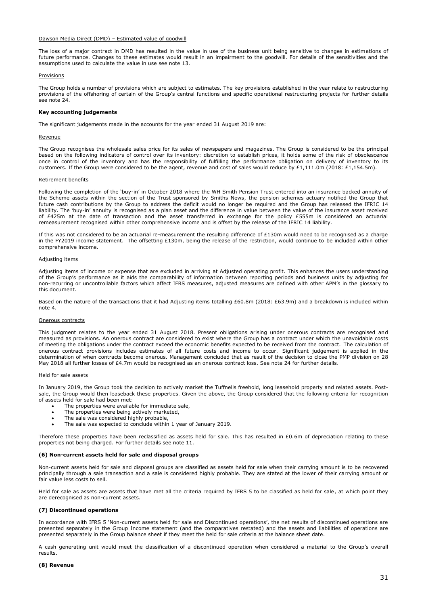### Dawson Media Direct (DMD) – Estimated value of goodwill

The loss of a major contract in DMD has resulted in the value in use of the business unit being sensitive to changes in estimations of future performance. Changes to these estimates would result in an impairment to the goodwill. For details of the sensitivities and the assumptions used to calculate the value in use see note 13.

#### **Provisions**

The Group holds a number of provisions which are subject to estimates. The key provisions established in the year relate to restructuring provisions of the offshoring of certain of the Group's central functions and specific operational restructuring projects for further details see note 24.

#### **Key accounting judgements**

The significant judgements made in the accounts for the year ended 31 August 2019 are:

### Revenue

The Group recognises the wholesale sales price for its sales of newspapers and magazines. The Group is considered to be the principal based on the following indicators of control over its inventory: discretion to establish prices, it holds some of the risk of obsolescence once in control of the inventory and has the responsibility of fulfilling the performance obligation on delivery of inventory to its customers. If the Group were considered to be the agent, revenue and cost of sales would reduce by £1,111.0m (2018: £1,154.5m).

### Retirement benefits

Following the completion of the 'buy-in' in October 2018 where the WH Smith Pension Trust entered into an insurance backed annuity of the Scheme assets within the section of the Trust sponsored by Smiths News, the pension schemes actuary notified the Group that future cash contributions by the Group to address the deficit would no longer be required and the Group has released the IFRIC 14 liability. The 'buy-in' annuity is recognised as a plan asset and the difference in value between the value of the insurance asset received of £425m at the date of transaction and the asset transferred in exchange for the policy £555m is considered an actuarial remeasurement recognised within other comprehensive income and is offset by the release of the IFRIC 14 liability.

If this was not considered to be an actuarial re-measurement the resulting difference of £130m would need to be recognised as a charge in the FY2019 income statement. The offsetting £130m, being the release of the restriction, would continue to be included within other comprehensive income.

#### Adjusting items

Adjusting items of income or expense that are excluded in arriving at Adjusted operating profit. This enhances the users understanding of the Group's performance as it aids the comparability of information between reporting periods and business units by adjusting for non-recurring or uncontrollable factors which affect IFRS measures, adjusted measures are defined with other APM's in the glossary to this document.

Based on the nature of the transactions that it had Adjusting items totalling £60.8m (2018: £63.9m) and a breakdown is included within note 4.

#### Onerous contracts

This judgment relates to the year ended 31 August 2018. Present obligations arising under onerous contracts are recognised and measured as provisions. An onerous contract are considered to exist where the Group has a contract under which the unavoidable costs of meeting the obligations under the contract exceed the economic benefits expected to be received from the contract. The calculation of onerous contract provisions includes estimates of all future costs and income to occur. Significant judgement is applied in the determination of when contracts become onerous. Management concluded that as result of the decision to close the PMP division on 28 May 2018 all further losses of £4.7m would be recognised as an onerous contract loss. See note 24 for further details.

### Held for sale assets

In January 2019, the Group took the decision to actively market the Tuffnells freehold, long leasehold property and related assets. Postsale, the Group would then leaseback these properties. Given the above, the Group considered that the following criteria for recognition of assets held for sale had been met:

- The properties were available for immediate sale,
- The properties were being actively marketed,
- The sale was considered highly probable,
- The sale was expected to conclude within 1 year of January 2019.

Therefore these properties have been reclassified as assets held for sale. This has resulted in £0.6m of depreciation relating to these properties not being charged. For further details see note 11.

#### **(6) Non-current assets held for sale and disposal groups**

Non-current assets held for sale and disposal groups are classified as assets held for sale when their carrying amount is to be recovered principally through a sale transaction and a sale is considered highly probable. They are stated at the lower of their carrying amount or fair value less costs to sell.

Held for sale as assets are assets that have met all the criteria required by IFRS 5 to be classified as held for sale, at which point they are derecognised as non-current assets.

### **(7) Discontinued operations**

In accordance with IFRS 5 'Non-current assets held for sale and Discontinued operations', the net results of discontinued operations are presented separately in the Group Income statement (and the comparatives restated) and the assets and liabilities of operations are presented separately in the Group balance sheet if they meet the held for sale criteria at the balance sheet date.

A cash generating unit would meet the classification of a discontinued operation when considered a material to the Group's overall results.

### **(8) Revenue**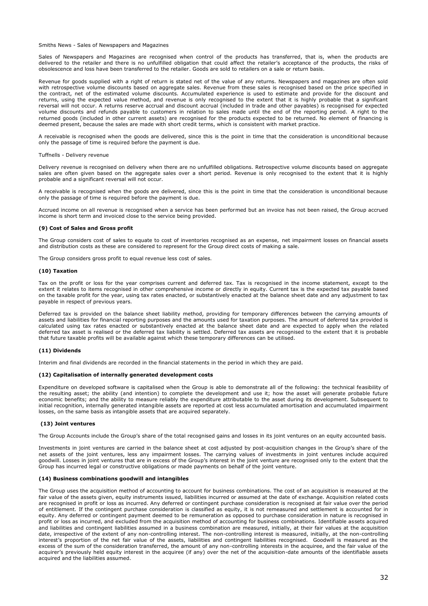### Smiths News - Sales of Newspapers and Magazines

Sales of Newspapers and Magazines are recognised when control of the products has transferred, that is, when the products are delivered to the retailer and there is no unfulfilled obligation that could affect the retailer's acceptance of the products, the risks of obsolescence and loss have been transferred to the retailer. Goods are sold to retailers on a sale or return basis.

Revenue for goods supplied with a right of return is stated net of the value of any returns. Newspapers and magazines are often sold with retrospective volume discounts based on aggregate sales. Revenue from these sales is recognised based on the price specified in the contract, net of the estimated volume discounts. Accumulated experience is used to estimate and provide for the discount and returns, using the expected value method, and revenue is only recognised to the extent that it is highly probable that a significant reversal will not occur. A returns reserve accrual and discount accrual (included in trade and other payables) is recognised for expected volume discounts and refunds payable to customers in relation to sales made until the end of the reporting period. A right to the returned goods (included in other current assets) are recognised for the products expected to be returned. No element of financing is deemed present, because the sales are made with short credit terms, which is consistent with market practice.

A receivable is recognised when the goods are delivered, since this is the point in time that the consideration is unconditional because only the passage of time is required before the payment is due.

#### Tuffnells - Delivery revenue

Delivery revenue is recognised on delivery when there are no unfulfilled obligations. Retrospective volume discounts based on aggregate sales are often given based on the aggregate sales over a short period. Revenue is only recognised to the extent that it is highly probable and a significant reversal will not occur.

A receivable is recognised when the goods are delivered, since this is the point in time that the consideration is unconditional because only the passage of time is required before the payment is due.

Accrued income on all revenue is recognised when a service has been performed but an invoice has not been raised, the Group accrued income is short term and invoiced close to the service being provided.

### **(9) Cost of Sales and Gross profit**

The Group considers cost of sales to equate to cost of inventories recognised as an expense, net impairment losses on financial assets and distribution costs as these are considered to represent for the Group direct costs of making a sale.

The Group considers gross profit to equal revenue less cost of sales.

### **(10) Taxation**

Tax on the profit or loss for the year comprises current and deferred tax. Tax is recognised in the income statement, except to the extent it relates to items recognised in other comprehensive income or directly in equity. Current tax is the expected tax payable based on the taxable profit for the year, using tax rates enacted, or substantively enacted at the balance sheet date and any adjustment to tax payable in respect of previous years.

Deferred tax is provided on the balance sheet liability method, providing for temporary differences between the carrying amounts of assets and liabilities for financial reporting purposes and the amounts used for taxation purposes. The amount of deferred tax provided is calculated using tax rates enacted or substantively enacted at the balance sheet date and are expected to apply when the related deferred tax asset is realised or the deferred tax liability is settled. Deferred tax assets are recognised to the extent that it is probable that future taxable profits will be available against which these temporary differences can be utilised.

### **(11) Dividends**

Interim and final dividends are recorded in the financial statements in the period in which they are paid.

### **(12) Capitalisation of internally generated development costs**

Expenditure on developed software is capitalised when the Group is able to demonstrate all of the following: the technical feasibility of the resulting asset; the ability (and intention) to complete the development and use it; how the asset will generate probable future economic benefits; and the ability to measure reliably the expenditure attributable to the asset during its development. Subsequent to initial recognition, internally generated intangible assets are reported at cost less accumulated amortisation and accumulated impairment losses, on the same basis as intangible assets that are acquired separately.

### **(13) Joint ventures**

The Group Accounts include the Group's share of the total recognised gains and losses in its joint ventures on an equity accounted basis.

Investments in joint ventures are carried in the balance sheet at cost adjusted by post-acquisition changes in the Group's share of the net assets of the joint ventures, less any impairment losses. The carrying values of investments in joint ventures include acquired goodwill. Losses in joint ventures that are in excess of the Group's interest in the joint venture are recognised only to the extent that the Group has incurred legal or constructive obligations or made payments on behalf of the joint venture.

### **(14) Business combinations goodwill and intangibles**

The Group uses the acquisition method of accounting to account for business combinations. The cost of an acquisition is measured at the fair value of the assets given, equity instruments issued, liabilities incurred or assumed at the date of exchange. Acquisition related costs are recognised in profit or loss as incurred. Any deferred or contingent purchase consideration is recognised at fair value over the period of entitlement. If the contingent purchase consideration is classified as equity, it is not remeasured and settlement is accounted for in equity. Any deferred or contingent payment deemed to be remuneration as opposed to purchase consideration in nature is recognised in profit or loss as incurred, and excluded from the acquisition method of accounting for business combinations. Identifiable assets acquired and liabilities and contingent liabilities assumed in a business combination are measured, initially, at their fair values at the acquisition date, irrespective of the extent of any non-controlling interest. The non-controlling interest is measured, initially, at the non-controlling interest's proportion of the net fair value of the assets, liabilities and contingent liabilities recognised. Goodwill is measured as the excess of the sum of the consideration transferred, the amount of any non-controlling interests in the acquiree, and the fair value of the acquirer's previously held equity interest in the acquiree (if any) over the net of the acquisition-date amounts of the identifiable assets acquired and the liabilities assumed.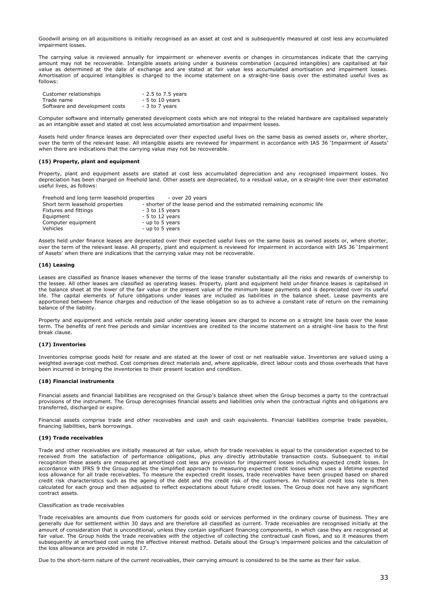Goodwill arising on all acquisitions is initially recognised as an asset at cost and is subsequently measured at cost less any accumulated impairment losses.

The carrying value is reviewed annually for impairment or whenever events or changes in circumstances indicate that the carrying amount may not be recoverable. Intangible assets arising under a business combination (acquired intangibles) are capitalised at fair value as determined at the date of exchange and are stated at fair value less accumulated amortisation and impairment losses. Amortisation of acquired intangibles is charged to the income statement on a straight-line basis over the estimated useful lives as follows:

| Customer relationships         | - 2.5 to 7.5 years |
|--------------------------------|--------------------|
| Trade name                     | $-5$ to 10 years   |
| Software and development costs | - 3 to 7 years     |

Computer software and internally generated development costs which are not integral to the related hardware are capitalised separately as an intangible asset and stated at cost less accumulated amortisation and impairment losses.

Assets held under finance leases are depreciated over their expected useful lives on the same basis as owned assets or, where shorter, over the term of the relevant lease. All intangible assets are reviewed for impairment in accordance with IAS 36 'Impairment of Assets' when there are indications that the carrying value may not be recoverable.

### **(15) Property, plant and equipment**

Property, plant and equipment assets are stated at cost less accumulated depreciation and any recognised impairment losses. No depreciation has been charged on freehold land. Other assets are depreciated, to a residual value, on a straight-line over their estimated useful lives, as follows:

| Freehold and long term leasehold properties | - over 20 vears                                                         |
|---------------------------------------------|-------------------------------------------------------------------------|
| Short term leasehold properties             | - shorter of the lease period and the estimated remaining economic life |
| Fixtures and fittings                       | $-3$ to 15 years                                                        |
| Equipment                                   | $-5$ to 12 years                                                        |
| Computer equipment                          | - up to 5 years                                                         |
| Vehicles                                    | - up to 5 years                                                         |

Assets held under finance leases are depreciated over their expected useful lives on the same basis as owned assets or, where shorter, over the term of the relevant lease. All property, plant and equipment is reviewed for impairment in accordance with IAS 36 'Impairment of Assets' when there are indications that the carrying value may not be recoverable.

### **(16) Leasing**

Leases are classified as finance leases whenever the terms of the lease transfer substantially all the risks and rewards of ownership to the lessee. All other leases are classified as operating leases. Property, plant and equipment held under finance leases is capitalised in the balance sheet at the lower of the fair value or the present value of the minimum lease payments and is depreciated over its useful life. The capital elements of future obligations under leases are included as liabilities in the balance sheet. Lease payments are apportioned between finance charges and reduction of the lease obligation so as to achieve a constant rate of return on the remaining balance of the liability.

Property and equipment and vehicle rentals paid under operating leases are charged to income on a straight line basis over the lease term. The benefits of rent free periods and similar incentives are credited to the income statement on a straight-line basis to the first break clause.

### **(17) Inventories**

Inventories comprise goods held for resale and are stated at the lower of cost or net realisable value. Inventories are valued using a weighted average cost method. Cost comprises direct materials and, where applicable, direct labour costs and those overheads that have been incurred in bringing the inventories to their present location and condition.

### **(18) Financial instruments**

Financial assets and financial liabilities are recognised on the Group's balance sheet when the Group becomes a party to the contractual provisions of the instrument. The Group derecognises financial assets and liabilities only when the contractual rights and obligations are transferred, discharged or expire.

Financial assets comprise trade and other receivables and cash and cash equivalents. Financial liabilities comprise trade payables, financing liabilities, bank borrowings.

### **(19) Trade receivables**

Trade and other receivables are initially measured at fair value, which for trade receivables is equal to the consideration expected to be received from the satisfaction of performance obligations, plus any directly attributable transaction costs. Subsequent to initial recognition these assets are measured at amortised cost less any provision for impairment losses including expected credit losses. In accordance with IFRS 9 the Group applies the simplified approach to measuring expected credit losses which uses a lifetime expected loss allowance for all trade receivables. To measure the expected credit losses, trade receivables have been grouped based on shared credit risk characteristics such as the ageing of the debt and the credit risk of the customers. An historical credit loss rate is then calculated for each group and then adjusted to reflect expectations about future credit losses. The Group does not have any significant contract assets.

### Classification as trade receivables

Trade receivables are amounts due from customers for goods sold or services performed in the ordinary course of business. They are generally due for settlement within 30 days and are therefore all classified as current. Trade receivables are recognised initially at the amount of consideration that is unconditional, unless they contain significant financing components, in which case they are recognised at fair value. The Group holds the trade receivables with the objective of collecting the contractual cash flows, and so it measures them subsequently at amortised cost using the effective interest method. Details about the Group's impairment policies and the calculation of the loss allowance are provided in note 17.

Due to the short-term nature of the current receivables, their carrying amount is considered to be the same as their fair value.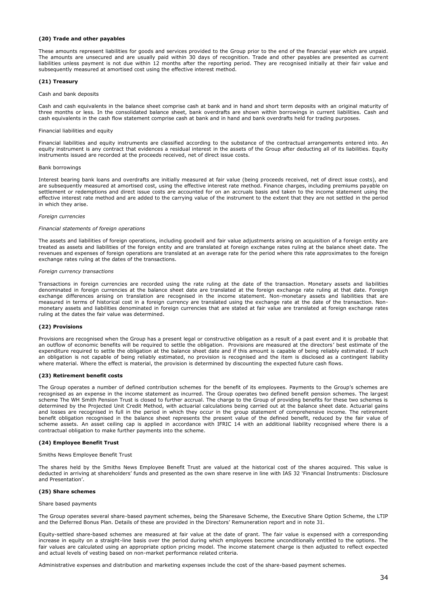### **(20) Trade and other payables**

These amounts represent liabilities for goods and services provided to the Group prior to the end of the financial year which are unpaid. The amounts are unsecured and are usually paid within 30 days of recognition. Trade and other payables are presented as current liabilities unless payment is not due within 12 months after the reporting period. They are recognised initially at their fair value and subsequently measured at amortised cost using the effective interest method.

### **(21) Treasury**

#### Cash and bank deposits

Cash and cash equivalents in the balance sheet comprise cash at bank and in hand and short term deposits with an original maturity of three months or less. In the consolidated balance sheet, bank overdrafts are shown within borrowings in current liabilities. Cash and cash equivalents in the cash flow statement comprise cash at bank and in hand and bank overdrafts held for trading purposes.

### Financial liabilities and equity

Financial liabilities and equity instruments are classified according to the substance of the contractual arrangements entered into. An equity instrument is any contract that evidences a residual interest in the assets of the Group after deducting all of its liabilities. Equity instruments issued are recorded at the proceeds received, net of direct issue costs.

#### Bank borrowings

Interest bearing bank loans and overdrafts are initially measured at fair value (being proceeds received, net of direct issue costs), and are subsequently measured at amortised cost, using the effective interest rate method. Finance charges, including premiums payable on settlement or redemptions and direct issue costs are accounted for on an accruals basis and taken to the income statement using the effective interest rate method and are added to the carrying value of the instrument to the extent that they are not settled in the period in which they arise.

### *Foreign currencies*

### *Financial statements of foreign operations*

The assets and liabilities of foreign operations, including goodwill and fair value adjustments arising on acquisition of a foreign entity are treated as assets and liabilities of the foreign entity and are translated at foreign exchange rates ruling at the balance sheet date. The revenues and expenses of foreign operations are translated at an average rate for the period where this rate approximates to the foreign exchange rates ruling at the dates of the transactions.

#### *Foreign currency transactions*

Transactions in foreign currencies are recorded using the rate ruling at the date of the transaction. Monetary assets and liabilities denominated in foreign currencies at the balance sheet date are translated at the foreign exchange rate ruling at that date. Foreign exchange differences arising on translation are recognised in the income statement. Non-monetary assets and liabilities that are measured in terms of historical cost in a foreign currency are translated using the exchange rate at the date of the transaction. Nonmonetary assets and liabilities denominated in foreign currencies that are stated at fair value are translated at foreign exchange rates ruling at the dates the fair value was determined.

### **(22) Provisions**

Provisions are recognised when the Group has a present legal or constructive obligation as a result of a past event and it is probable that an outflow of economic benefits will be required to settle the obligation. Provisions are measured at the directors' best estimate of the expenditure required to settle the obligation at the balance sheet date and if this amount is capable of being reliably estimated. If such an obligation is not capable of being reliably estimated, no provision is recognised and the item is disclosed as a contingent liability where material. Where the effect is material, the provision is determined by discounting the expected future cash flows.

### **(23) Retirement benefit costs**

The Group operates a number of defined contribution schemes for the benefit of its employees. Payments to the Group's schemes are recognised as an expense in the income statement as incurred. The Group operates two defined benefit pension schemes. The largest scheme The WH Smith Pension Trust is closed to further accrual. The charge to the Group of providing benefits for these two schemes is determined by the Projected Unit Credit Method, with actuarial calculations being carried out at the balance sheet date. Actuarial gains and losses are recognised in full in the period in which they occur in the group statement of comprehensive income. The retirement benefit obligation recognised in the balance sheet represents the present value of the defined benefit, reduced by the fair value of scheme assets. An asset ceiling cap is applied in accordance with IFRIC 14 with an additional liability recognised where there is a contractual obligation to make further payments into the scheme.

### **(24) Employee Benefit Trust**

Smiths News Employee Benefit Trust

The shares held by the Smiths News Employee Benefit Trust are valued at the historical cost of the shares acquired. This value is deducted in arriving at shareholders' funds and presented as the own share reserve in line with IAS 32 'Financial Instruments: Disclosure and Presentation'.

### **(25) Share schemes**

#### Share based payments

The Group operates several share-based payment schemes, being the Sharesave Scheme, the Executive Share Option Scheme, the LTIP and the Deferred Bonus Plan. Details of these are provided in the Directors' Remuneration report and in note 31.

Equity-settled share-based schemes are measured at fair value at the date of grant. The fair value is expensed with a corresponding increase in equity on a straight-line basis over the period during which employees become unconditionally entitled to the options. The fair values are calculated using an appropriate option pricing model. The income statement charge is then adjusted to reflect expected and actual levels of vesting based on non-market performance related criteria.

Administrative expenses and distribution and marketing expenses include the cost of the share-based payment schemes.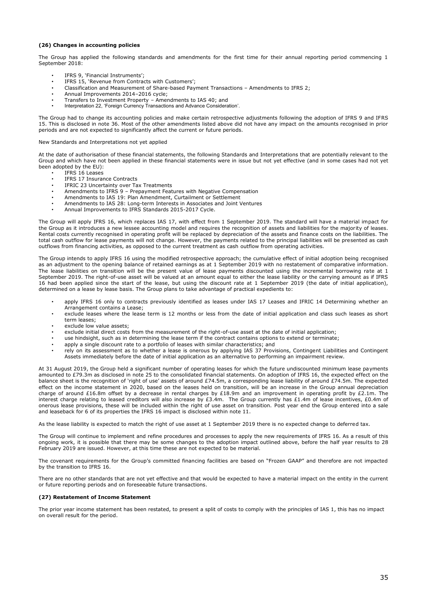### **(26) Changes in accounting policies**

The Group has applied the following standards and amendments for the first time for their annual reporting period commencing 1 September 2018:

- IFRS 9, 'Financial Instruments';
- IFRS 15, 'Revenue from Contracts with Customers';
- Classification and Measurement of Share-based Payment Transactions Amendments to IFRS 2;
- Annual Improvements 2014–2016 cycle;
- Transfers to Investment Property Amendments to IAS 40; and
- Interpretation 22, 'Foreign Currency Transactions and Advance Consideration'.

The Group had to change its accounting policies and make certain retrospective adjustments following the adoption of IFRS 9 and IFRS 15. This is disclosed in note 36. Most of the other amendments listed above did not have any impact on the amounts recognised in prior periods and are not expected to significantly affect the current or future periods.

#### New Standards and Interpretations not yet applied

At the date of authorisation of these financial statements, the following Standards and Interpretations that are potentially relevant to the Group and which have not been applied in these financial statements were in issue but not yet effective (and in some cases had not yet been adopted by the EU):

- IFRS 16 Leases
	- IFRS 17 Insurance Contracts
	- IFRIC 23 Uncertainty over Tax Treatments
	- Amendments to IFRS 9 Prepayment Features with Negative Compensation
	- Amendments to IAS 19: Plan Amendment, Curtailment or Settlement
	- Amendments to IAS 28: Long-term Interests in Associates and Joint Ventures
	- Annual Improvements to IFRS Standards 2015-2017 Cycle.

The Group will apply IFRS 16, which replaces IAS 17, with effect from 1 September 2019. The standard will have a material impact for the Group as it introduces a new lessee accounting model and requires the recognition of assets and liabilities for the majority of leases. Rental costs currently recognised in operating profit will be replaced by depreciation of the assets and finance costs on the liabilities. The total cash outflow for lease payments will not change. However, the payments related to the principal liabilities will be presented as cash outflows from financing activities, as opposed to the current treatment as cash outflow from operating activities.

The Group intends to apply IFRS 16 using the modified retrospective approach; the cumulative effect of initial adoption being recognised as an adjustment to the opening balance of retained earnings as at 1 September 2019 with no restatement of comparative information. The lease liabilities on transition will be the present value of lease payments discounted using the incremental borrowing rate at 1 September 2019. The right-of-use asset will be valued at an amount equal to either the lease liability or the carrying amount as if IFRS 16 had been applied since the start of the lease, but using the discount rate at 1 September 2019 (the date of initial application), determined on a lease by lease basis. The Group plans to take advantage of practical expedients to:

- apply IFRS 16 only to contracts previously identified as leases under IAS 17 Leases and IFRIC 14 Determining whether an Arrangement contains a Lease;
- exclude leases where the lease term is 12 months or less from the date of initial application and class such leases as short term leases;
- exclude low value assets;
- exclude initial direct costs from the measurement of the right-of-use asset at the date of initial application;
- use hindsight, such as in determining the lease term if the contract contains options to extend or terminate;
- apply a single discount rate to a portfolio of leases with similar characteristics; and
- rely on its assessment as to whether a lease is onerous by applying IAS 37 Provisions, Contingent Liabilities and Contingent Assets immediately before the date of initial application as an alternative to performing an impairment review.

At 31 August 2019, the Group held a significant number of operating leases for which the future undiscounted minimum lease payments amounted to £79.3m as disclosed in note 25 to the consolidated financial statements. On adoption of IFRS 16, the expected effect on the balance sheet is the recognition of 'right of use' assets of around £74.5m, a corresponding lease liability of around £74.5m. The expected effect on the income statement in 2020, based on the leases held on transition, will be an increase in the Group annual depreciation charge of around £16.8m offset by a decrease in rental charges by £18.9m and an improvement in operating profit by £2.1m. The interest charge relating to leased creditors will also increase by £3.4m. The Group currently has £1.4m of lease incentives, £0.4m of onerous lease provisions, these will be included within the right of use asset on transition. Post year end the Group entered into a sale and leaseback for 6 of its properties the IFRS 16 impact is disclosed within note 11.

As the lease liability is expected to match the right of use asset at 1 September 2019 there is no expected change to deferred tax.

The Group will continue to implement and refine procedures and processes to apply the new requirements of IFRS 16. As a result of this ongoing work, it is possible that there may be some changes to the adoption impact outlined above, before the half year results to 28 February 2019 are issued. However, at this time these are not expected to be material.

The covenant requirements for the Group's committed financing facilities are based on "Frozen GAAP" and therefore are not impacted by the transition to IFRS 16.

There are no other standards that are not yet effective and that would be expected to have a material impact on the entity in the current or future reporting periods and on foreseeable future transactions.

#### **(27) Restatement of Income Statement**

The prior year income statement has been restated, to present a split of costs to comply with the principles of IAS 1, this has no impact on overall result for the period.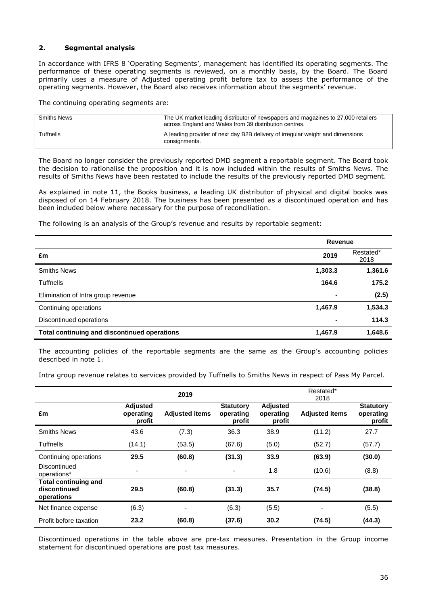# **2. Segmental analysis**

In accordance with IFRS 8 'Operating Segments', management has identified its operating segments. The performance of these operating segments is reviewed, on a monthly basis, by the Board. The Board primarily uses a measure of Adjusted operating profit before tax to assess the performance of the operating segments. However, the Board also receives information about the segments' revenue.

The continuing operating segments are:

| <b>Smiths News</b> | The UK market leading distributor of newspapers and magazines to 27,000 retailers<br>across England and Wales from 39 distribution centres. |
|--------------------|---------------------------------------------------------------------------------------------------------------------------------------------|
| Tuffnells          | A leading provider of next day B2B delivery of irregular weight and dimensions<br>consignments.                                             |

The Board no longer consider the previously reported DMD segment a reportable segment. The Board took the decision to rationalise the proposition and it is now included within the results of Smiths News. The results of Smiths News have been restated to include the results of the previously reported DMD segment.

As explained in note 11, the Books business, a leading UK distributor of physical and digital books was disposed of on 14 February 2018. The business has been presented as a discontinued operation and has been included below where necessary for the purpose of reconciliation.

The following is an analysis of the Group's revenue and results by reportable segment:

|                                              | Revenue |                   |
|----------------------------------------------|---------|-------------------|
| £m                                           | 2019    | Restated*<br>2018 |
| <b>Smiths News</b>                           | 1,303.3 | 1,361.6           |
| <b>Tuffnells</b>                             | 164.6   | 175.2             |
| Elimination of Intra group revenue           | ۰       | (2.5)             |
| Continuing operations                        | 1,467.9 | 1,534.3           |
| Discontinued operations                      |         | 114.3             |
| Total continuing and discontinued operations | 1,467.9 | 1,648.6           |

The accounting policies of the reportable segments are the same as the Group's accounting policies described in note 1.

Intra group revenue relates to services provided by Tuffnells to Smiths News in respect of Pass My Parcel.

|                                                           |                                        | 2019                  |                                         |                                        | Restated*<br>2018     |                                         |
|-----------------------------------------------------------|----------------------------------------|-----------------------|-----------------------------------------|----------------------------------------|-----------------------|-----------------------------------------|
| £m                                                        | <b>Adjusted</b><br>operating<br>profit | <b>Adjusted items</b> | <b>Statutory</b><br>operating<br>profit | <b>Adjusted</b><br>operating<br>profit | <b>Adjusted items</b> | <b>Statutory</b><br>operating<br>profit |
| <b>Smiths News</b>                                        | 43.6                                   | (7.3)                 | 36.3                                    | 38.9                                   | (11.2)                | 27.7                                    |
| <b>Tuffnells</b>                                          | (14.1)                                 | (53.5)                | (67.6)                                  | (5.0)                                  | (52.7)                | (57.7)                                  |
| Continuing operations                                     | 29.5                                   | (60.8)                | (31.3)                                  | 33.9                                   | (63.9)                | (30.0)                                  |
| Discontinued<br>operations*                               | $\overline{\phantom{0}}$               |                       |                                         | 1.8                                    | (10.6)                | (8.8)                                   |
| <b>Total continuing and</b><br>discontinued<br>operations | 29.5                                   | (60.8)                | (31.3)                                  | 35.7                                   | (74.5)                | (38.8)                                  |
| Net finance expense                                       | (6.3)                                  |                       | (6.3)                                   | (5.5)                                  |                       | (5.5)                                   |
| Profit before taxation                                    | 23.2                                   | (60.8)                | (37.6)                                  | 30.2                                   | (74.5)                | (44.3)                                  |

Discontinued operations in the table above are pre-tax measures. Presentation in the Group income statement for discontinued operations are post tax measures.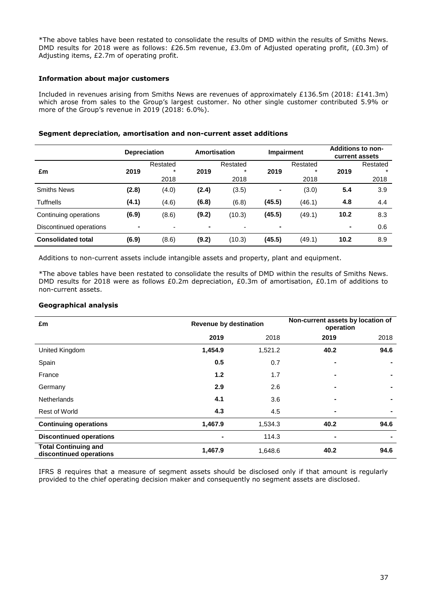\*The above tables have been restated to consolidate the results of DMD within the results of Smiths News. DMD results for 2018 were as follows: £26.5m revenue, £3.0m of Adjusted operating profit, (£0.3m) of Adjusting items, £2.7m of operating profit.

# **Information about major customers**

Included in revenues arising from Smiths News are revenues of approximately £136.5m (2018: £141.3m) which arose from sales to the Group's largest customer. No other single customer contributed 5.9% or more of the Group's revenue in 2019 (2018: 6.0%).

|                           | <b>Depreciation</b> |                    | Amortisation   |                     |                | <b>Impairment</b>  |      | <b>Additions to non-</b><br>current assets |
|---------------------------|---------------------|--------------------|----------------|---------------------|----------------|--------------------|------|--------------------------------------------|
|                           |                     | Restated<br>$\ast$ |                | Restated<br>$\star$ |                | Restated<br>$\ast$ |      | Restated<br>$\star$                        |
| £m                        | 2019                | 2018               | 2019           | 2018                | 2019           | 2018               | 2019 | 2018                                       |
| <b>Smiths News</b>        | (2.8)               | (4.0)              | (2.4)          | (3.5)               | $\blacksquare$ | (3.0)              | 5.4  | 3.9                                        |
| <b>Tuffnells</b>          | (4.1)               | (4.6)              | (6.8)          | (6.8)               | (45.5)         | (46.1)             | 4.8  | 4.4                                        |
| Continuing operations     | (6.9)               | (8.6)              | (9.2)          | (10.3)              | (45.5)         | (49.1)             | 10.2 | 8.3                                        |
| Discontinued operations   | ۰                   |                    | $\blacksquare$ |                     | ٠              |                    | ٠    | 0.6                                        |
| <b>Consolidated total</b> | (6.9)               | (8.6)              | (9.2)          | (10.3)              | (45.5)         | (49.1)             | 10.2 | 8.9                                        |

# **Segment depreciation, amortisation and non-current asset additions**

Additions to non-current assets include intangible assets and property, plant and equipment.

\*The above tables have been restated to consolidate the results of DMD within the results of Smiths News. DMD results for 2018 were as follows £0.2m depreciation, £0.3m of amortisation, £0.1m of additions to non-current assets.

# **Geographical analysis**

| £m                                                     | <b>Revenue by destination</b> |         | Non-current assets by location of<br>operation |      |  |
|--------------------------------------------------------|-------------------------------|---------|------------------------------------------------|------|--|
|                                                        | 2019                          | 2018    | 2019                                           | 2018 |  |
| United Kingdom                                         | 1,454.9                       | 1,521.2 | 40.2                                           | 94.6 |  |
| Spain                                                  | 0.5                           | 0.7     | $\blacksquare$                                 |      |  |
| France                                                 | 1.2                           | 1.7     |                                                |      |  |
| Germany                                                | 2.9                           | 2.6     | $\blacksquare$                                 |      |  |
| <b>Netherlands</b>                                     | 4.1                           | 3.6     |                                                |      |  |
| <b>Rest of World</b>                                   | 4.3                           | 4.5     | $\blacksquare$                                 |      |  |
| <b>Continuing operations</b>                           | 1,467.9                       | 1,534.3 | 40.2                                           | 94.6 |  |
| <b>Discontinued operations</b>                         |                               | 114.3   | $\blacksquare$                                 |      |  |
| <b>Total Continuing and</b><br>discontinued operations | 1,467.9                       | 1,648.6 | 40.2                                           | 94.6 |  |

IFRS 8 requires that a measure of segment assets should be disclosed only if that amount is regularly provided to the chief operating decision maker and consequently no segment assets are disclosed.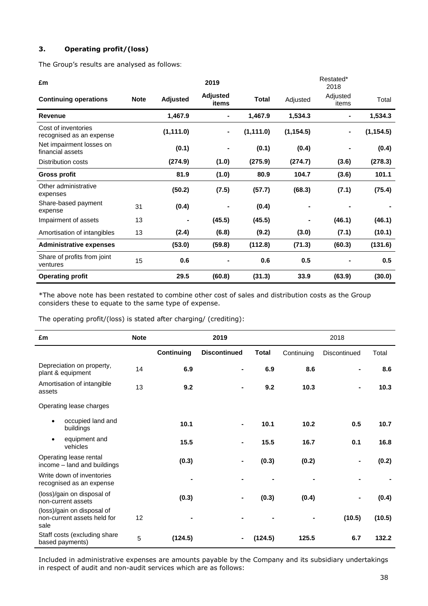# **3. Operating profit/(loss)**

The Group's results are analysed as follows:

| £m                                              |             |                 | 2019                     |              |            | Restated*<br>2018 |            |
|-------------------------------------------------|-------------|-----------------|--------------------------|--------------|------------|-------------------|------------|
| <b>Continuing operations</b>                    | <b>Note</b> | <b>Adjusted</b> | <b>Adjusted</b><br>items | <b>Total</b> | Adjusted   | Adjusted<br>items | Total      |
| <b>Revenue</b>                                  |             | 1,467.9         | ۰                        | 1,467.9      | 1,534.3    | ۰                 | 1,534.3    |
| Cost of inventories<br>recognised as an expense |             | (1, 111.0)      |                          | (1, 111.0)   | (1, 154.5) |                   | (1, 154.5) |
| Net impairment losses on<br>financial assets    |             | (0.1)           |                          | (0.1)        | (0.4)      |                   | (0.4)      |
| <b>Distribution costs</b>                       |             | (274.9)         | (1.0)                    | (275.9)      | (274.7)    | (3.6)             | (278.3)    |
| <b>Gross profit</b>                             |             | 81.9            | (1.0)                    | 80.9         | 104.7      | (3.6)             | 101.1      |
| Other administrative<br>expenses                |             | (50.2)          | (7.5)                    | (57.7)       | (68.3)     | (7.1)             | (75.4)     |
| Share-based payment<br>expense                  | 31          | (0.4)           |                          | (0.4)        |            |                   |            |
| Impairment of assets                            | 13          |                 | (45.5)                   | (45.5)       |            | (46.1)            | (46.1)     |
| Amortisation of intangibles                     | 13          | (2.4)           | (6.8)                    | (9.2)        | (3.0)      | (7.1)             | (10.1)     |
| <b>Administrative expenses</b>                  |             | (53.0)          | (59.8)                   | (112.8)      | (71.3)     | (60.3)            | (131.6)    |
| Share of profits from joint<br>ventures         | 15          | 0.6             |                          | 0.6          | 0.5        |                   | 0.5        |
| <b>Operating profit</b>                         |             | 29.5            | (60.8)                   | (31.3)       | 33.9       | (63.9)            | (30.0)     |

\*The above note has been restated to combine other cost of sales and distribution costs as the Group considers these to equate to the same type of expense.

The operating profit/(loss) is stated after charging/ (crediting):

| £m                                                                | <b>Note</b> |                   | 2019                |              |            | 2018           |        |
|-------------------------------------------------------------------|-------------|-------------------|---------------------|--------------|------------|----------------|--------|
|                                                                   |             | <b>Continuing</b> | <b>Discontinued</b> | <b>Total</b> | Continuing | Discontinued   | Total  |
| Depreciation on property,<br>plant & equipment                    | 14          | 6.9               | $\blacksquare$      | 6.9          | 8.6        | $\blacksquare$ | 8.6    |
| Amortisation of intangible<br>assets                              | 13          | 9.2               |                     | 9.2          | 10.3       | $\blacksquare$ | 10.3   |
| Operating lease charges                                           |             |                   |                     |              |            |                |        |
| occupied land and<br>$\bullet$<br>buildings                       |             | 10.1              | $\blacksquare$      | 10.1         | 10.2       | 0.5            | 10.7   |
| equipment and<br>$\bullet$<br>vehicles                            |             | 15.5              |                     | 15.5         | 16.7       | 0.1            | 16.8   |
| Operating lease rental<br>income - land and buildings             |             | (0.3)             |                     | (0.3)        | (0.2)      | $\blacksquare$ | (0.2)  |
| Write down of inventories<br>recognised as an expense             |             |                   |                     |              |            |                |        |
| (loss)/gain on disposal of<br>non-current assets                  |             | (0.3)             | -                   | (0.3)        | (0.4)      | -              | (0.4)  |
| (loss)/gain on disposal of<br>non-current assets held for<br>sale | 12          |                   |                     |              |            | (10.5)         | (10.5) |
| Staff costs (excluding share<br>based payments)                   | 5           | (124.5)           |                     | (124.5)      | 125.5      | 6.7            | 132.2  |

Included in administrative expenses are amounts payable by the Company and its subsidiary undertakings in respect of audit and non-audit services which are as follows: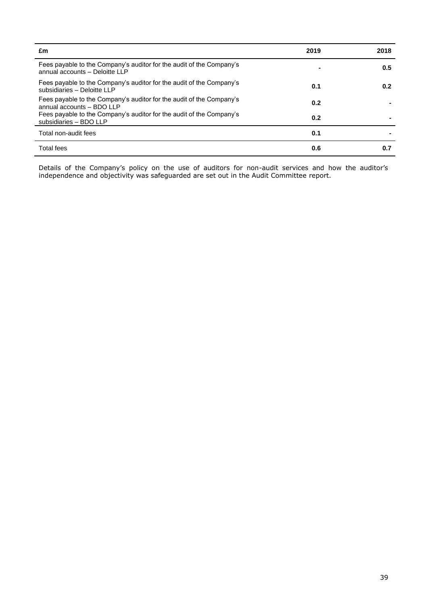| £m                                                                                                     | 2019 | 2018 |
|--------------------------------------------------------------------------------------------------------|------|------|
| Fees payable to the Company's auditor for the audit of the Company's<br>annual accounts - Deloitte LLP |      | 0.5  |
| Fees payable to the Company's auditor for the audit of the Company's<br>subsidiaries - Deloitte LLP    | 0.1  | 0.2  |
| Fees payable to the Company's auditor for the audit of the Company's<br>annual accounts $-$ BDO LLP    | 0.2  |      |
| Fees payable to the Company's auditor for the audit of the Company's<br>subsidiaries - BDO LLP         | 0.2  |      |
| Total non-audit fees                                                                                   | 0.1  |      |
| <b>Total fees</b>                                                                                      | 0.6  | 0.7  |

Details of the Company's policy on the use of auditors for non-audit services and how the auditor's independence and objectivity was safeguarded are set out in the Audit Committee report.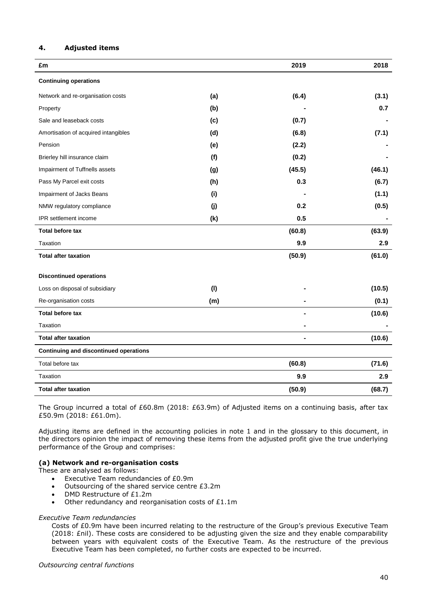# **4. Adjusted items**

| £m                                            |     | 2019           | 2018   |
|-----------------------------------------------|-----|----------------|--------|
| <b>Continuing operations</b>                  |     |                |        |
| Network and re-organisation costs             | (a) | (6.4)          | (3.1)  |
| Property                                      | (b) |                | 0.7    |
| Sale and leaseback costs                      | (c) | (0.7)          |        |
| Amortisation of acquired intangibles          | (d) | (6.8)          | (7.1)  |
| Pension                                       | (e) | (2.2)          |        |
| Brierley hill insurance claim                 | (f) | (0.2)          |        |
| Impairment of Tuffnells assets                | (g) | (45.5)         | (46.1) |
| Pass My Parcel exit costs                     | (h) | 0.3            | (6.7)  |
| Impairment of Jacks Beans                     | (i) |                | (1.1)  |
| NMW regulatory compliance                     | (j) | 0.2            | (0.5)  |
| <b>IPR</b> settlement income                  | (k) | 0.5            |        |
| <b>Total before tax</b>                       |     | (60.8)         | (63.9) |
| Taxation                                      |     | 9.9            | 2.9    |
| <b>Total after taxation</b>                   |     | (50.9)         | (61.0) |
| <b>Discontinued operations</b>                |     |                |        |
| Loss on disposal of subsidiary                | (1) |                | (10.5) |
| Re-organisation costs                         | (m) |                | (0.1)  |
| <b>Total before tax</b>                       |     |                | (10.6) |
| Taxation                                      |     |                |        |
| <b>Total after taxation</b>                   |     | $\blacksquare$ | (10.6) |
| <b>Continuing and discontinued operations</b> |     |                |        |
| Total before tax                              |     | (60.8)         | (71.6) |
| Taxation                                      |     | 9.9            | 2.9    |
| <b>Total after taxation</b>                   |     | (50.9)         | (68.7) |

The Group incurred a total of £60.8m (2018: £63.9m) of Adjusted items on a continuing basis, after tax £50.9m (2018: £61.0m).

Adjusting items are defined in the accounting policies in note 1 and in the glossary to this document, in the directors opinion the impact of removing these items from the adjusted profit give the true underlying performance of the Group and comprises:

# **(a) Network and re-organisation costs**

These are analysed as follows:

- Executive Team redundancies of £0.9m
- Outsourcing of the shared service centre £3.2m
- DMD Restructure of £1.2m
- Other redundancy and reorganisation costs of £1.1m

#### *Executive Team redundancies*

Costs of £0.9m have been incurred relating to the restructure of the Group's previous Executive Team (2018: £nil). These costs are considered to be adjusting given the size and they enable comparability between years with equivalent costs of the Executive Team. As the restructure of the previous Executive Team has been completed, no further costs are expected to be incurred.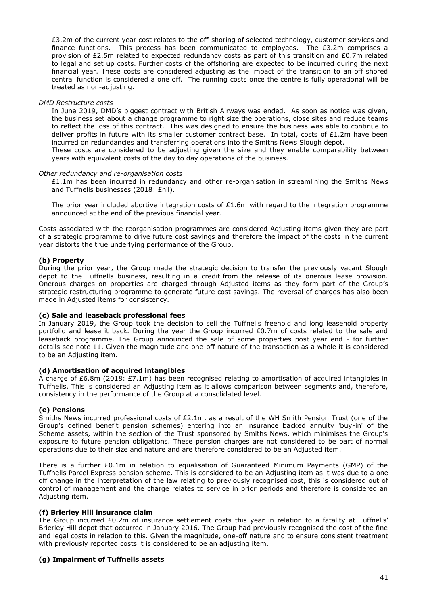£3.2m of the current year cost relates to the off-shoring of selected technology, customer services and finance functions. This process has been communicated to employees. The  $£3.2m$  comprises a provision of £2.5m related to expected redundancy costs as part of this transition and £0.7m related to legal and set up costs. Further costs of the offshoring are expected to be incurred during the next financial year. These costs are considered adjusting as the impact of the transition to an off shored central function is considered a one off. The running costs once the centre is fully operational will be treated as non-adjusting.

# *DMD Restructure costs*

In June 2019, DMD's biggest contract with British Airways was ended. As soon as notice was given, the business set about a change programme to right size the operations, close sites and reduce teams to reflect the loss of this contract. This was designed to ensure the business was able to continue to deliver profits in future with its smaller customer contract base. In total, costs of £1.2m have been incurred on redundancies and transferring operations into the Smiths News Slough depot.

These costs are considered to be adjusting given the size and they enable comparability between years with equivalent costs of the day to day operations of the business.

#### *Other redundancy and re-organisation costs*

 $£1.1m$  has been incurred in redundancy and other re-organisation in streamlining the Smiths News and Tuffnells businesses (2018: £nil).

The prior year included abortive integration costs of  $£1.6m$  with regard to the integration programme announced at the end of the previous financial year.

Costs associated with the reorganisation programmes are considered Adjusting items given they are part of a strategic programme to drive future cost savings and therefore the impact of the costs in the current year distorts the true underlying performance of the Group.

# **(b) Property**

During the prior year, the Group made the strategic decision to transfer the previously vacant Slough depot to the Tuffnells business, resulting in a credit from the release of its onerous lease provision. Onerous charges on properties are charged through Adjusted items as they form part of the Group's strategic restructuring programme to generate future cost savings. The reversal of charges has also been made in Adjusted items for consistency.

#### **(c) Sale and leaseback professional fees**

In January 2019, the Group took the decision to sell the Tuffnells freehold and long leasehold property portfolio and lease it back. During the year the Group incurred £0.7m of costs related to the sale and leaseback programme. The Group announced the sale of some properties post year end - for further details see note 11. Given the magnitude and one-off nature of the transaction as a whole it is considered to be an Adjusting item.

# **(d) Amortisation of acquired intangibles**

A charge of £6.8m (2018: £7.1m) has been recognised relating to amortisation of acquired intangibles in Tuffnells. This is considered an Adjusting item as it allows comparison between segments and, therefore, consistency in the performance of the Group at a consolidated level.

# **(e) Pensions**

Smiths News incurred professional costs of £2.1m, as a result of the WH Smith Pension Trust (one of the Group's defined benefit pension schemes) entering into an insurance backed annuity 'buy-in' of the Scheme assets, within the section of the Trust sponsored by Smiths News, which minimises the Group's exposure to future pension obligations. These pension charges are not considered to be part of normal operations due to their size and nature and are therefore considered to be an Adjusted item.

There is a further  $£0.1m$  in relation to equalisation of Guaranteed Minimum Payments (GMP) of the Tuffnells Parcel Express pension scheme. This is considered to be an Adjusting item as it was due to a one off change in the interpretation of the law relating to previously recognised cost, this is considered out of control of management and the charge relates to service in prior periods and therefore is considered an Adjusting item.

# **(f) Brierley Hill insurance claim**

The Group incurred £0.2m of insurance settlement costs this year in relation to a fatality at Tuffnells' Brierley Hill depot that occurred in January 2016. The Group had previously recognised the cost of the fine and legal costs in relation to this. Given the magnitude, one-off nature and to ensure consistent treatment with previously reported costs it is considered to be an adjusting item.

# **(g) Impairment of Tuffnells assets**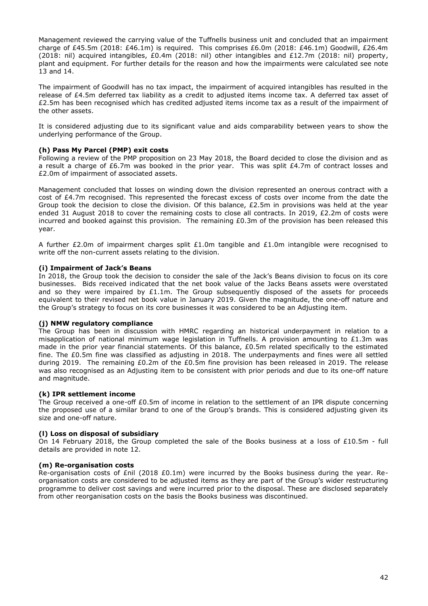Management reviewed the carrying value of the Tuffnells business unit and concluded that an impairment charge of £45.5m (2018: £46.1m) is required. This comprises £6.0m (2018: £46.1m) Goodwill, £26.4m (2018: nil) acquired intangibles, £0.4m (2018: nil) other intangibles and £12.7m (2018: nil) property, plant and equipment. For further details for the reason and how the impairments were calculated see note 13 and 14.

The impairment of Goodwill has no tax impact, the impairment of acquired intangibles has resulted in the release of £4.5m deferred tax liability as a credit to adjusted items income tax. A deferred tax asset of £2.5m has been recognised which has credited adjusted items income tax as a result of the impairment of the other assets.

It is considered adjusting due to its significant value and aids comparability between years to show the underlying performance of the Group.

# **(h) Pass My Parcel (PMP) exit costs**

Following a review of the PMP proposition on 23 May 2018, the Board decided to close the division and as a result a charge of £6.7m was booked in the prior year. This was split £4.7m of contract losses and £2.0m of impairment of associated assets.

Management concluded that losses on winding down the division represented an onerous contract with a cost of £4.7m recognised. This represented the forecast excess of costs over income from the date the Group took the decision to close the division. Of this balance,  $E2.5m$  in provisions was held at the year ended 31 August 2018 to cover the remaining costs to close all contracts. In 2019, £2.2m of costs were incurred and booked against this provision. The remaining  $£0.3m$  of the provision has been released this year.

A further £2.0m of impairment charges split £1.0m tangible and £1.0m intangible were recognised to write off the non-current assets relating to the division.

#### **(i) Impairment of Jack's Beans**

In 2018, the Group took the decision to consider the sale of the Jack's Beans division to focus on its core businesses. Bids received indicated that the net book value of the Jacks Beans assets were overstated and so they were impaired by  $£1.1m$ . The Group subsequently disposed of the assets for proceeds equivalent to their revised net book value in January 2019. Given the magnitude, the one-off nature and the Group's strategy to focus on its core businesses it was considered to be an Adjusting item.

# **(j) NMW regulatory compliance**

The Group has been in discussion with HMRC regarding an historical underpayment in relation to a misapplication of national minimum wage legislation in Tuffnells. A provision amounting to £1.3m was made in the prior year financial statements. Of this balance, £0.5m related specifically to the estimated fine. The £0.5m fine was classified as adjusting in 2018. The underpayments and fines were all settled during 2019. The remaining  $£0.2m$  of the  $£0.5m$  fine provision has been released in 2019. The release was also recognised as an Adjusting item to be consistent with prior periods and due to its one-off nature and magnitude.

# **(k) IPR settlement income**

The Group received a one-off £0.5m of income in relation to the settlement of an IPR dispute concerning the proposed use of a similar brand to one of the Group's brands. This is considered adjusting given its size and one-off nature.

# **(l) Loss on disposal of subsidiary**

On 14 February 2018, the Group completed the sale of the Books business at a loss of £10.5m - full details are provided in note 12.

#### **(m) Re-organisation costs**

Re-organisation costs of £nil (2018 £0.1m) were incurred by the Books business during the year. Reorganisation costs are considered to be adjusted items as they are part of the Group's wider restructuring programme to deliver cost savings and were incurred prior to the disposal. These are disclosed separately from other reorganisation costs on the basis the Books business was discontinued.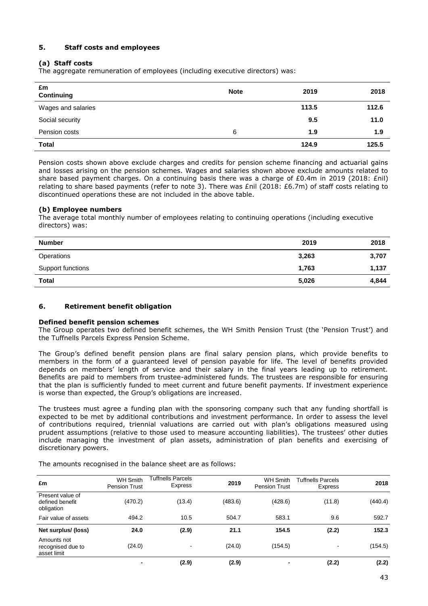# **5. Staff costs and employees**

# **(a) Staff costs**

The aggregate remuneration of employees (including executive directors) was:

| £m<br>Continuing   | <b>Note</b> | 2019  | 2018  |
|--------------------|-------------|-------|-------|
| Wages and salaries |             | 113.5 | 112.6 |
| Social security    |             | 9.5   | 11.0  |
| Pension costs      | 6           | 1.9   | 1.9   |
| <b>Total</b>       |             | 124.9 | 125.5 |

Pension costs shown above exclude charges and credits for pension scheme financing and actuarial gains and losses arising on the pension schemes. Wages and salaries shown above exclude amounts related to share based payment charges. On a continuing basis there was a charge of £0.4m in 2019 (2018: £nil) relating to share based payments (refer to note 3). There was £nil (2018: £6.7m) of staff costs relating to discontinued operations these are not included in the above table.

# **(b) Employee numbers**

The average total monthly number of employees relating to continuing operations (including executive directors) was:

| <b>Number</b>     | 2019  | 2018  |
|-------------------|-------|-------|
| Operations        | 3,263 | 3,707 |
| Support functions | 1,763 | 1,137 |
| <b>Total</b>      | 5,026 | 4,844 |

# **6. Retirement benefit obligation**

# **Defined benefit pension schemes**

The Group operates two defined benefit schemes, the WH Smith Pension Trust (the 'Pension Trust') and the Tuffnells Parcels Express Pension Scheme.

The Group's defined benefit pension plans are final salary pension plans, which provide benefits to members in the form of a guaranteed level of pension payable for life. The level of benefits provided depends on members' length of service and their salary in the final years leading up to retirement. Benefits are paid to members from trustee-administered funds. The trustees are responsible for ensuring that the plan is sufficiently funded to meet current and future benefit payments. If investment experience is worse than expected, the Group's obligations are increased.

The trustees must agree a funding plan with the sponsoring company such that any funding shortfall is expected to be met by additional contributions and investment performance. In order to assess the level of contributions required, triennial valuations are carried out with plan's obligations measured using prudent assumptions (relative to those used to measure accounting liabilities). The trustees' other duties include managing the investment of plan assets, administration of plan benefits and exercising of discretionary powers.

The amounts recognised in the balance sheet are as follows:

| £m                                                | <b>WH Smith</b><br>Pension Trust | Tuffnells Parcels<br><b>Express</b> | 2019    | <b>WH Smith</b><br><b>Pension Trust</b> | <b>Tuffnells Parcels</b><br><b>Express</b> | 2018    |
|---------------------------------------------------|----------------------------------|-------------------------------------|---------|-----------------------------------------|--------------------------------------------|---------|
| Present value of<br>defined benefit<br>obligation | (470.2)                          | (13.4)                              | (483.6) | (428.6)                                 | (11.8)                                     | (440.4) |
| Fair value of assets                              | 494.2                            | 10.5                                | 504.7   | 583.1                                   | 9.6                                        | 592.7   |
| Net surplus/ (loss)                               | 24.0                             | (2.9)                               | 21.1    | 154.5                                   | (2.2)                                      | 152.3   |
| Amounts not<br>recognised due to<br>asset limit   | (24.0)                           | $\overline{\phantom{a}}$            | (24.0)  | (154.5)                                 |                                            | (154.5) |
|                                                   |                                  | (2.9)                               | (2.9)   | ٠                                       | (2.2)                                      | (2.2)   |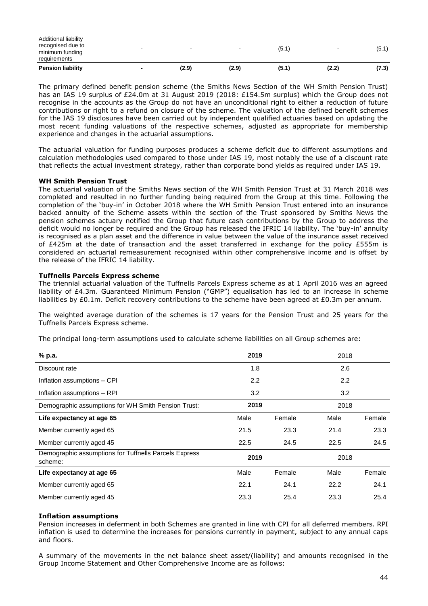| <b>Pension liability</b> | (2.9)                    | (2.9) | (5.1) | (2.2)                    | (7.3) |
|--------------------------|--------------------------|-------|-------|--------------------------|-------|
| requirements             |                          |       |       |                          |       |
| minimum funding          |                          |       |       |                          |       |
| recognised due to        | $\overline{\phantom{0}}$ |       | (5.1  | $\overline{\phantom{a}}$ | (5.1) |
| Additional liability     |                          |       |       |                          |       |

The primary defined benefit pension scheme (the Smiths News Section of the WH Smith Pension Trust) has an IAS 19 surplus of £24.0m at 31 August 2019 (2018: £154.5m surplus) which the Group does not recognise in the accounts as the Group do not have an unconditional right to either a reduction of future contributions or right to a refund on closure of the scheme. The valuation of the defined benefit schemes for the IAS 19 disclosures have been carried out by independent qualified actuaries based on updating the most recent funding valuations of the respective schemes, adjusted as appropriate for membership experience and changes in the actuarial assumptions.

The actuarial valuation for funding purposes produces a scheme deficit due to different assumptions and calculation methodologies used compared to those under IAS 19, most notably the use of a discount rate that reflects the actual investment strategy, rather than corporate bond yields as required under IAS 19.

# **WH Smith Pension Trust**

The actuarial valuation of the Smiths News section of the WH Smith Pension Trust at 31 March 2018 was completed and resulted in no further funding being required from the Group at this time. Following the completion of the 'buy-in' in October 2018 where the WH Smith Pension Trust entered into an insurance backed annuity of the Scheme assets within the section of the Trust sponsored by Smiths News the pension schemes actuary notified the Group that future cash contributions by the Group to address the deficit would no longer be required and the Group has released the IFRIC 14 liability. The 'buy-in' annuity is recognised as a plan asset and the difference in value between the value of the insurance asset received of £425m at the date of transaction and the asset transferred in exchange for the policy £555m is considered an actuarial remeasurement recognised within other comprehensive income and is offset by the release of the IFRIC 14 liability.

# **Tuffnells Parcels Express scheme**

The triennial actuarial valuation of the Tuffnells Parcels Express scheme as at 1 April 2016 was an agreed liability of £4.3m. Guaranteed Minimum Pension ("GMP") equalisation has led to an increase in scheme liabilities by £0.1m. Deficit recovery contributions to the scheme have been agreed at £0.3m per annum.

The weighted average duration of the schemes is 17 years for the Pension Trust and 25 years for the Tuffnells Parcels Express scheme.

The principal long-term assumptions used to calculate scheme liabilities on all Group schemes are:

| % p.a.                                                           | 2019 |        | 2018 |        |
|------------------------------------------------------------------|------|--------|------|--------|
| Discount rate                                                    | 1.8  |        | 2.6  |        |
| Inflation assumptions - CPI                                      | 2.2  |        | 2.2  |        |
| Inflation assumptions - RPI                                      | 3.2  |        | 3.2  |        |
| Demographic assumptions for WH Smith Pension Trust:              | 2019 |        | 2018 |        |
| Life expectancy at age 65                                        | Male | Female | Male | Female |
| Member currently aged 65                                         | 21.5 | 23.3   | 21.4 | 23.3   |
| Member currently aged 45                                         | 22.5 | 24.5   | 22.5 | 24.5   |
| Demographic assumptions for Tuffnells Parcels Express<br>scheme: | 2019 |        | 2018 |        |
| Life expectancy at age 65                                        | Male | Female | Male | Female |
| Member currently aged 65                                         | 22.1 | 24.1   | 22.2 | 24.1   |
| Member currently aged 45                                         | 23.3 | 25.4   | 23.3 | 25.4   |

# **Inflation assumptions**

Pension increases in deferment in both Schemes are granted in line with CPI for all deferred members. RPI inflation is used to determine the increases for pensions currently in payment, subject to any annual caps and floors.

A summary of the movements in the net balance sheet asset/(liability) and amounts recognised in the Group Income Statement and Other Comprehensive Income are as follows: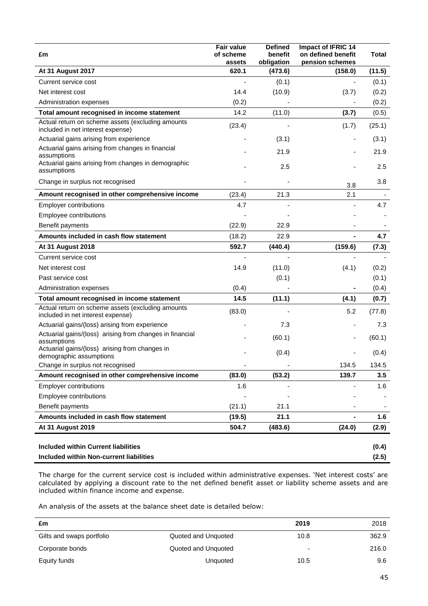| £m                                                                                     | <b>Fair value</b><br>of scheme<br>assets | <b>Defined</b><br>benefit<br>obligation | Impact of IFRIC 14<br>on defined benefit<br>pension schemes | Total  |
|----------------------------------------------------------------------------------------|------------------------------------------|-----------------------------------------|-------------------------------------------------------------|--------|
| At 31 August 2017                                                                      | 620.1                                    | (473.6)                                 | (158.0)                                                     | (11.5) |
| Current service cost                                                                   |                                          | (0.1)                                   |                                                             | (0.1)  |
| Net interest cost                                                                      | 14.4                                     | (10.9)                                  | (3.7)                                                       | (0.2)  |
| Administration expenses                                                                | (0.2)                                    |                                         |                                                             | (0.2)  |
| Total amount recognised in income statement                                            | 14.2                                     | (11.0)                                  | (3.7)                                                       | (0.5)  |
| Actual return on scheme assets (excluding amounts<br>included in net interest expense) | (23.4)                                   |                                         | (1.7)                                                       | (25.1) |
| Actuarial gains arising from experience                                                |                                          | (3.1)                                   |                                                             | (3.1)  |
| Actuarial gains arising from changes in financial<br>assumptions                       |                                          | 21.9                                    |                                                             | 21.9   |
| Actuarial gains arising from changes in demographic<br>assumptions                     |                                          | 2.5                                     |                                                             | 2.5    |
| Change in surplus not recognised                                                       |                                          |                                         | 3.8                                                         | 3.8    |
| Amount recognised in other comprehensive income                                        | (23.4)                                   | 21.3                                    | 2.1                                                         |        |
| <b>Employer contributions</b>                                                          | 4.7                                      |                                         |                                                             | 4.7    |
| Employee contributions                                                                 |                                          |                                         |                                                             |        |
| Benefit payments                                                                       | (22.9)                                   | 22.9                                    |                                                             |        |
| Amounts included in cash flow statement                                                | (18.2)                                   | 22.9                                    |                                                             | 4.7    |
| At 31 August 2018                                                                      | 592.7                                    | (440.4)                                 | (159.6)                                                     | (7.3)  |
| Current service cost                                                                   |                                          |                                         | ÷,                                                          |        |
| Net interest cost                                                                      | 14.9                                     | (11.0)                                  | (4.1)                                                       | (0.2)  |
| Past service cost                                                                      |                                          | (0.1)                                   |                                                             | (0.1)  |
| Administration expenses                                                                | (0.4)                                    |                                         |                                                             | (0.4)  |
| Total amount recognised in income statement                                            | 14.5                                     | (11.1)                                  | (4.1)                                                       | (0.7)  |
| Actual return on scheme assets (excluding amounts<br>included in net interest expense) | (83.0)                                   |                                         | 5.2                                                         | (77.8) |
| Actuarial gains/(loss) arising from experience                                         |                                          | 7.3                                     |                                                             | 7.3    |
| Actuarial gains/(loss) arising from changes in financial<br>assumptions                |                                          | (60.1)                                  |                                                             | (60.1) |
| Actuarial gains/(loss) arising from changes in<br>demographic assumptions              |                                          | (0.4)                                   |                                                             | (0.4)  |
| Change in surplus not recognised                                                       |                                          |                                         | 134.5                                                       | 134.5  |
| Amount recognised in other comprehensive income                                        | (83.0)                                   | (53.2)                                  | 139.7                                                       | 3.5    |
| <b>Employer contributions</b>                                                          | 1.6                                      |                                         |                                                             | 1.6    |
| Employee contributions                                                                 |                                          |                                         |                                                             |        |
| Benefit payments                                                                       | (21.1)                                   | 21.1                                    |                                                             |        |
| Amounts included in cash flow statement                                                | (19.5)                                   | 21.1                                    | $\overline{\phantom{0}}$                                    | 1.6    |
| <b>At 31 August 2019</b>                                                               | 504.7                                    | (483.6)                                 | (24.0)                                                      | (2.9)  |
|                                                                                        |                                          |                                         |                                                             |        |
| <b>Included within Current liabilities</b>                                             |                                          |                                         |                                                             | (0.4)  |
| <b>Included within Non-current liabilities</b>                                         |                                          |                                         |                                                             | (2.5)  |

The charge for the current service cost is included within administrative expenses. 'Net interest costs' are calculated by applying a discount rate to the net defined benefit asset or liability scheme assets and are included within finance income and expense.

An analysis of the assets at the balance sheet date is detailed below:

| £m                        |                     | 2019                     | 2018  |
|---------------------------|---------------------|--------------------------|-------|
| Gilts and swaps portfolio | Quoted and Unquoted | 10.8                     | 362.9 |
| Corporate bonds           | Quoted and Unquoted | $\overline{\phantom{0}}$ | 216.0 |
| Equity funds              | Unquoted            | 10.5                     | 9.6   |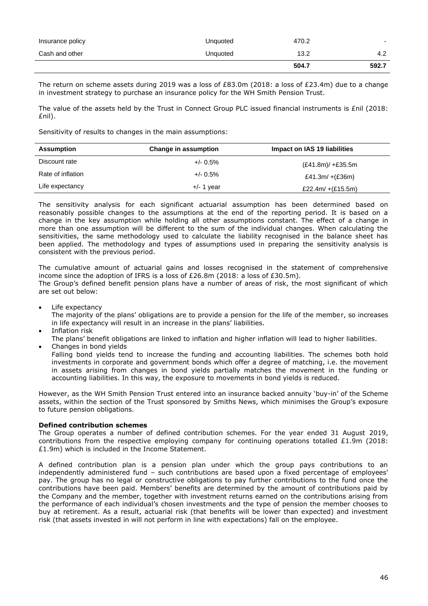|                  |          | 504.7 | 592.7                    |
|------------------|----------|-------|--------------------------|
| Cash and other   | Unquoted | 13.2  | 4.2                      |
| Insurance policy | Unquoted | 470.2 | $\overline{\phantom{0}}$ |

The return on scheme assets during 2019 was a loss of £83.0m (2018: a loss of £23.4m) due to a change in investment strategy to purchase an insurance policy for the WH Smith Pension Trust.

The value of the assets held by the Trust in Connect Group PLC issued financial instruments is £nil (2018: £nil).

Sensitivity of results to changes in the main assumptions:

| <b>Assumption</b> | Change in assumption | Impact on IAS 19 liabilities |
|-------------------|----------------------|------------------------------|
| Discount rate     | $+/- 0.5\%$          | $(E41.8m)/+E35.5m$           |
| Rate of inflation | $+/- 0.5\%$          | £41.3m/ $+(E36m)$            |
| Life expectancy   | $+/- 1$ year         | £22.4m/ $+(£15.5m)$          |

The sensitivity analysis for each significant actuarial assumption has been determined based on reasonably possible changes to the assumptions at the end of the reporting period. It is based on a change in the key assumption while holding all other assumptions constant. The effect of a change in more than one assumption will be different to the sum of the individual changes. When calculating the sensitivities, the same methodology used to calculate the liability recognised in the balance sheet has been applied. The methodology and types of assumptions used in preparing the sensitivity analysis is consistent with the previous period.

The cumulative amount of actuarial gains and losses recognised in the statement of comprehensive income since the adoption of IFRS is a loss of £26.8m (2018: a loss of £30.5m). The Group's defined benefit pension plans have a number of areas of risk, the most significant of which are set out below:

Life expectancy

The majority of the plans' obligations are to provide a pension for the life of the member, so increases in life expectancy will result in an increase in the plans' liabilities.

- Inflation risk
- The plans' benefit obligations are linked to inflation and higher inflation will lead to higher liabilities.
- Changes in bond yields

Falling bond yields tend to increase the funding and accounting liabilities. The schemes both hold investments in corporate and government bonds which offer a degree of matching, i.e. the movement in assets arising from changes in bond yields partially matches the movement in the funding or accounting liabilities. In this way, the exposure to movements in bond yields is reduced.

However, as the WH Smith Pension Trust entered into an insurance backed annuity 'buy-in' of the Scheme assets, within the section of the Trust sponsored by Smiths News, which minimises the Group's exposure to future pension obligations.

# **Defined contribution schemes**

The Group operates a number of defined contribution schemes. For the year ended 31 August 2019, contributions from the respective employing company for continuing operations totalled £1.9m (2018: £1.9m) which is included in the Income Statement.

A defined contribution plan is a pension plan under which the group pays contributions to an independently administered fund – such contributions are based upon a fixed percentage of employees' pay. The group has no legal or constructive obligations to pay further contributions to the fund once the contributions have been paid. Members' benefits are determined by the amount of contributions paid by the Company and the member, together with investment returns earned on the contributions arising from the performance of each individual's chosen investments and the type of pension the member chooses to buy at retirement. As a result, actuarial risk (that benefits will be lower than expected) and investment risk (that assets invested in will not perform in line with expectations) fall on the employee.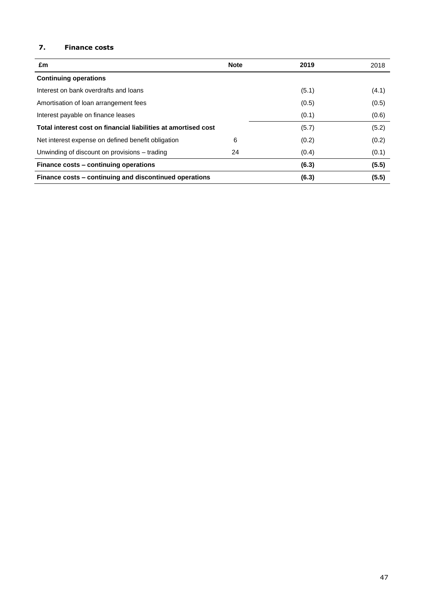# **7. Finance costs**

| £m                                                             | <b>Note</b> | 2019  | 2018  |
|----------------------------------------------------------------|-------------|-------|-------|
| <b>Continuing operations</b>                                   |             |       |       |
| Interest on bank overdrafts and loans                          |             | (5.1) | (4.1) |
| Amortisation of loan arrangement fees                          |             | (0.5) | (0.5) |
| Interest payable on finance leases                             |             | (0.1) | (0.6) |
| Total interest cost on financial liabilities at amortised cost |             | (5.7) | (5.2) |
| Net interest expense on defined benefit obligation             | 6           | (0.2) | (0.2) |
| Unwinding of discount on provisions – trading                  | 24          | (0.4) | (0.1) |
| Finance costs - continuing operations                          |             | (6.3) | (5.5) |
| Finance costs – continuing and discontinued operations         |             | (6.3) | (5.5) |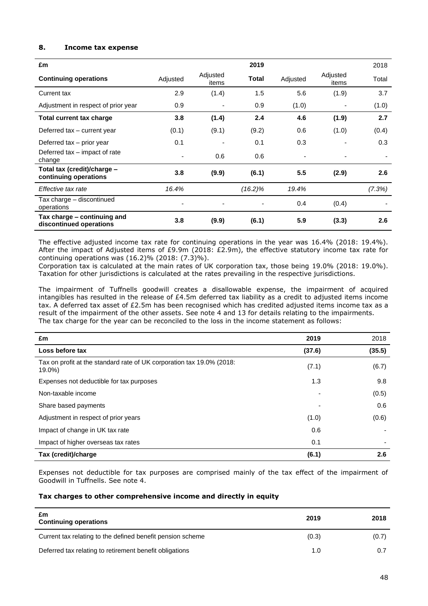# **8. Income tax expense**

| £m                                                     |          |                   | 2019         |                          |                   | 2018   |
|--------------------------------------------------------|----------|-------------------|--------------|--------------------------|-------------------|--------|
| <b>Continuing operations</b>                           | Adjusted | Adjusted<br>items | <b>Total</b> | Adjusted                 | Adjusted<br>items | Total  |
| Current tax                                            | 2.9      | (1.4)             | 1.5          | 5.6                      | (1.9)             | 3.7    |
| Adjustment in respect of prior year                    | 0.9      |                   | 0.9          | (1.0)                    |                   | (1.0)  |
| Total current tax charge                               | 3.8      | (1.4)             | 2.4          | 4.6                      | (1.9)             | 2.7    |
| Deferred tax - current year                            | (0.1)    | (9.1)             | (9.2)        | 0.6                      | (1.0)             | (0.4)  |
| Deferred tax - prior year                              | 0.1      |                   | 0.1          | 0.3                      |                   | 0.3    |
| Deferred tax – impact of rate<br>change                |          | 0.6               | 0.6          | $\overline{\phantom{0}}$ |                   |        |
| Total tax (credit)/charge -<br>continuing operations   | 3.8      | (9.9)             | (6.1)        | 5.5                      | (2.9)             | 2.6    |
| Effective tax rate                                     | 16.4%    |                   | $(16.2)\%$   | 19.4%                    |                   | (7.3%) |
| Tax charge - discontinued<br>operations                |          |                   |              | 0.4                      | (0.4)             |        |
| Tax charge – continuing and<br>discontinued operations | 3.8      | (9.9)             | (6.1)        | 5.9                      | (3.3)             | 2.6    |

The effective adjusted income tax rate for continuing operations in the year was 16.4% (2018: 19.4%). After the impact of Adjusted items of £9.9m (2018: £2.9m), the effective statutory income tax rate for continuing operations was (16.2)% (2018: (7.3)%).

Corporation tax is calculated at the main rates of UK corporation tax, those being 19.0% (2018: 19.0%). Taxation for other jurisdictions is calculated at the rates prevailing in the respective jurisdictions.

The impairment of Tuffnells goodwill creates a disallowable expense, the impairment of acquired intangibles has resulted in the release of  $£4.5m$  deferred tax liability as a credit to adjusted items income tax. A deferred tax asset of £2.5m has been recognised which has credited adjusted items income tax as a result of the impairment of the other assets. See note 4 and 13 for details relating to the impairments. The tax charge for the year can be reconciled to the loss in the income statement as follows:

| £m                                                                              | 2019   | 2018   |
|---------------------------------------------------------------------------------|--------|--------|
| Loss before tax                                                                 | (37.6) | (35.5) |
| Tax on profit at the standard rate of UK corporation tax 19.0% (2018:<br>19.0%) | (7.1)  | (6.7)  |
| Expenses not deductible for tax purposes                                        | 1.3    | 9.8    |
| Non-taxable income                                                              | ۰      | (0.5)  |
| Share based payments                                                            |        | 0.6    |
| Adjustment in respect of prior years                                            | (1.0)  | (0.6)  |
| Impact of change in UK tax rate                                                 | 0.6    |        |
| Impact of higher overseas tax rates                                             | 0.1    |        |
| Tax (credit)/charge                                                             | (6.1)  | 2.6    |

Expenses not deductible for tax purposes are comprised mainly of the tax effect of the impairment of Goodwill in Tuffnells. See note 4.

# **Tax charges to other comprehensive income and directly in equity**

| £m<br><b>Continuing operations</b>                         | 2019  | 2018  |
|------------------------------------------------------------|-------|-------|
| Current tax relating to the defined benefit pension scheme | (0.3) | (0.7) |
| Deferred tax relating to retirement benefit obligations    | 1.0   |       |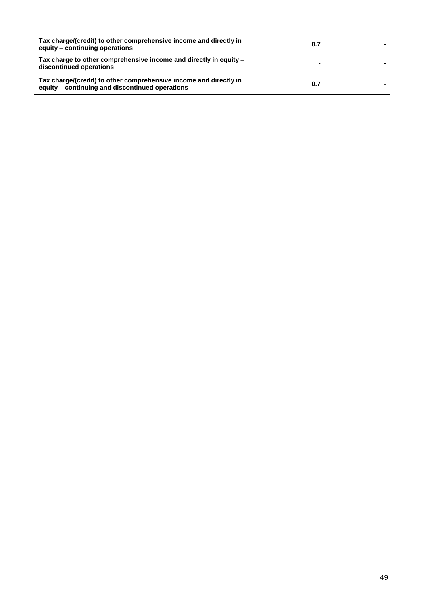| Tax charge/(credit) to other comprehensive income and directly in<br>equity - continuing operations                  | 0.7 |  |
|----------------------------------------------------------------------------------------------------------------------|-----|--|
| Tax charge to other comprehensive income and directly in equity –<br>discontinued operations                         |     |  |
| Tax charge/(credit) to other comprehensive income and directly in<br>equity - continuing and discontinued operations | 0.7 |  |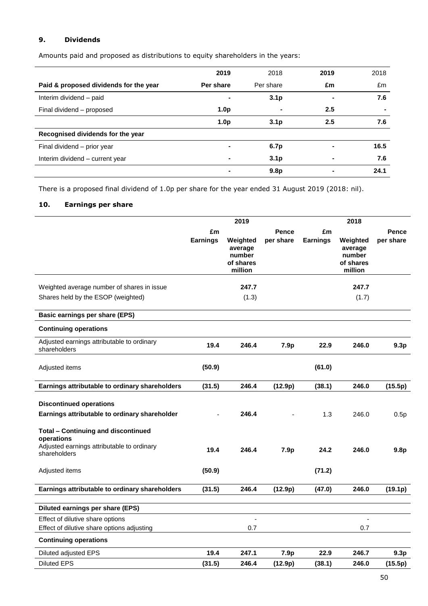# **9. Dividends**

Amounts paid and proposed as distributions to equity shareholders in the years:

|                                        | 2019             | 2018             | 2019 | 2018 |
|----------------------------------------|------------------|------------------|------|------|
| Paid & proposed dividends for the year | Per share        | Per share        | £m   | £m   |
| Interim dividend - paid                |                  | 3.1 <sub>p</sub> | -    | 7.6  |
| Final dividend – proposed              | 1.0 <sub>p</sub> |                  | 2.5  |      |
|                                        | 1.0 <sub>p</sub> | 3.1 <sub>p</sub> | 2.5  | 7.6  |
| Recognised dividends for the year      |                  |                  |      |      |
| Final dividend - prior year            |                  | 6.7p             |      | 16.5 |
| Interim dividend - current year        |                  | 3.1 <sub>p</sub> |      | 7.6  |
|                                        |                  | 9.8 <sub>p</sub> |      | 24.1 |

There is a proposed final dividend of 1.0p per share for the year ended 31 August 2019 (2018: nil).

# **10. Earnings per share**

| £m<br>Pence<br>£m<br><b>Pence</b><br>per share<br>per share<br><b>Earnings</b><br>Weighted<br><b>Earnings</b><br>Weighted<br>average<br>average<br>number<br>number<br>of shares<br>of shares<br>million<br>million<br>247.7<br>247.7<br>Weighted average number of shares in issue<br>Shares held by the ESOP (weighted)<br>(1.3)<br>(1.7)<br>Basic earnings per share (EPS)<br><b>Continuing operations</b><br>Adjusted earnings attributable to ordinary<br>19.4<br>246.4<br>22.9<br>7.9p<br>246.0<br>9.3p<br>shareholders<br>(50.9)<br>(61.0)<br>Adjusted items<br>(31.5)<br>246.4<br>(12.9p)<br>246.0<br>(15.5p)<br>Earnings attributable to ordinary shareholders<br>(38.1)<br><b>Discontinued operations</b><br>Earnings attributable to ordinary shareholder<br>246.4<br>1.3<br>246.0<br>0.5p<br><b>Total - Continuing and discontinued</b><br>operations<br>Adjusted earnings attributable to ordinary<br>19.4<br>246.4<br>7.9 <sub>p</sub><br>24.2<br>246.0<br>9.8 <sub>p</sub><br>shareholders<br>(50.9)<br>(71.2)<br>Adjusted items<br>246.4<br>Earnings attributable to ordinary shareholders<br>(31.5)<br>(12.9p)<br>246.0<br>(19.1p)<br>(47.0)<br>Diluted earnings per share (EPS)<br>Effect of dilutive share options<br>$\blacksquare$<br>$\overline{a}$<br>Effect of dilutive share options adjusting<br>0.7<br>0.7<br><b>Continuing operations</b><br>19.4<br>247.1<br>22.9<br>246.7<br>7.9p<br>9.3 <sub>p</sub><br>Diluted adjusted EPS<br><b>Diluted EPS</b><br>246.4<br>(31.5)<br>(12.9p)<br>(38.1)<br>246.0<br>(15.5p) |  | 2019 |  | 2018 |  |
|-----------------------------------------------------------------------------------------------------------------------------------------------------------------------------------------------------------------------------------------------------------------------------------------------------------------------------------------------------------------------------------------------------------------------------------------------------------------------------------------------------------------------------------------------------------------------------------------------------------------------------------------------------------------------------------------------------------------------------------------------------------------------------------------------------------------------------------------------------------------------------------------------------------------------------------------------------------------------------------------------------------------------------------------------------------------------------------------------------------------------------------------------------------------------------------------------------------------------------------------------------------------------------------------------------------------------------------------------------------------------------------------------------------------------------------------------------------------------------------------------------------------------------------------------|--|------|--|------|--|
|                                                                                                                                                                                                                                                                                                                                                                                                                                                                                                                                                                                                                                                                                                                                                                                                                                                                                                                                                                                                                                                                                                                                                                                                                                                                                                                                                                                                                                                                                                                                               |  |      |  |      |  |
|                                                                                                                                                                                                                                                                                                                                                                                                                                                                                                                                                                                                                                                                                                                                                                                                                                                                                                                                                                                                                                                                                                                                                                                                                                                                                                                                                                                                                                                                                                                                               |  |      |  |      |  |
|                                                                                                                                                                                                                                                                                                                                                                                                                                                                                                                                                                                                                                                                                                                                                                                                                                                                                                                                                                                                                                                                                                                                                                                                                                                                                                                                                                                                                                                                                                                                               |  |      |  |      |  |
|                                                                                                                                                                                                                                                                                                                                                                                                                                                                                                                                                                                                                                                                                                                                                                                                                                                                                                                                                                                                                                                                                                                                                                                                                                                                                                                                                                                                                                                                                                                                               |  |      |  |      |  |
|                                                                                                                                                                                                                                                                                                                                                                                                                                                                                                                                                                                                                                                                                                                                                                                                                                                                                                                                                                                                                                                                                                                                                                                                                                                                                                                                                                                                                                                                                                                                               |  |      |  |      |  |
|                                                                                                                                                                                                                                                                                                                                                                                                                                                                                                                                                                                                                                                                                                                                                                                                                                                                                                                                                                                                                                                                                                                                                                                                                                                                                                                                                                                                                                                                                                                                               |  |      |  |      |  |
|                                                                                                                                                                                                                                                                                                                                                                                                                                                                                                                                                                                                                                                                                                                                                                                                                                                                                                                                                                                                                                                                                                                                                                                                                                                                                                                                                                                                                                                                                                                                               |  |      |  |      |  |
|                                                                                                                                                                                                                                                                                                                                                                                                                                                                                                                                                                                                                                                                                                                                                                                                                                                                                                                                                                                                                                                                                                                                                                                                                                                                                                                                                                                                                                                                                                                                               |  |      |  |      |  |
|                                                                                                                                                                                                                                                                                                                                                                                                                                                                                                                                                                                                                                                                                                                                                                                                                                                                                                                                                                                                                                                                                                                                                                                                                                                                                                                                                                                                                                                                                                                                               |  |      |  |      |  |
|                                                                                                                                                                                                                                                                                                                                                                                                                                                                                                                                                                                                                                                                                                                                                                                                                                                                                                                                                                                                                                                                                                                                                                                                                                                                                                                                                                                                                                                                                                                                               |  |      |  |      |  |
|                                                                                                                                                                                                                                                                                                                                                                                                                                                                                                                                                                                                                                                                                                                                                                                                                                                                                                                                                                                                                                                                                                                                                                                                                                                                                                                                                                                                                                                                                                                                               |  |      |  |      |  |
|                                                                                                                                                                                                                                                                                                                                                                                                                                                                                                                                                                                                                                                                                                                                                                                                                                                                                                                                                                                                                                                                                                                                                                                                                                                                                                                                                                                                                                                                                                                                               |  |      |  |      |  |
|                                                                                                                                                                                                                                                                                                                                                                                                                                                                                                                                                                                                                                                                                                                                                                                                                                                                                                                                                                                                                                                                                                                                                                                                                                                                                                                                                                                                                                                                                                                                               |  |      |  |      |  |
|                                                                                                                                                                                                                                                                                                                                                                                                                                                                                                                                                                                                                                                                                                                                                                                                                                                                                                                                                                                                                                                                                                                                                                                                                                                                                                                                                                                                                                                                                                                                               |  |      |  |      |  |
|                                                                                                                                                                                                                                                                                                                                                                                                                                                                                                                                                                                                                                                                                                                                                                                                                                                                                                                                                                                                                                                                                                                                                                                                                                                                                                                                                                                                                                                                                                                                               |  |      |  |      |  |
|                                                                                                                                                                                                                                                                                                                                                                                                                                                                                                                                                                                                                                                                                                                                                                                                                                                                                                                                                                                                                                                                                                                                                                                                                                                                                                                                                                                                                                                                                                                                               |  |      |  |      |  |
|                                                                                                                                                                                                                                                                                                                                                                                                                                                                                                                                                                                                                                                                                                                                                                                                                                                                                                                                                                                                                                                                                                                                                                                                                                                                                                                                                                                                                                                                                                                                               |  |      |  |      |  |
|                                                                                                                                                                                                                                                                                                                                                                                                                                                                                                                                                                                                                                                                                                                                                                                                                                                                                                                                                                                                                                                                                                                                                                                                                                                                                                                                                                                                                                                                                                                                               |  |      |  |      |  |
|                                                                                                                                                                                                                                                                                                                                                                                                                                                                                                                                                                                                                                                                                                                                                                                                                                                                                                                                                                                                                                                                                                                                                                                                                                                                                                                                                                                                                                                                                                                                               |  |      |  |      |  |
|                                                                                                                                                                                                                                                                                                                                                                                                                                                                                                                                                                                                                                                                                                                                                                                                                                                                                                                                                                                                                                                                                                                                                                                                                                                                                                                                                                                                                                                                                                                                               |  |      |  |      |  |
|                                                                                                                                                                                                                                                                                                                                                                                                                                                                                                                                                                                                                                                                                                                                                                                                                                                                                                                                                                                                                                                                                                                                                                                                                                                                                                                                                                                                                                                                                                                                               |  |      |  |      |  |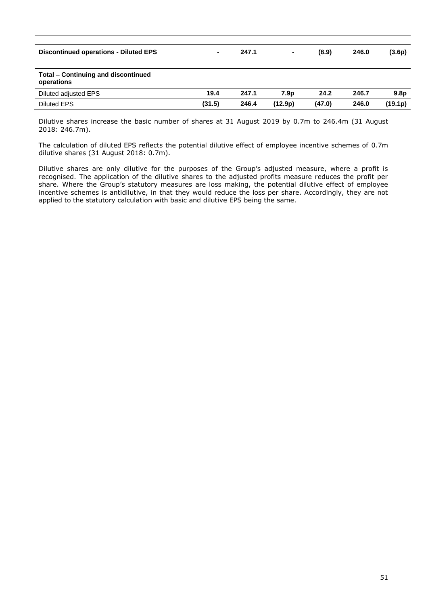| <b>Discontinued operations - Diluted EPS</b>             | $\sim$ | 247.1 | $\blacksquare$   | (8.9)  | 246.0 | (3.6p)           |
|----------------------------------------------------------|--------|-------|------------------|--------|-------|------------------|
|                                                          |        |       |                  |        |       |                  |
| <b>Total - Continuing and discontinued</b><br>operations |        |       |                  |        |       |                  |
| Diluted adjusted EPS                                     | 19.4   | 247.1 | 7.9 <sub>p</sub> | 24.2   | 246.7 | 9.8 <sub>p</sub> |
| <b>Diluted EPS</b>                                       | (31.5) | 246.4 | (12.9p)          | (47.0) | 246.0 | (19.1p)          |
|                                                          |        |       |                  |        |       |                  |

Dilutive shares increase the basic number of shares at 31 August 2019 by 0.7m to 246.4m (31 August 2018: 246.7m).

The calculation of diluted EPS reflects the potential dilutive effect of employee incentive schemes of 0.7m dilutive shares (31 August 2018: 0.7m).

Dilutive shares are only dilutive for the purposes of the Group's adjusted measure, where a profit is recognised. The application of the dilutive shares to the adjusted profits measure reduces the profit per share. Where the Group's statutory measures are loss making, the potential dilutive effect of employee incentive schemes is antidilutive, in that they would reduce the loss per share. Accordingly, they are not applied to the statutory calculation with basic and dilutive EPS being the same.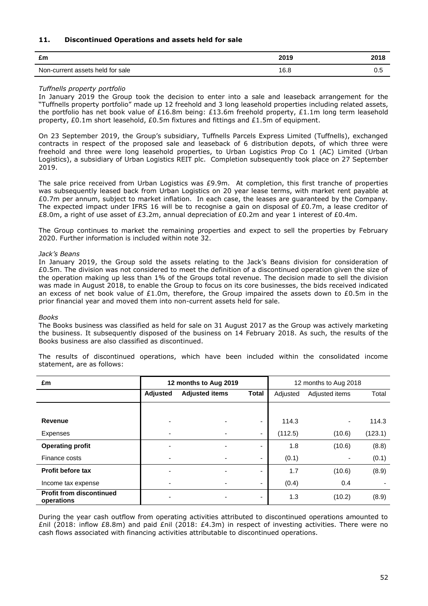# **11. Discontinued Operations and assets held for sale**

| £m                               | 2010<br>20 I J | 2018 |
|----------------------------------|----------------|------|
| Non-current assets held for sale | 1 C<br>v.o     | ∪.⊾  |

# *Tuffnells property portfolio*

In January 2019 the Group took the decision to enter into a sale and leaseback arrangement for the "Tuffnells property portfolio" made up 12 freehold and 3 long leasehold properties including related assets, the portfolio has net book value of £16.8m being: £13.6m freehold property, £1.1m long term leasehold property, £0.1m short leasehold, £0.5m fixtures and fittings and £1.5m of equipment.

On 23 September 2019, the Group's subsidiary, Tuffnells Parcels Express Limited (Tuffnells), exchanged contracts in respect of the proposed sale and leaseback of 6 distribution depots, of which three were freehold and three were long leasehold properties, to Urban Logistics Prop Co 1 (AC) Limited (Urban Logistics), a subsidiary of Urban Logistics REIT plc. Completion subsequently took place on 27 September 2019.

The sale price received from Urban Logistics was £9.9m. At completion, this first tranche of properties was subsequently leased back from Urban Logistics on 20 year lease terms, with market rent payable at £0.7m per annum, subject to market inflation. In each case, the leases are guaranteed by the Company. The expected impact under IFRS 16 will be to recognise a gain on disposal of  $E0.7m$ , a lease creditor of £8.0m, a right of use asset of £3.2m, annual depreciation of £0.2m and year 1 interest of £0.4m.

The Group continues to market the remaining properties and expect to sell the properties by February 2020. Further information is included within note 32.

# *Jack's Beans*

In January 2019, the Group sold the assets relating to the Jack's Beans division for consideration of £0.5m. The division was not considered to meet the definition of a discontinued operation given the size of the operation making up less than 1% of the Groups total revenue. The decision made to sell the division was made in August 2018, to enable the Group to focus on its core businesses, the bids received indicated an excess of net book value of £1.0m, therefore, the Group impaired the assets down to £0.5m in the prior financial year and moved them into non-current assets held for sale.

#### *Books*

The Books business was classified as held for sale on 31 August 2017 as the Group was actively marketing the business. It subsequently disposed of the business on 14 February 2018. As such, the results of the Books business are also classified as discontinued.

The results of discontinued operations, which have been included within the consolidated income statement, are as follows:

| £m                                            | 12 months to Aug 2019 |                       |                          | 12 months to Aug 2018 |                |         |
|-----------------------------------------------|-----------------------|-----------------------|--------------------------|-----------------------|----------------|---------|
|                                               | Adjusted              | <b>Adjusted items</b> | <b>Total</b>             | Adjusted              | Adjusted items |         |
|                                               |                       |                       |                          |                       |                |         |
| Revenue                                       |                       |                       | ٠                        | 114.3                 | ۰              | 114.3   |
| Expenses                                      |                       |                       | $\overline{\phantom{a}}$ | (112.5)               | (10.6)         | (123.1) |
| <b>Operating profit</b>                       |                       |                       | ٠                        | 1.8                   | (10.6)         | (8.8)   |
| Finance costs                                 |                       |                       | ٠                        | (0.1)                 |                | (0.1)   |
| Profit before tax                             |                       |                       | ٠                        | 1.7                   | (10.6)         | (8.9)   |
| Income tax expense                            |                       |                       | ٠                        | (0.4)                 | 0.4            |         |
| <b>Profit from discontinued</b><br>operations |                       |                       | ٠                        | 1.3                   | (10.2)         | (8.9)   |

During the year cash outflow from operating activities attributed to discontinued operations amounted to £nil (2018: inflow £8.8m) and paid £nil (2018: £4.3m) in respect of investing activities. There were no cash flows associated with financing activities attributable to discontinued operations.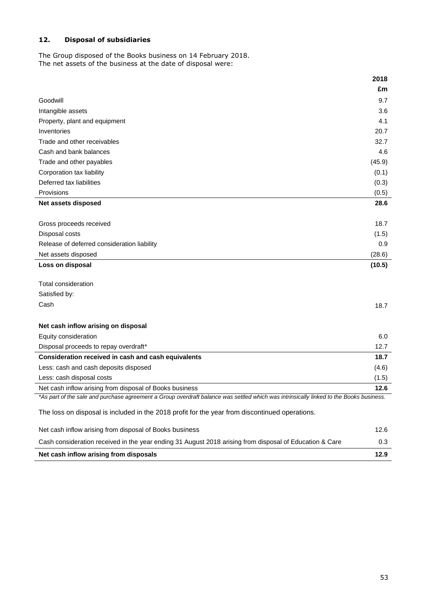# **12. Disposal of subsidiaries**

The Group disposed of the Books business on 14 February 2018. The net assets of the business at the date of disposal were:

|                                                                                                                                         | 2018   |
|-----------------------------------------------------------------------------------------------------------------------------------------|--------|
|                                                                                                                                         | £m     |
| Goodwill                                                                                                                                | 9.7    |
| Intangible assets                                                                                                                       | 3.6    |
| Property, plant and equipment                                                                                                           | 4.1    |
| Inventories                                                                                                                             | 20.7   |
| Trade and other receivables                                                                                                             | 32.7   |
| Cash and bank balances                                                                                                                  | 4.6    |
| Trade and other payables                                                                                                                | (45.9) |
| Corporation tax liability                                                                                                               | (0.1)  |
| Deferred tax liabilities                                                                                                                | (0.3)  |
| Provisions                                                                                                                              | (0.5)  |
| <b>Net assets disposed</b>                                                                                                              | 28.6   |
|                                                                                                                                         |        |
| Gross proceeds received                                                                                                                 | 18.7   |
| Disposal costs                                                                                                                          | (1.5)  |
| Release of deferred consideration liability                                                                                             | 0.9    |
| Net assets disposed                                                                                                                     | (28.6) |
| Loss on disposal                                                                                                                        | (10.5) |
|                                                                                                                                         |        |
| Total consideration                                                                                                                     |        |
| Satisfied by:                                                                                                                           |        |
| Cash                                                                                                                                    | 18.7   |
|                                                                                                                                         |        |
| Net cash inflow arising on disposal                                                                                                     |        |
| Equity consideration                                                                                                                    | 6.0    |
| Disposal proceeds to repay overdraft*                                                                                                   | 12.7   |
| Consideration received in cash and cash equivalents                                                                                     | 18.7   |
| Less: cash and cash deposits disposed                                                                                                   | (4.6)  |
| Less: cash disposal costs                                                                                                               | (1.5)  |
| Net cash inflow arising from disposal of Books business                                                                                 | 12.6   |
| *As part of the sale and purchase agreement a Group overdraft balance was settled which was intrinsically linked to the Books business. |        |
| The loss on disposal is included in the 2018 profit for the year from discontinued operations.                                          |        |
| Net cash inflow arising from disposal of Books business                                                                                 | 12.6   |
| Cash consideration received in the year ending 31 August 2018 arising from disposal of Education & Care                                 | 0.3    |

**Net cash inflow arising from disposals 12.9**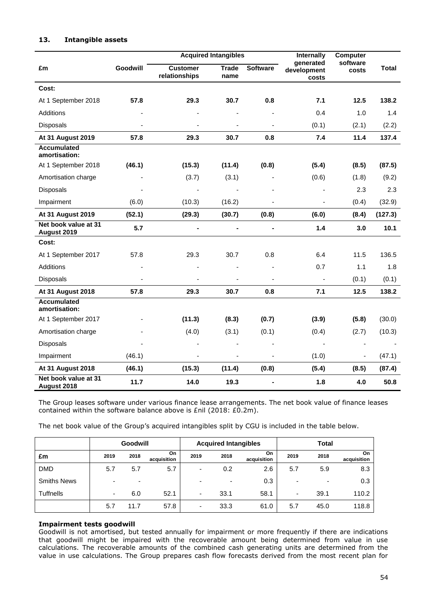|                                     |          |                                  | <b>Acquired Intangibles</b> |                          | Internally                        | Computer                 |         |
|-------------------------------------|----------|----------------------------------|-----------------------------|--------------------------|-----------------------------------|--------------------------|---------|
| £m                                  | Goodwill | <b>Customer</b><br>relationships | <b>Trade</b><br>name        | <b>Software</b>          | generated<br>development<br>costs | software<br>costs        | Total   |
| Cost:                               |          |                                  |                             |                          |                                   |                          |         |
| At 1 September 2018                 | 57.8     | 29.3                             | 30.7                        | 0.8                      | 7.1                               | 12.5                     | 138.2   |
| <b>Additions</b>                    |          |                                  |                             |                          | 0.4                               | 1.0                      | 1.4     |
| <b>Disposals</b>                    |          | ÷,                               | ÷,                          |                          | (0.1)                             | (2.1)                    | (2.2)   |
| At 31 August 2019                   | 57.8     | 29.3                             | 30.7                        | 0.8                      | 7.4                               | 11.4                     | 137.4   |
| <b>Accumulated</b><br>amortisation: |          |                                  |                             |                          |                                   |                          |         |
| At 1 September 2018                 | (46.1)   | (15.3)                           | (11.4)                      | (0.8)                    | (5.4)                             | (8.5)                    | (87.5)  |
| Amortisation charge                 |          | (3.7)                            | (3.1)                       |                          | (0.6)                             | (1.8)                    | (9.2)   |
| Disposals                           |          |                                  |                             |                          | $\overline{\phantom{m}}$          | 2.3                      | 2.3     |
| Impairment                          | (6.0)    | (10.3)                           | (16.2)                      |                          | $\blacksquare$                    | (0.4)                    | (32.9)  |
| <b>At 31 August 2019</b>            | (52.1)   | (29.3)                           | (30.7)                      | (0.8)                    | (6.0)                             | (8.4)                    | (127.3) |
| Net book value at 31<br>August 2019 | 5.7      | -                                | $\blacksquare$              | $\overline{\phantom{0}}$ | 1.4                               | 3.0                      | 10.1    |
| Cost:                               |          |                                  |                             |                          |                                   |                          |         |
| At 1 September 2017                 | 57.8     | 29.3                             | 30.7                        | 0.8                      | 6.4                               | 11.5                     | 136.5   |
| Additions                           |          | ä,                               |                             |                          | 0.7                               | 1.1                      | 1.8     |
| <b>Disposals</b>                    |          | $\frac{1}{2}$                    | ä,                          | $\overline{\phantom{a}}$ | $\blacksquare$                    | (0.1)                    | (0.1)   |
| At 31 August 2018                   | 57.8     | 29.3                             | 30.7                        | 0.8                      | 7.1                               | 12.5                     | 138.2   |
| <b>Accumulated</b><br>amortisation: |          |                                  |                             |                          |                                   |                          |         |
| At 1 September 2017                 |          | (11.3)                           | (8.3)                       | (0.7)                    | (3.9)                             | (5.8)                    | (30.0)  |
| Amortisation charge                 |          | (4.0)                            | (3.1)                       | (0.1)                    | (0.4)                             | (2.7)                    | (10.3)  |
| <b>Disposals</b>                    |          |                                  |                             |                          |                                   |                          |         |
| Impairment                          | (46.1)   | $\qquad \qquad \blacksquare$     | $\blacksquare$              | $\blacksquare$           | (1.0)                             | $\overline{\phantom{a}}$ | (47.1)  |
| At 31 August 2018                   | (46.1)   | (15.3)                           | (11.4)                      | (0.8)                    | (5.4)                             | (8.5)                    | (87.4)  |
| Net book value at 31<br>August 2018 | 11.7     | 14.0                             | 19.3                        |                          | 1.8                               | 4.0                      | 50.8    |

# **13. Intangible assets**

The Group leases software under various finance lease arrangements. The net book value of finance leases contained within the software balance above is £nil (2018: £0.2m).

The net book value of the Group's acquired intangibles split by CGU is included in the table below.

|                    |                          | Goodwill                 |                   | <b>Acquired Intangibles</b> |                          |                   | <b>Total</b> |      |                    |
|--------------------|--------------------------|--------------------------|-------------------|-----------------------------|--------------------------|-------------------|--------------|------|--------------------|
| £m                 | 2019                     | 2018                     | On<br>acquisition | 2019                        | 2018                     | On<br>acquisition | 2019         | 2018 | On.<br>acquisition |
| <b>DMD</b>         | 5.7                      | 5.7                      | 5.7               | $\blacksquare$              | 0.2                      | 2.6               | 5.7          | 5.9  | 8.3                |
| <b>Smiths News</b> | $\overline{\phantom{0}}$ | $\overline{\phantom{0}}$ |                   | ٠                           | $\overline{\phantom{0}}$ | 0.3               |              |      | 0.3                |
| <b>Tuffnells</b>   | ٠                        | 6.0                      | 52.1              | ۰                           | 33.1                     | 58.1              | ۰            | 39.1 | 110.2              |
|                    | 5.7                      | 11.7                     | 57.8              | $\overline{\phantom{a}}$    | 33.3                     | 61.0              | 5.7          | 45.0 | 118.8              |

# **Impairment tests goodwill**

Goodwill is not amortised, but tested annually for impairment or more frequently if there are indications that goodwill might be impaired with the recoverable amount being determined from value in use calculations. The recoverable amounts of the combined cash generating units are determined from the value in use calculations. The Group prepares cash flow forecasts derived from the most recent plan for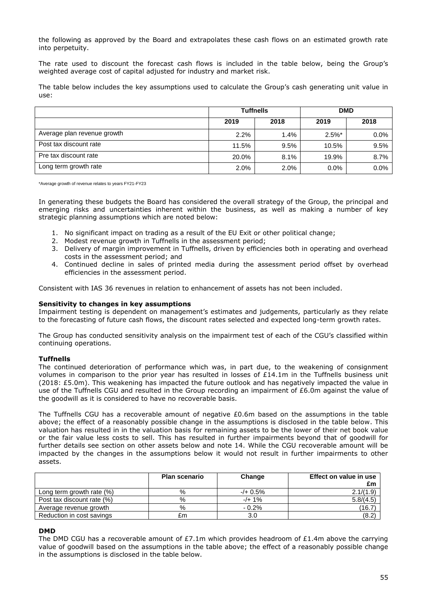the following as approved by the Board and extrapolates these cash flows on an estimated growth rate into perpetuity.

The rate used to discount the forecast cash flows is included in the table below, being the Group's weighted average cost of capital adjusted for industry and market risk.

The table below includes the key assumptions used to calculate the Group's cash generating unit value in use:

|                             | <b>Tuffnells</b> |      | <b>DMD</b> |         |  |
|-----------------------------|------------------|------|------------|---------|--|
|                             | 2019             | 2018 | 2019       | 2018    |  |
| Average plan revenue growth | 2.2%             | 1.4% | $2.5\%$ *  | $0.0\%$ |  |
| Post tax discount rate      | 11.5%            | 9.5% | 10.5%      | 9.5%    |  |
| Pre tax discount rate       | 20.0%            | 8.1% | 19.9%      | 8.7%    |  |
| Long term growth rate       | 2.0%             | 2.0% | $0.0\%$    | $0.0\%$ |  |

\*Average growth of revenue relates to years FY21-FY23

In generating these budgets the Board has considered the overall strategy of the Group, the principal and emerging risks and uncertainties inherent within the business, as well as making a number of key strategic planning assumptions which are noted below:

- 1. No significant impact on trading as a result of the EU Exit or other political change;
- 2. Modest revenue growth in Tuffnells in the assessment period;
- 3. Delivery of margin improvement in Tuffnells, driven by efficiencies both in operating and overhead costs in the assessment period; and
- 4. Continued decline in sales of printed media during the assessment period offset by overhead efficiencies in the assessment period.

Consistent with IAS 36 revenues in relation to enhancement of assets has not been included.

#### **Sensitivity to changes in key assumptions**

Impairment testing is dependent on management's estimates and judgements, particularly as they relate to the forecasting of future cash flows, the discount rates selected and expected long-term growth rates.

The Group has conducted sensitivity analysis on the impairment test of each of the CGU's classified within continuing operations.

#### **Tuffnells**

The continued deterioration of performance which was, in part due, to the weakening of consignment volumes in comparison to the prior year has resulted in losses of £14.1m in the Tuffnells business unit (2018: £5.0m). This weakening has impacted the future outlook and has negatively impacted the value in use of the Tuffnells CGU and resulted in the Group recording an impairment of £6.0m against the value of the goodwill as it is considered to have no recoverable basis.

The Tuffnells CGU has a recoverable amount of negative  $E0.6m$  based on the assumptions in the table above; the effect of a reasonably possible change in the assumptions is disclosed in the table below. This valuation has resulted in in the valuation basis for remaining assets to be the lower of their net book value or the fair value less costs to sell. This has resulted in further impairments beyond that of goodwill for further details see section on other assets below and note 14. While the CGU recoverable amount will be impacted by the changes in the assumptions below it would not result in further impairments to other assets.

|                            | <b>Plan scenario</b> | Change     | Effect on value in use<br>£m |
|----------------------------|----------------------|------------|------------------------------|
| Long term growth rate (%)  | %                    | $-/- 0.5%$ | 2.1/(1.9)                    |
| Post tax discount rate (%) | %                    | $-/-1%$    | 5.8/(4.5)                    |
| Average revenue growth     | %                    | $-0.2%$    | (16.7)                       |
| Reduction in cost savings  | £m                   | 3.0        | (8.2)                        |

#### **DMD**

The DMD CGU has a recoverable amount of £7.1m which provides headroom of £1.4m above the carrying value of goodwill based on the assumptions in the table above; the effect of a reasonably possible change in the assumptions is disclosed in the table below.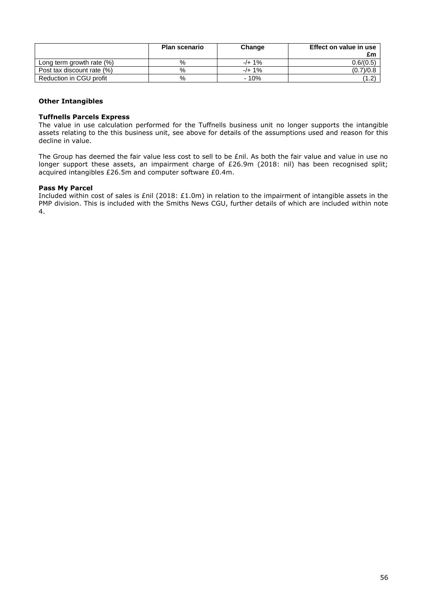|                            | <b>Plan scenario</b> | Change  | Effect on value in use<br>£m |
|----------------------------|----------------------|---------|------------------------------|
| Long term growth rate (%)  | %                    | $-/-1%$ | 0.6 / (0.5)                  |
| Post tax discount rate (%) | %                    | $-/-1%$ | (0.7)/0.8                    |
| Reduction in CGU profit    | %                    | $-10%$  | $^{\prime}$ 1.2.             |

# **Other Intangibles**

# **Tuffnells Parcels Express**

The value in use calculation performed for the Tuffnells business unit no longer supports the intangible assets relating to the this business unit, see above for details of the assumptions used and reason for this decline in value.

The Group has deemed the fair value less cost to sell to be £nil. As both the fair value and value in use no longer support these assets, an impairment charge of £26.9m (2018: nil) has been recognised split; acquired intangibles £26.5m and computer software £0.4m.

# **Pass My Parcel**

Included within cost of sales is £nil (2018: £1.0m) in relation to the impairment of intangible assets in the PMP division. This is included with the Smiths News CGU, further details of which are included within note 4.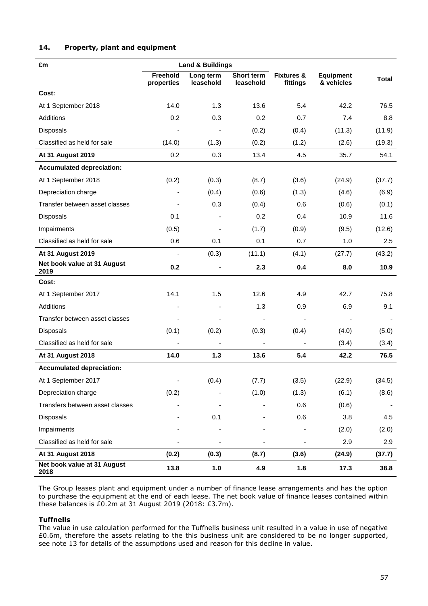# **14. Property, plant and equipment**

| £m                                  | <b>Land &amp; Buildings</b> |                              |                         |                                   |                                |              |
|-------------------------------------|-----------------------------|------------------------------|-------------------------|-----------------------------------|--------------------------------|--------------|
|                                     | Freehold<br>properties      | Long term<br>leasehold       | Short term<br>leasehold | <b>Fixtures &amp;</b><br>fittings | <b>Equipment</b><br>& vehicles | <b>Total</b> |
| Cost:                               |                             |                              |                         |                                   |                                |              |
| At 1 September 2018                 | 14.0                        | 1.3                          | 13.6                    | 5.4                               | 42.2                           | 76.5         |
| Additions                           | 0.2                         | 0.3                          | 0.2                     | 0.7                               | 7.4                            | 8.8          |
| <b>Disposals</b>                    |                             |                              | (0.2)                   | (0.4)                             | (11.3)                         | (11.9)       |
| Classified as held for sale         | (14.0)                      | (1.3)                        | (0.2)                   | (1.2)                             | (2.6)                          | (19.3)       |
| At 31 August 2019                   | 0.2                         | 0.3                          | 13.4                    | 4.5                               | 35.7                           | 54.1         |
| <b>Accumulated depreciation:</b>    |                             |                              |                         |                                   |                                |              |
| At 1 September 2018                 | (0.2)                       | (0.3)                        | (8.7)                   | (3.6)                             | (24.9)                         | (37.7)       |
| Depreciation charge                 |                             | (0.4)                        | (0.6)                   | (1.3)                             | (4.6)                          | (6.9)        |
| Transfer between asset classes      |                             | 0.3                          | (0.4)                   | 0.6                               | (0.6)                          | (0.1)        |
| Disposals                           | 0.1                         |                              | 0.2                     | 0.4                               | 10.9                           | 11.6         |
| Impairments                         | (0.5)                       |                              | (1.7)                   | (0.9)                             | (9.5)                          | (12.6)       |
| Classified as held for sale         | 0.6                         | 0.1                          | 0.1                     | 0.7                               | 1.0                            | 2.5          |
| <b>At 31 August 2019</b>            | $\blacksquare$              | (0.3)                        | (11.1)                  | (4.1)                             | (27.7)                         | (43.2)       |
| Net book value at 31 August<br>2019 | 0.2                         | $\blacksquare$               | 2.3                     | 0.4                               | 8.0                            | 10.9         |
| Cost:                               |                             |                              |                         |                                   |                                |              |
| At 1 September 2017                 | 14.1                        | 1.5                          | 12.6                    | 4.9                               | 42.7                           | 75.8         |
| Additions                           |                             |                              | 1.3                     | 0.9                               | 6.9                            | 9.1          |
| Transfer between asset classes      |                             |                              |                         |                                   |                                |              |
| Disposals                           | (0.1)                       | (0.2)                        | (0.3)                   | (0.4)                             | (4.0)                          | (5.0)        |
| Classified as held for sale         |                             |                              |                         |                                   | (3.4)                          | (3.4)        |
| At 31 August 2018                   | 14.0                        | $1.3$                        | 13.6                    | 5.4                               | 42.2                           | 76.5         |
| <b>Accumulated depreciation:</b>    |                             |                              |                         |                                   |                                |              |
| At 1 September 2017                 | $\overline{\phantom{a}}$    | (0.4)                        | (7.7)                   | (3.5)                             | (22.9)                         | (34.5)       |
| Depreciation charge                 | (0.2)                       |                              | (1.0)                   | (1.3)                             | (6.1)                          | (8.6)        |
| Transfers between asset classes     |                             |                              |                         | 0.6                               | (0.6)                          |              |
| Disposals                           |                             | 0.1                          |                         | 0.6                               | 3.8                            | 4.5          |
| Impairments                         |                             |                              |                         |                                   | (2.0)                          | (2.0)        |
| Classified as held for sale         |                             | $\qquad \qquad \blacksquare$ | ٠                       | $\overline{\phantom{a}}$          | 2.9                            | 2.9          |
| <b>At 31 August 2018</b>            | (0.2)                       | (0.3)                        | (8.7)                   | (3.6)                             | (24.9)                         | (37.7)       |
| Net book value at 31 August<br>2018 | 13.8                        | 1.0                          | 4.9                     | 1.8                               | 17.3                           | 38.8         |

The Group leases plant and equipment under a number of finance lease arrangements and has the option to purchase the equipment at the end of each lease. The net book value of finance leases contained within these balances is £0.2m at 31 August 2019 (2018: £3.7m).

# **Tuffnells**

The value in use calculation performed for the Tuffnells business unit resulted in a value in use of negative £0.6m, therefore the assets relating to the this business unit are considered to be no longer supported, see note 13 for details of the assumptions used and reason for this decline in value.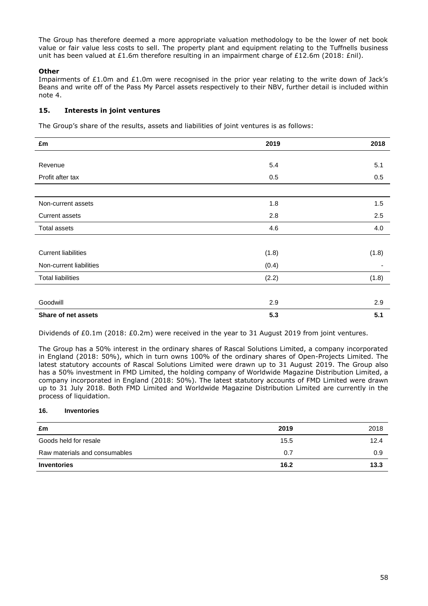The Group has therefore deemed a more appropriate valuation methodology to be the lower of net book value or fair value less costs to sell. The property plant and equipment relating to the Tuffnells business unit has been valued at £1.6m therefore resulting in an impairment charge of £12.6m (2018: £nil).

# **Other**

Impairments of £1.0m and £1.0m were recognised in the prior year relating to the write down of Jack's Beans and write off of the Pass My Parcel assets respectively to their NBV, further detail is included within note 4.

# **15. Interests in joint ventures**

The Group's share of the results, assets and liabilities of joint ventures is as follows:

| £m                         | 2019  | 2018  |
|----------------------------|-------|-------|
|                            |       |       |
| Revenue                    | 5.4   | 5.1   |
| Profit after tax           | 0.5   | 0.5   |
|                            |       |       |
| Non-current assets         | 1.8   | 1.5   |
| Current assets             | 2.8   | 2.5   |
| <b>Total assets</b>        | 4.6   | 4.0   |
|                            |       |       |
| <b>Current liabilities</b> | (1.8) | (1.8) |
| Non-current liabilities    | (0.4) |       |
| <b>Total liabilities</b>   | (2.2) | (1.8) |
|                            |       |       |
| Goodwill                   | 2.9   | 2.9   |
| Share of net assets        | 5.3   | 5.1   |

Dividends of £0.1m (2018: £0.2m) were received in the year to 31 August 2019 from joint ventures.

The Group has a 50% interest in the ordinary shares of Rascal Solutions Limited, a company incorporated in England (2018: 50%), which in turn owns 100% of the ordinary shares of Open-Projects Limited. The latest statutory accounts of Rascal Solutions Limited were drawn up to 31 August 2019. The Group also has a 50% investment in FMD Limited, the holding company of Worldwide Magazine Distribution Limited, a company incorporated in England (2018: 50%). The latest statutory accounts of FMD Limited were drawn up to 31 July 2018. Both FMD Limited and Worldwide Magazine Distribution Limited are currently in the process of liquidation.

# **16. Inventories**

| £m                            | 2019 | 2018 |
|-------------------------------|------|------|
| Goods held for resale         | 15.5 | 12.4 |
| Raw materials and consumables | 0.7  | 0.9  |
| <b>Inventories</b>            | 16.2 | 13.3 |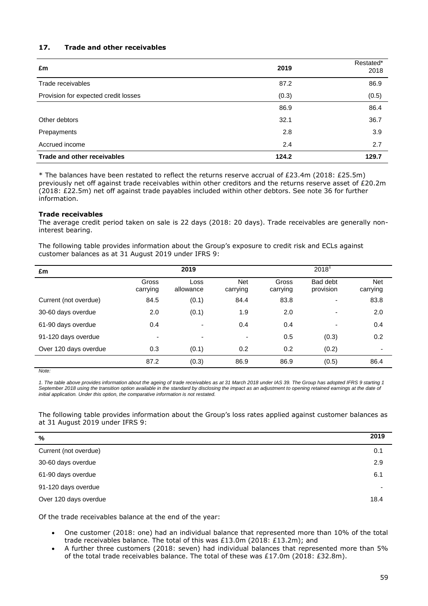# **17. Trade and other receivables**

| £m                                   | 2019  | Restated*<br>2018 |
|--------------------------------------|-------|-------------------|
| Trade receivables                    | 87.2  | 86.9              |
| Provision for expected credit losses | (0.3) | (0.5)             |
|                                      | 86.9  | 86.4              |
| Other debtors                        | 32.1  | 36.7              |
| Prepayments                          | 2.8   | 3.9               |
| Accrued income                       | 2.4   | 2.7               |
| Trade and other receivables          | 124.2 | 129.7             |

\* The balances have been restated to reflect the returns reserve accrual of £23.4m (2018: £25.5m) previously net off against trade receivables within other creditors and the returns reserve asset of £20.2m (2018: £22.5m) net off against trade payables included within other debtors. See note 36 for further information.

#### **Trade receivables**

The average credit period taken on sale is 22 days (2018: 20 days). Trade receivables are generally noninterest bearing.

The following table provides information about the Group's exposure to credit risk and ECLs against customer balances as at 31 August 2019 under IFRS 9:

| £m                    | 2019              |                   |                          |                   | $2018^1$                 |                        |
|-----------------------|-------------------|-------------------|--------------------------|-------------------|--------------------------|------------------------|
|                       | Gross<br>carrying | Loss<br>allowance | <b>Net</b><br>carrying   | Gross<br>carrying | Bad debt<br>provision    | <b>Net</b><br>carrying |
| Current (not overdue) | 84.5              | (0.1)             | 84.4                     | 83.8              | $\overline{\phantom{a}}$ | 83.8                   |
| 30-60 days overdue    | 2.0               | (0.1)             | 1.9                      | 2.0               | $\overline{\phantom{0}}$ | 2.0                    |
| 61-90 days overdue    | 0.4               | ٠                 | 0.4                      | 0.4               | $\overline{\phantom{a}}$ | 0.4                    |
| 91-120 days overdue   | ٠                 | ۰                 | $\overline{\phantom{a}}$ | 0.5               | (0.3)                    | 0.2                    |
| Over 120 days overdue | 0.3               | (0.1)             | 0.2                      | 0.2               | (0.2)                    | ٠                      |
|                       | 87.2              | (0.3)             | 86.9                     | 86.9              | (0.5)                    | 86.4                   |

*Note:*

*1. The table above provides information about the ageing of trade receivables as at 31 March 2018 under IAS 39. The Group has adopted IFRS 9 starting 1*  September 2018 using the transition option available in the standard by disclosing the impact as an adjustment to opening retained earnings at the date of *initial application. Under this option, the comparative information is not restated.*

The following table provides information about the Group's loss rates applied against customer balances as at 31 August 2019 under IFRS 9:

| %                     | 2019 |
|-----------------------|------|
| Current (not overdue) | 0.1  |
| 30-60 days overdue    | 2.9  |
| 61-90 days overdue    | 6.1  |
| 91-120 days overdue   |      |
| Over 120 days overdue | 18.4 |

Of the trade receivables balance at the end of the year:

- One customer (2018: one) had an individual balance that represented more than 10% of the total trade receivables balance. The total of this was £13.0m (2018: £13.2m); and
- A further three customers (2018: seven) had individual balances that represented more than 5% of the total trade receivables balance. The total of these was £17.0m (2018: £32.8m).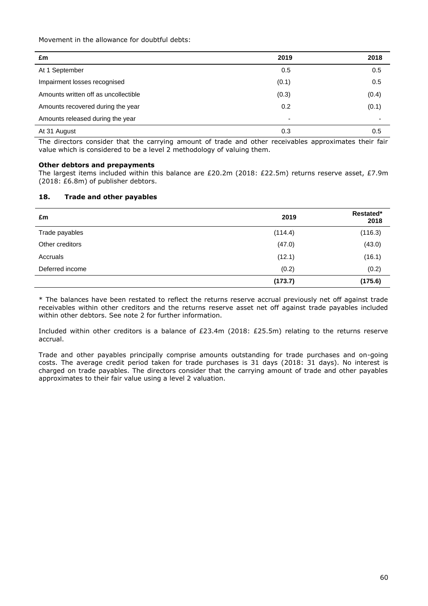Movement in the allowance for doubtful debts:

| £m                                   | 2019  | 2018           |
|--------------------------------------|-------|----------------|
| At 1 September                       | 0.5   | 0.5            |
| Impairment losses recognised         | (0.1) | 0.5            |
| Amounts written off as uncollectible | (0.3) | (0.4)          |
| Amounts recovered during the year    | 0.2   | (0.1)          |
| Amounts released during the year     | ٠     | $\overline{a}$ |
| At 31 August                         | 0.3   | 0.5            |

The directors consider that the carrying amount of trade and other receivables approximates their fair value which is considered to be a level 2 methodology of valuing them.

# **Other debtors and prepayments**

The largest items included within this balance are £20.2m (2018: £22.5m) returns reserve asset, £7.9m (2018: £6.8m) of publisher debtors.

# **18. Trade and other payables**

| £m              | 2019    | Restated*<br>2018 |
|-----------------|---------|-------------------|
| Trade payables  | (114.4) | (116.3)           |
| Other creditors | (47.0)  | (43.0)            |
| Accruals        | (12.1)  | (16.1)            |
| Deferred income | (0.2)   | (0.2)             |
|                 | (173.7) | (175.6)           |

\* The balances have been restated to reflect the returns reserve accrual previously net off against trade receivables within other creditors and the returns reserve asset net off against trade payables included within other debtors. See note 2 for further information.

Included within other creditors is a balance of £23.4m (2018: £25.5m) relating to the returns reserve accrual.

Trade and other payables principally comprise amounts outstanding for trade purchases and on-going costs. The average credit period taken for trade purchases is 31 days (2018: 31 days). No interest is charged on trade payables. The directors consider that the carrying amount of trade and other payables approximates to their fair value using a level 2 valuation.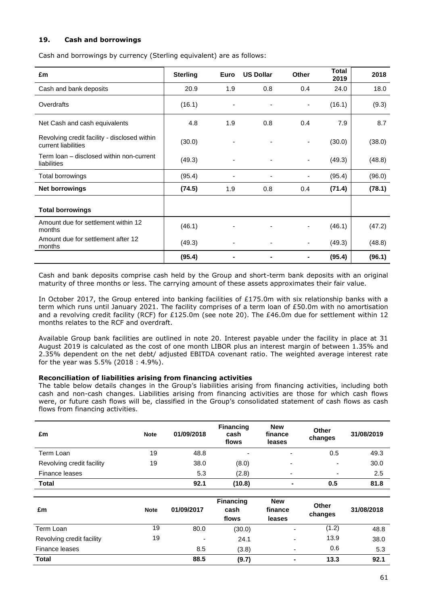# **19. Cash and borrowings**

Cash and borrowings by currency (Sterling equivalent) are as follows:

| £m                                                                  | <b>Sterling</b> | Euro | <b>US Dollar</b> | <b>Other</b>   | <b>Total</b><br>2019 | 2018   |
|---------------------------------------------------------------------|-----------------|------|------------------|----------------|----------------------|--------|
| Cash and bank deposits                                              | 20.9            | 1.9  | 0.8              | 0.4            | 24.0                 | 18.0   |
| Overdrafts                                                          | (16.1)          |      |                  | ٠              | (16.1)               | (9.3)  |
| Net Cash and cash equivalents                                       | 4.8             | 1.9  | 0.8              | 0.4            | 7.9                  | 8.7    |
| Revolving credit facility - disclosed within<br>current liabilities | (30.0)          |      |                  | $\overline{a}$ | (30.0)               | (38.0) |
| Term loan - disclosed within non-current<br>liabilities             | (49.3)          |      |                  |                | (49.3)               | (48.8) |
| <b>Total borrowings</b>                                             | (95.4)          |      |                  |                | (95.4)               | (96.0) |
| <b>Net borrowings</b>                                               | (74.5)          | 1.9  | 0.8              | 0.4            | (71.4)               | (78.1) |
| <b>Total borrowings</b>                                             |                 |      |                  |                |                      |        |
| Amount due for settlement within 12<br>months                       | (46.1)          |      |                  |                | (46.1)               | (47.2) |
| Amount due for settlement after 12<br>months                        | (49.3)          |      |                  | -              | (49.3)               | (48.8) |
|                                                                     | (95.4)          |      |                  |                | (95.4)               | (96.1) |

Cash and bank deposits comprise cash held by the Group and short-term bank deposits with an original maturity of three months or less. The carrying amount of these assets approximates their fair value.

In October 2017, the Group entered into banking facilities of £175.0m with six relationship banks with a term which runs until January 2021. The facility comprises of a term loan of £50.0m with no amortisation and a revolving credit facility (RCF) for £125.0m (see note 20). The £46.0m due for settlement within 12 months relates to the RCF and overdraft.

Available Group bank facilities are outlined in note 20. Interest payable under the facility in place at 31 August 2019 is calculated as the cost of one month LIBOR plus an interest margin of between 1.35% and 2.35% dependent on the net debt/ adjusted EBITDA covenant ratio. The weighted average interest rate for the year was 5.5% (2018 : 4.9%).

#### **Reconciliation of liabilities arising from financing activities**

The table below details changes in the Group's liabilities arising from financing activities, including both cash and non-cash changes. Liabilities arising from financing activities are those for which cash flows were, or future cash flows will be, classified in the Group's consolidated statement of cash flows as cash flows from financing activities.

| £m                        | <b>Note</b> | 01/09/2018 | <b>Financing</b><br>cash<br>flows | <b>New</b><br>finance<br>leases | Other<br>changes         | 31/08/2019 |
|---------------------------|-------------|------------|-----------------------------------|---------------------------------|--------------------------|------------|
| Term Loan                 | 19          | 48.8       | $\blacksquare$                    | $\overline{\phantom{a}}$        | 0.5                      | 49.3       |
| Revolving credit facility | 19          | 38.0       | (8.0)                             | $\overline{\phantom{0}}$        | $\overline{\phantom{0}}$ | 30.0       |
| Finance leases            |             | 5.3        | (2.8)                             | $\overline{\phantom{0}}$        | $\overline{\phantom{a}}$ | 2.5        |
| <b>Total</b>              |             | 92.1       | (10.8)                            | ۰                               | 0.5                      | 81.8       |

| £m                        | <b>Note</b> | 01/09/2017               | <b>Financing</b><br>cash<br>flows | <b>New</b><br>finance<br>leases | Other<br>changes | 31/08/2018 |
|---------------------------|-------------|--------------------------|-----------------------------------|---------------------------------|------------------|------------|
| Term Loan                 | 19          | 80.0                     | (30.0)                            | $\overline{\phantom{0}}$        | (1.2)            | 48.8       |
| Revolving credit facility | 19          | $\overline{\phantom{0}}$ | 24.1                              | ۰.                              | 13.9             | 38.0       |
| Finance leases            |             | 8.5                      | (3.8)                             | $\overline{\phantom{0}}$        | 0.6              | 5.3        |
| <b>Total</b>              |             | 88.5                     | (9.7)                             | $\blacksquare$                  | 13.3             | 92.1       |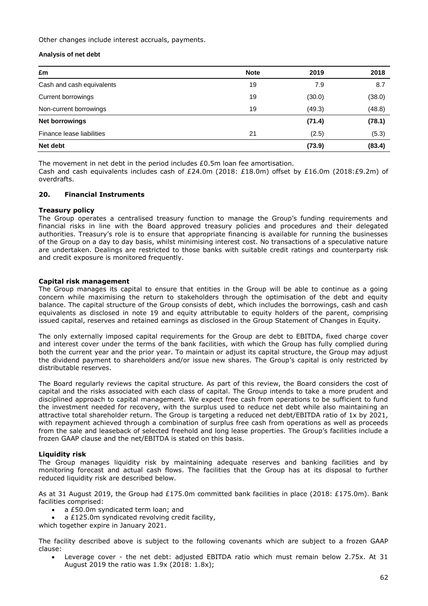Other changes include interest accruals, payments.

# **Analysis of net debt**

| £m                        | <b>Note</b> | 2019   | 2018   |
|---------------------------|-------------|--------|--------|
| Cash and cash equivalents | 19          | 7.9    | 8.7    |
| Current borrowings        | 19          | (30.0) | (38.0) |
| Non-current borrowings    | 19          | (49.3) | (48.8) |
| <b>Net borrowings</b>     |             | (71.4) | (78.1) |
| Finance lease liabilities | 21          | (2.5)  | (5.3)  |
| Net debt                  |             | (73.9) | (83.4) |

The movement in net debt in the period includes £0.5m loan fee amortisation.

Cash and cash equivalents includes cash of £24.0m (2018: £18.0m) offset by £16.0m (2018:£9.2m) of overdrafts.

# **20. Financial Instruments**

# **Treasury policy**

The Group operates a centralised treasury function to manage the Group's funding requirements and financial risks in line with the Board approved treasury policies and procedures and their delegated authorities. Treasury's role is to ensure that appropriate financing is available for running the businesses of the Group on a day to day basis, whilst minimising interest cost. No transactions of a speculative nature are undertaken. Dealings are restricted to those banks with suitable credit ratings and counterparty risk and credit exposure is monitored frequently.

# **Capital risk management**

The Group manages its capital to ensure that entities in the Group will be able to continue as a going concern while maximising the return to stakeholders through the optimisation of the debt and equity balance. The capital structure of the Group consists of debt, which includes the borrowings, cash and cash equivalents as disclosed in note 19 and equity attributable to equity holders of the parent, comprising issued capital, reserves and retained earnings as disclosed in the Group Statement of Changes in Equity.

The only externally imposed capital requirements for the Group are debt to EBITDA, fixed charge cover and interest cover under the terms of the bank facilities, with which the Group has fully complied during both the current year and the prior year. To maintain or adjust its capital structure, the Group may adjust the dividend payment to shareholders and/or issue new shares. The Group's capital is only restricted by distributable reserves.

The Board regularly reviews the capital structure. As part of this review, the Board considers the cost of capital and the risks associated with each class of capital. The Group intends to take a more prudent and disciplined approach to capital management. We expect free cash from operations to be sufficient to fund the investment needed for recovery, with the surplus used to reduce net debt while also maintaining an attractive total shareholder return. The Group is targeting a reduced net debt/EBITDA ratio of 1x by 2021, with repayment achieved through a combination of surplus free cash from operations as well as proceeds from the sale and leaseback of selected freehold and long lease properties. The Group's facilities include a frozen GAAP clause and the net/EBITDA is stated on this basis.

# **Liquidity risk**

The Group manages liquidity risk by maintaining adequate reserves and banking facilities and by monitoring forecast and actual cash flows. The facilities that the Group has at its disposal to further reduced liquidity risk are described below.

As at 31 August 2019, the Group had £175.0m committed bank facilities in place (2018: £175.0m). Bank facilities comprised:

- a £50.0m syndicated term loan; and
- a £125.0m syndicated revolving credit facility,
- which together expire in January 2021.

The facility described above is subject to the following covenants which are subject to a frozen GAAP clause:

 Leverage cover - the net debt: adjusted EBITDA ratio which must remain below 2.75x. At 31 August 2019 the ratio was 1.9x (2018: 1.8x);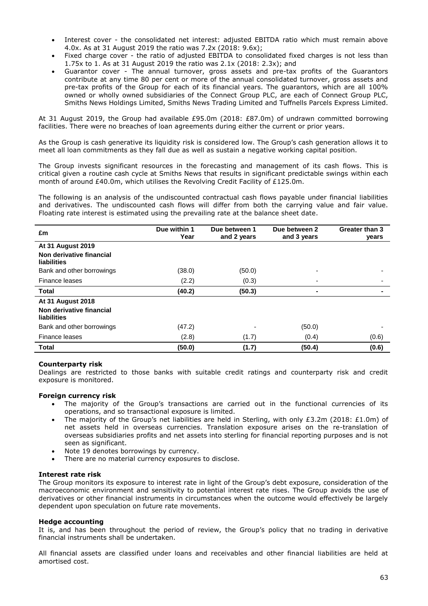- Interest cover the consolidated net interest: adjusted EBITDA ratio which must remain above 4.0x. As at 31 August 2019 the ratio was 7.2x (2018: 9.6x);
- Fixed charge cover the ratio of adjusted EBITDA to consolidated fixed charges is not less than 1.75x to 1. As at 31 August 2019 the ratio was 2.1x (2018: 2.3x); and
- Guarantor cover The annual turnover, gross assets and pre-tax profits of the Guarantors contribute at any time 80 per cent or more of the annual consolidated turnover, gross assets and pre-tax profits of the Group for each of its financial years. The guarantors, which are all 100% owned or wholly owned subsidiaries of the Connect Group PLC, are each of Connect Group PLC, Smiths News Holdings Limited, Smiths News Trading Limited and Tuffnells Parcels Express Limited.

At 31 August 2019, the Group had available £95.0m (2018: £87.0m) of undrawn committed borrowing facilities. There were no breaches of loan agreements during either the current or prior years.

As the Group is cash generative its liquidity risk is considered low. The Group's cash generation allows it to meet all loan commitments as they fall due as well as sustain a negative working capital position.

The Group invests significant resources in the forecasting and management of its cash flows. This is critical given a routine cash cycle at Smiths News that results in significant predictable swings within each month of around £40.0m, which utilises the Revolving Credit Facility of £125.0m.

The following is an analysis of the undiscounted contractual cash flows payable under financial liabilities and derivatives. The undiscounted cash flows will differ from both the carrying value and fair value. Floating rate interest is estimated using the prevailing rate at the balance sheet date.

| £m                                                                  | Due within 1<br>Year | Due between 1<br>and 2 years | Due between 2<br>and 3 years | Greater than 3<br>years |
|---------------------------------------------------------------------|----------------------|------------------------------|------------------------------|-------------------------|
| <b>At 31 August 2019</b><br>Non derivative financial<br>liabilities |                      |                              |                              |                         |
| Bank and other borrowings                                           | (38.0)               | (50.0)                       |                              |                         |
| Finance leases                                                      | (2.2)                | (0.3)                        |                              |                         |
| <b>Total</b>                                                        | (40.2)               | (50.3)                       |                              |                         |
| <b>At 31 August 2018</b><br>Non derivative financial<br>liabilities |                      |                              |                              |                         |
| Bank and other borrowings                                           | (47.2)               |                              | (50.0)                       |                         |
| Finance leases                                                      | (2.8)                | (1.7)                        | (0.4)                        | (0.6)                   |
| Total                                                               | (50.0)               | (1.7)                        | (50.4)                       | (0.6)                   |

# **Counterparty risk**

Dealings are restricted to those banks with suitable credit ratings and counterparty risk and credit exposure is monitored.

# **Foreign currency risk**

- The majority of the Group's transactions are carried out in the functional currencies of its operations, and so transactional exposure is limited.
- The majority of the Group's net liabilities are held in Sterling, with only £3.2m (2018: £1.0m) of net assets held in overseas currencies. Translation exposure arises on the re-translation of overseas subsidiaries profits and net assets into sterling for financial reporting purposes and is not seen as significant.
- Note 19 denotes borrowings by currency.
- There are no material currency exposures to disclose.

#### **Interest rate risk**

The Group monitors its exposure to interest rate in light of the Group's debt exposure, consideration of the macroeconomic environment and sensitivity to potential interest rate rises. The Group avoids the use of derivatives or other financial instruments in circumstances when the outcome would effectively be largely dependent upon speculation on future rate movements.

#### **Hedge accounting**

It is, and has been throughout the period of review, the Group's policy that no trading in derivative financial instruments shall be undertaken.

All financial assets are classified under loans and receivables and other financial liabilities are held at amortised cost.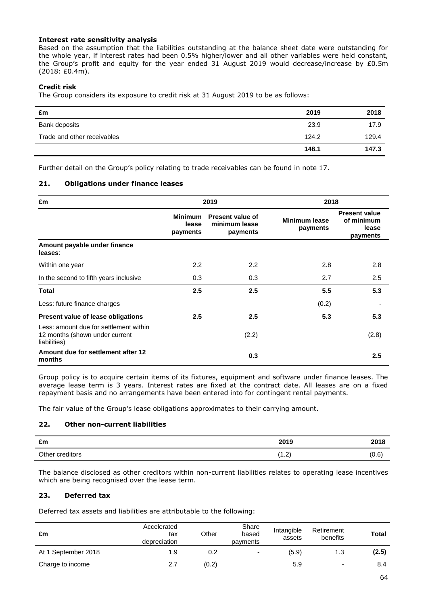# **Interest rate sensitivity analysis**

Based on the assumption that the liabilities outstanding at the balance sheet date were outstanding for the whole year, if interest rates had been 0.5% higher/lower and all other variables were held constant, the Group's profit and equity for the year ended 31 August 2019 would decrease/increase by £0.5m (2018: £0.4m).

# **Credit risk**

The Group considers its exposure to credit risk at 31 August 2019 to be as follows:

| £m                          | 2019  | 2018  |
|-----------------------------|-------|-------|
| Bank deposits               | 23.9  | 17.9  |
| Trade and other receivables | 124.2 | 129.4 |
|                             | 148.1 | 147.3 |

Further detail on the Group's policy relating to trade receivables can be found in note 17.

# **21. Obligations under finance leases**

| £m                                                                                       |                                     | 2019                                                                              | 2018  |                                                         |
|------------------------------------------------------------------------------------------|-------------------------------------|-----------------------------------------------------------------------------------|-------|---------------------------------------------------------|
|                                                                                          | <b>Minimum</b><br>lease<br>payments | <b>Present value of</b><br>Minimum lease<br>minimum lease<br>payments<br>payments |       | <b>Present value</b><br>of minimum<br>lease<br>payments |
| Amount payable under finance<br>leases:                                                  |                                     |                                                                                   |       |                                                         |
| Within one year                                                                          | 2.2                                 | 2.2                                                                               | 2.8   | 2.8                                                     |
| In the second to fifth years inclusive                                                   | 0.3                                 | 0.3                                                                               | 2.7   | 2.5                                                     |
| Total                                                                                    | 2.5                                 | 2.5                                                                               | 5.5   | 5.3                                                     |
| Less: future finance charges                                                             |                                     |                                                                                   | (0.2) |                                                         |
| Present value of lease obligations                                                       | 2.5                                 | 2.5                                                                               | 5.3   | 5.3                                                     |
| Less: amount due for settlement within<br>12 months (shown under current<br>liabilities) |                                     | (2.2)                                                                             |       | (2.8)                                                   |
| Amount due for settlement after 12<br>months                                             |                                     | 0.3                                                                               |       | 2.5                                                     |

Group policy is to acquire certain items of its fixtures, equipment and software under finance leases. The average lease term is 3 years. Interest rates are fixed at the contract date. All leases are on a fixed repayment basis and no arrangements have been entered into for contingent rental payments.

The fair value of the Group's lease obligations approximates to their carrying amount.

# **22. Other non-current liabilities**

| £m                       | 2019                    | 2018  |
|--------------------------|-------------------------|-------|
| <br>Other u<br>creditors | $\sim$<br>, I<br>$\sim$ | (0.6) |

The balance disclosed as other creditors within non-current liabilities relates to operating lease incentives which are being recognised over the lease term.

# **23. Deferred tax**

Deferred tax assets and liabilities are attributable to the following:

| £m                  | Accelerated<br>tax<br>depreciation | Other | Share<br>based<br>payments | Intangible<br>assets | Retirement<br>benefits   | <b>Total</b> |
|---------------------|------------------------------------|-------|----------------------------|----------------------|--------------------------|--------------|
| At 1 September 2018 | 1.9                                | 0.2   | -                          | (5.9)                | 1.3                      | (2.5)        |
| Charge to income    | 2.7                                | (0.2) |                            | 5.9                  | $\overline{\phantom{0}}$ | 8.4          |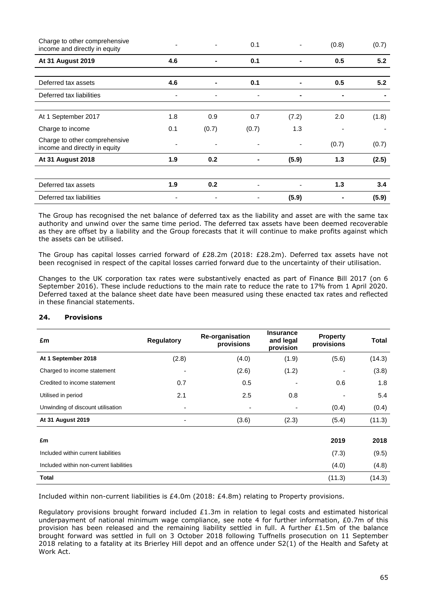| Charge to other comprehensive<br>income and directly in equity |     | ٠     | 0.1                      |       | (0.8) | (0.7) |
|----------------------------------------------------------------|-----|-------|--------------------------|-------|-------|-------|
| At 31 August 2019                                              | 4.6 |       | 0.1                      |       | 0.5   | 5.2   |
|                                                                |     |       |                          |       |       |       |
| Deferred tax assets                                            | 4.6 | ٠     | 0.1                      |       | 0.5   | 5.2   |
| Deferred tax liabilities                                       |     |       |                          |       |       |       |
|                                                                |     |       |                          |       |       |       |
| At 1 September 2017                                            | 1.8 | 0.9   | 0.7                      | (7.2) | 2.0   | (1.8) |
| Charge to income                                               | 0.1 | (0.7) | (0.7)                    | 1.3   |       |       |
| Charge to other comprehensive<br>income and directly in equity |     |       |                          |       | (0.7) | (0.7) |
| <b>At 31 August 2018</b>                                       | 1.9 | 0.2   | ۰                        | (5.9) | 1.3   | (2.5) |
|                                                                |     |       |                          |       |       |       |
| Deferred tax assets                                            | 1.9 | 0.2   | $\overline{\phantom{a}}$ |       | 1.3   | 3.4   |
| Deferred tax liabilities                                       |     |       |                          | (5.9) |       | (5.9) |

The Group has recognised the net balance of deferred tax as the liability and asset are with the same tax authority and unwind over the same time period. The deferred tax assets have been deemed recoverable as they are offset by a liability and the Group forecasts that it will continue to make profits against which the assets can be utilised.

The Group has capital losses carried forward of £28.2m (2018: £28.2m). Deferred tax assets have not been recognised in respect of the capital losses carried forward due to the uncertainty of their utilisation.

Changes to the UK corporation tax rates were substantively enacted as part of Finance Bill 2017 (on 6 September 2016). These include reductions to the main rate to reduce the rate to 17% from 1 April 2020. Deferred taxed at the balance sheet date have been measured using these enacted tax rates and reflected in these financial statements.

| £m                                      | <b>Regulatory</b>        | <b>Re-organisation</b><br>provisions | <b>Insurance</b><br>and legal<br>provision | <b>Property</b><br>provisions | <b>Total</b> |
|-----------------------------------------|--------------------------|--------------------------------------|--------------------------------------------|-------------------------------|--------------|
| At 1 September 2018                     | (2.8)                    | (4.0)                                | (1.9)                                      | (5.6)                         | (14.3)       |
| Charged to income statement             |                          | (2.6)                                | (1.2)                                      |                               | (3.8)        |
| Credited to income statement            | 0.7                      | 0.5                                  |                                            | 0.6                           | 1.8          |
| Utilised in period                      | 2.1                      | 2.5                                  | 0.8                                        |                               | 5.4          |
| Unwinding of discount utilisation       | ٠                        | ۰                                    |                                            | (0.4)                         | (0.4)        |
| At 31 August 2019                       | $\overline{\phantom{a}}$ | (3.6)                                | (2.3)                                      | (5.4)                         | (11.3)       |
| £m                                      |                          |                                      |                                            | 2019                          | 2018         |
| Included within current liabilities     |                          |                                      |                                            | (7.3)                         | (9.5)        |
| Included within non-current liabilities |                          |                                      |                                            | (4.0)                         | (4.8)        |
| Total                                   |                          |                                      |                                            | (11.3)                        | (14.3)       |

# **24. Provisions**

Included within non-current liabilities is £4.0m (2018: £4.8m) relating to Property provisions.

Regulatory provisions brought forward included £1.3m in relation to legal costs and estimated historical underpayment of national minimum wage compliance, see note 4 for further information, £0.7m of this provision has been released and the remaining liability settled in full. A further £1.5m of the balance brought forward was settled in full on 3 October 2018 following Tuffnells prosecution on 11 September 2018 relating to a fatality at its Brierley Hill depot and an offence under S2(1) of the Health and Safety at Work Act.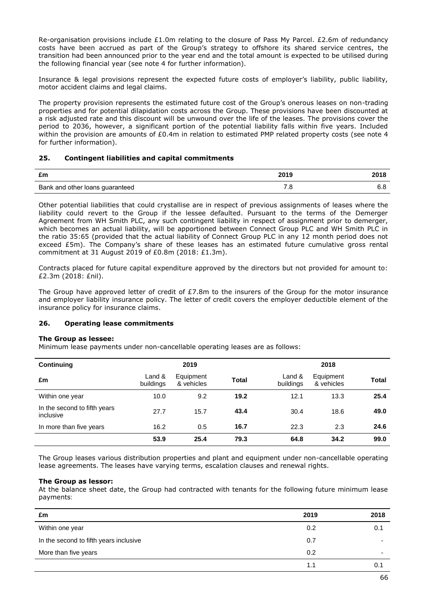Re-organisation provisions include £1.0m relating to the closure of Pass My Parcel. £2.6m of redundancy costs have been accrued as part of the Group's strategy to offshore its shared service centres, the transition had been announced prior to the year end and the total amount is expected to be utilised during the following financial year (see note 4 for further information).

Insurance & legal provisions represent the expected future costs of employer's liability, public liability, motor accident claims and legal claims.

The property provision represents the estimated future cost of the Group's onerous leases on non-trading properties and for potential dilapidation costs across the Group. These provisions have been discounted at a risk adjusted rate and this discount will be unwound over the life of the leases. The provisions cover the period to 2036, however, a significant portion of the potential liability falls within five years. Included within the provision are amounts of £0.4m in relation to estimated PMP related property costs (see note 4 for further information).

# **25. Contingent liabilities and capital commitments**

| £m                              | 2019 | 2018 |
|---------------------------------|------|------|
| Bank and other loans guaranteed |      |      |

Other potential liabilities that could crystallise are in respect of previous assignments of leases where the liability could revert to the Group if the lessee defaulted. Pursuant to the terms of the Demerger Agreement from WH Smith PLC, any such contingent liability in respect of assignment prior to demerger, which becomes an actual liability, will be apportioned between Connect Group PLC and WH Smith PLC in the ratio 35:65 (provided that the actual liability of Connect Group PLC in any 12 month period does not exceed £5m). The Company's share of these leases has an estimated future cumulative gross rental commitment at 31 August 2019 of £0.8m (2018: £1.3m).

Contracts placed for future capital expenditure approved by the directors but not provided for amount to: £2.3m (2018: £nil).

The Group have approved letter of credit of  $E7.8m$  to the insurers of the Group for the motor insurance and employer liability insurance policy. The letter of credit covers the employer deductible element of the insurance policy for insurance claims.

# **26. Operating lease commitments**

# **The Group as lessee:**

Minimum lease payments under non-cancellable operating leases are as follows:

| <b>Continuing</b>                         |                     | 2019                    |              | 2018                |                         |              |
|-------------------------------------------|---------------------|-------------------------|--------------|---------------------|-------------------------|--------------|
| £m                                        | Land &<br>buildings | Equipment<br>& vehicles | <b>Total</b> | Land &<br>buildings | Equipment<br>& vehicles | <b>Total</b> |
| Within one year                           | 10.0                | 9.2                     | 19.2         | 12.1                | 13.3                    | 25.4         |
| In the second to fifth years<br>inclusive | 27.7                | 15.7                    | 43.4         | 30.4                | 18.6                    | 49.0         |
| In more than five years                   | 16.2                | 0.5                     | 16.7         | 22.3                | 2.3                     | 24.6         |
|                                           | 53.9                | 25.4                    | 79.3         | 64.8                | 34.2                    | 99.0         |

The Group leases various distribution properties and plant and equipment under non-cancellable operating lease agreements. The leases have varying terms, escalation clauses and renewal rights.

# **The Group as lessor:**

At the balance sheet date, the Group had contracted with tenants for the following future minimum lease payments:

| £m                                     | 2019 | 2018 |
|----------------------------------------|------|------|
| Within one year                        | 0.2  | 0.1  |
| In the second to fifth years inclusive | 0.7  | -    |
| More than five years                   | 0.2  | -    |
|                                        | 1.1  | 0.7  |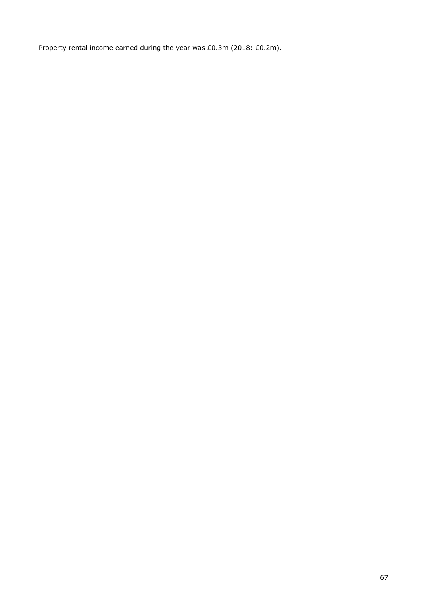Property rental income earned during the year was £0.3m (2018: £0.2m).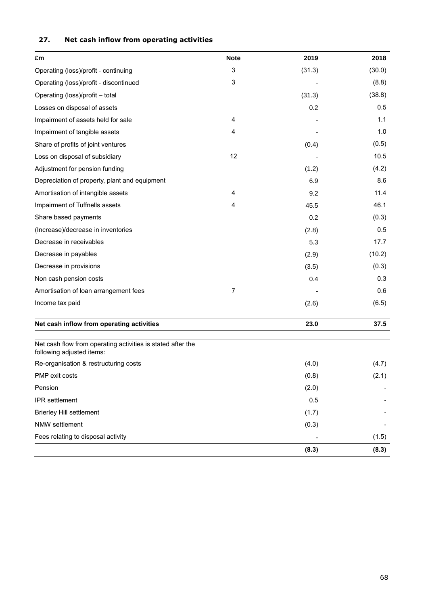| £m                                                                                       | <b>Note</b>               | 2019   | 2018   |
|------------------------------------------------------------------------------------------|---------------------------|--------|--------|
| Operating (loss)/profit - continuing                                                     | 3                         | (31.3) | (30.0) |
| Operating (loss)/profit - discontinued                                                   | $\ensuremath{\mathsf{3}}$ |        | (8.8)  |
| Operating (loss)/profit - total                                                          |                           | (31.3) | (38.8) |
| Losses on disposal of assets                                                             |                           | 0.2    | 0.5    |
| Impairment of assets held for sale                                                       | 4                         |        | 1.1    |
| Impairment of tangible assets                                                            | 4                         |        | 1.0    |
| Share of profits of joint ventures                                                       |                           | (0.4)  | (0.5)  |
| Loss on disposal of subsidiary                                                           | 12                        |        | 10.5   |
| Adjustment for pension funding                                                           |                           | (1.2)  | (4.2)  |
| Depreciation of property, plant and equipment                                            |                           | 6.9    | 8.6    |
| Amortisation of intangible assets                                                        | 4                         | 9.2    | 11.4   |
| Impairment of Tuffnells assets                                                           | 4                         | 45.5   | 46.1   |
| Share based payments                                                                     |                           | 0.2    | (0.3)  |
| (Increase)/decrease in inventories                                                       |                           | (2.8)  | 0.5    |
| Decrease in receivables                                                                  |                           | 5.3    | 17.7   |
| Decrease in payables                                                                     |                           | (2.9)  | (10.2) |
| Decrease in provisions                                                                   |                           | (3.5)  | (0.3)  |
| Non cash pension costs                                                                   |                           | 0.4    | 0.3    |
| Amortisation of loan arrangement fees                                                    | 7                         |        | 0.6    |
| Income tax paid                                                                          |                           | (2.6)  | (6.5)  |
| Net cash inflow from operating activities                                                |                           | 23.0   | 37.5   |
| Net cash flow from operating activities is stated after the<br>following adjusted items: |                           |        |        |
| Re-organisation & restructuring costs                                                    |                           | (4.0)  | (4.7)  |
| PMP exit costs                                                                           |                           | (0.8)  | (2.1)  |
| Pension                                                                                  |                           | (2.0)  |        |
| IPR settlement                                                                           |                           | 0.5    |        |
| <b>Brierley Hill settlement</b>                                                          |                           | (1.7)  |        |
| NMW settlement                                                                           |                           | (0.3)  |        |
| Fees relating to disposal activity                                                       |                           |        | (1.5)  |
|                                                                                          |                           | (8.3)  | (8.3)  |

# **27. Net cash inflow from operating activities**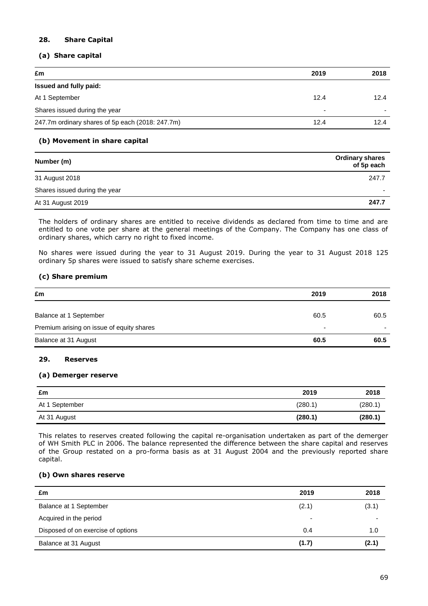# **28. Share Capital**

# **(a) Share capital**

| £m                                               | 2019 | 2018 |
|--------------------------------------------------|------|------|
| Issued and fully paid:                           |      |      |
| At 1 September                                   | 12.4 | 12.4 |
| Shares issued during the year                    | -    |      |
| 247.7m ordinary shares of 5p each (2018: 247.7m) | 12.4 | 12.4 |

# **(b) Movement in share capital**

| Number (m)                    | <b>Ordinary shares</b><br>of 5p each |
|-------------------------------|--------------------------------------|
| 31 August 2018                | 247.7                                |
| Shares issued during the year |                                      |
| At 31 August 2019             | 247.7                                |

The holders of ordinary shares are entitled to receive dividends as declared from time to time and are entitled to one vote per share at the general meetings of the Company. The Company has one class of ordinary shares, which carry no right to fixed income.

No shares were issued during the year to 31 August 2019. During the year to 31 August 2018 125 ordinary 5p shares were issued to satisfy share scheme exercises.

# **(c) Share premium**

| £m                                        | 2019 | 2018 |
|-------------------------------------------|------|------|
| Balance at 1 September                    | 60.5 | 60.5 |
| Premium arising on issue of equity shares | -    |      |
| Balance at 31 August                      | 60.5 | 60.5 |

# **29. Reserves**

# **(a) Demerger reserve**

| £m             | 2019    | 2018    |
|----------------|---------|---------|
| At 1 September | (280.1) | (280.1) |
| At 31 August   | (280.1) | (280.1) |

This relates to reserves created following the capital re-organisation undertaken as part of the demerger of WH Smith PLC in 2006. The balance represented the difference between the share capital and reserves of the Group restated on a pro-forma basis as at 31 August 2004 and the previously reported share capital.

# **(b) Own shares reserve**

| £m                                 | 2019                     | 2018  |
|------------------------------------|--------------------------|-------|
| Balance at 1 September             | (2.1)                    | (3.1) |
| Acquired in the period             | $\overline{\phantom{0}}$ |       |
| Disposed of on exercise of options | 0.4                      | 1.0   |
| Balance at 31 August               | (1.7)                    | (2.1) |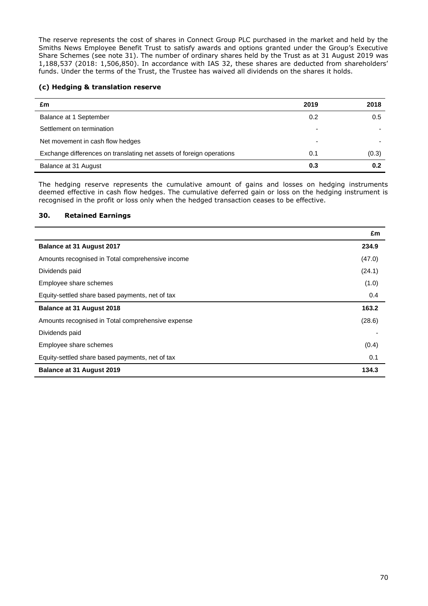The reserve represents the cost of shares in Connect Group PLC purchased in the market and held by the Smiths News Employee Benefit Trust to satisfy awards and options granted under the Group's Executive Share Schemes (see note 31). The number of ordinary shares held by the Trust as at 31 August 2019 was 1,188,537 (2018: 1,506,850). In accordance with IAS 32, these shares are deducted from shareholders' funds. Under the terms of the Trust, the Trustee has waived all dividends on the shares it holds.

# **(c) Hedging & translation reserve**

| £m                                                                   | 2019 | 2018  |
|----------------------------------------------------------------------|------|-------|
| Balance at 1 September                                               | 0.2  | 0.5   |
| Settlement on termination                                            |      |       |
| Net movement in cash flow hedges                                     |      |       |
| Exchange differences on translating net assets of foreign operations | 0.1  | (0.3) |
| Balance at 31 August                                                 | 0.3  | 0.2   |

The hedging reserve represents the cumulative amount of gains and losses on hedging instruments deemed effective in cash flow hedges. The cumulative deferred gain or loss on the hedging instrument is recognised in the profit or loss only when the hedged transaction ceases to be effective.

# **30. Retained Earnings**

J.

|                                                   | £m     |
|---------------------------------------------------|--------|
| <b>Balance at 31 August 2017</b>                  | 234.9  |
| Amounts recognised in Total comprehensive income  | (47.0) |
| Dividends paid                                    | (24.1) |
| Employee share schemes                            | (1.0)  |
| Equity-settled share based payments, net of tax   | 0.4    |
| Balance at 31 August 2018                         | 163.2  |
| Amounts recognised in Total comprehensive expense | (28.6) |
| Dividends paid                                    |        |
| Employee share schemes                            | (0.4)  |
| Equity-settled share based payments, net of tax   | 0.1    |
| <b>Balance at 31 August 2019</b>                  | 134.3  |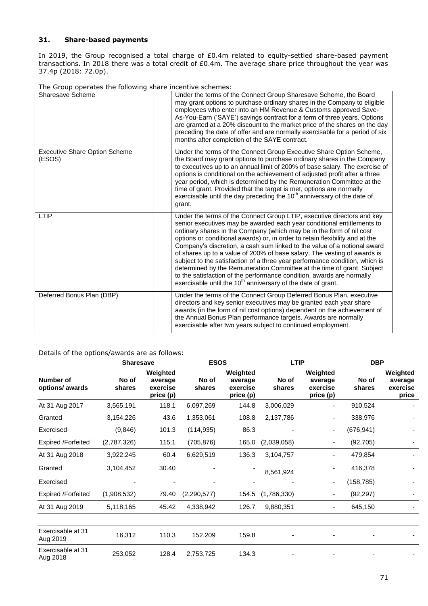# **31. Share-based payments**

In 2019, the Group recognised a total charge of £0.4m related to equity-settled share-based payment transactions. In 2018 there was a total credit of £0.4m. The average share price throughout the year was 37.4p (2018: 72.0p).

| The order operates the rollowing share internate sendines. |                                                                                                                                                                                                                                                                                                                                                                                                                                                                                                                                                                                                                                                                                                                                                                                |
|------------------------------------------------------------|--------------------------------------------------------------------------------------------------------------------------------------------------------------------------------------------------------------------------------------------------------------------------------------------------------------------------------------------------------------------------------------------------------------------------------------------------------------------------------------------------------------------------------------------------------------------------------------------------------------------------------------------------------------------------------------------------------------------------------------------------------------------------------|
| Sharesave Scheme                                           | Under the terms of the Connect Group Sharesave Scheme, the Board<br>may grant options to purchase ordinary shares in the Company to eligible<br>employees who enter into an HM Revenue & Customs approved Save-<br>As-You-Earn ('SAYE') savings contract for a term of three years. Options<br>are granted at a 20% discount to the market price of the shares on the day<br>preceding the date of offer and are normally exercisable for a period of six<br>months after completion of the SAYE contract.                                                                                                                                                                                                                                                                     |
| <b>Executive Share Option Scheme</b><br>(ESOS)             | Under the terms of the Connect Group Executive Share Option Scheme,<br>the Board may grant options to purchase ordinary shares in the Company<br>to executives up to an annual limit of 200% of base salary. The exercise of<br>options is conditional on the achievement of adjusted profit after a three<br>year period, which is determined by the Remuneration Committee at the<br>time of grant. Provided that the target is met, options are normally<br>exercisable until the day preceding the 10 <sup>th</sup> anniversary of the date of<br>grant.                                                                                                                                                                                                                   |
| LTIP                                                       | Under the terms of the Connect Group LTIP, executive directors and key<br>senior executives may be awarded each year conditional entitlements to<br>ordinary shares in the Company (which may be in the form of nil cost<br>options or conditional awards) or, in order to retain flexibility and at the<br>Company's discretion, a cash sum linked to the value of a notional award<br>of shares up to a value of 200% of base salary. The vesting of awards is<br>subject to the satisfaction of a three year performance condition, which is<br>determined by the Remuneration Committee at the time of grant. Subject<br>to the satisfaction of the performance condition, awards are normally<br>exercisable until the 10 <sup>th</sup> anniversary of the date of grant. |
| Deferred Bonus Plan (DBP)                                  | Under the terms of the Connect Group Deferred Bonus Plan, executive<br>directors and key senior executives may be granted each year share<br>awards (in the form of nil cost options) dependent on the achievement of<br>the Annual Bonus Plan performance targets. Awards are normally<br>exercisable after two years subject to continued employment.                                                                                                                                                                                                                                                                                                                                                                                                                        |

#### The Group operates the following share incentive schemes:

# Details of the options/awards are as follows:

|                 |                                              | <b>ESOS</b>      |                                              | <b>LTIP</b>     |                                              | <b>DBP</b>      |                                          |
|-----------------|----------------------------------------------|------------------|----------------------------------------------|-----------------|----------------------------------------------|-----------------|------------------------------------------|
| No of<br>shares | Weighted<br>average<br>exercise<br>price (p) | No of<br>shares  | Weighted<br>average<br>exercise<br>price (p) | No of<br>shares | Weighted<br>average<br>exercise<br>price (p) | No of<br>shares | Weighted<br>average<br>exercise<br>price |
| 3,565,191       | 118.1                                        | 6,097,269        | 144.8                                        | 3,006,029       | ۰                                            | 910,524         |                                          |
| 3,154,226       | 43.6                                         | 1,353,061        | 108.8                                        | 2,137,786       | ٠                                            | 338,976         |                                          |
| (9,846)         | 101.3                                        | (114, 935)       | 86.3                                         |                 | ۰                                            | (676, 941)      |                                          |
| (2,787,326)     | 115.1                                        | (705, 876)       | 165.0                                        | (2,039,058)     |                                              | (92, 705)       |                                          |
| 3,922,245       | 60.4                                         | 6,629,519        | 136.3                                        | 3,104,757       |                                              | 479,854         |                                          |
| 3,104,452       | 30.40                                        |                  |                                              | 8,561,924       |                                              | 416,378         |                                          |
|                 |                                              |                  |                                              |                 | -                                            | (158, 785)      |                                          |
| (1,908,532)     | 79.40                                        | (2, 290, 577)    | 154.5                                        | (1,786,330)     | ۰                                            | (92, 297)       |                                          |
| 5,118,165       | 45.42                                        | 4,338,942        | 126.7                                        | 9,880,351       | ۰                                            | 645,150         |                                          |
|                 |                                              |                  |                                              |                 |                                              |                 |                                          |
| 16,312          | 110.3                                        | 152,209          | 159.8                                        |                 |                                              |                 |                                          |
| 253,052         | 128.4                                        | 2,753,725        | 134.3                                        |                 |                                              |                 |                                          |
|                 |                                              | <b>Sharesave</b> |                                              |                 |                                              |                 |                                          |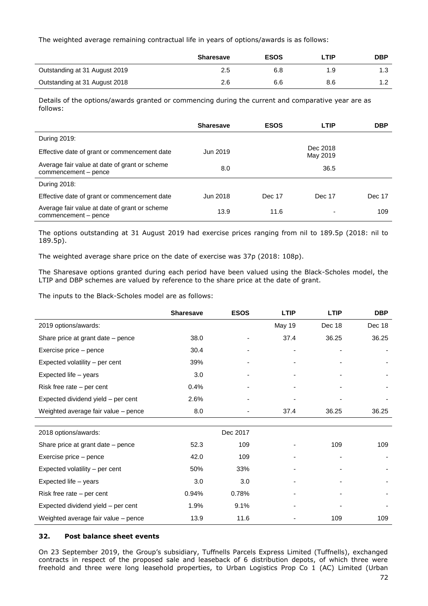The weighted average remaining contractual life in years of options/awards is as follows:

|                               | <b>Sharesave</b> | <b>ESOS</b> | ∟TIP. | <b>DBP</b> |
|-------------------------------|------------------|-------------|-------|------------|
| Outstanding at 31 August 2019 | 2.5              | 6.8         | 1.9   | 1.3        |
| Outstanding at 31 August 2018 | 2.6              | 6.6         | 8.6   |            |

Details of the options/awards granted or commencing during the current and comparative year are as follows:

|                                                                       | <b>Sharesave</b> | <b>ESOS</b> | <b>LTIP</b>          | <b>DBP</b> |
|-----------------------------------------------------------------------|------------------|-------------|----------------------|------------|
| During 2019:                                                          |                  |             |                      |            |
| Effective date of grant or commencement date                          | Jun 2019         |             | Dec 2018<br>May 2019 |            |
| Average fair value at date of grant or scheme<br>commencement - pence | 8.0              |             | 36.5                 |            |
| During 2018:                                                          |                  |             |                      |            |
| Effective date of grant or commencement date                          | Jun 2018         | Dec 17      | Dec 17               | Dec 17     |
| Average fair value at date of grant or scheme<br>commencement - pence | 13.9             | 11.6        |                      | 109        |

The options outstanding at 31 August 2019 had exercise prices ranging from nil to 189.5p (2018: nil to 189.5p).

The weighted average share price on the date of exercise was 37p (2018: 108p).

The Sharesave options granted during each period have been valued using the Black-Scholes model, the LTIP and DBP schemes are valued by reference to the share price at the date of grant.

The inputs to the Black-Scholes model are as follows:

|                                     | <b>Sharesave</b> | <b>ESOS</b> | <b>LTIP</b> | <b>LTIP</b> | <b>DBP</b> |
|-------------------------------------|------------------|-------------|-------------|-------------|------------|
| 2019 options/awards:                |                  |             | May 19      | Dec 18      | Dec 18     |
| Share price at grant date - pence   | 38.0             |             | 37.4        | 36.25       | 36.25      |
| Exercise price – pence              | 30.4             |             |             |             |            |
| Expected volatility - per cent      | 39%              |             |             |             |            |
| Expected life - years               | 3.0              |             |             |             |            |
| Risk free rate – per cent           | 0.4%             |             |             |             |            |
| Expected dividend yield - per cent  | 2.6%             |             |             |             |            |
| Weighted average fair value - pence | 8.0              |             | 37.4        | 36.25       | 36.25      |
|                                     |                  |             |             |             |            |
| 2018 options/awards:                |                  | Dec 2017    |             |             |            |
| Share price at grant date - pence   | 52.3             | 109         |             | 109         | 109        |
| Exercise price - pence              | 42.0             | 109         |             |             |            |
| Expected volatility - per cent      | 50%              | 33%         |             |             |            |
| Expected life - years               | 3.0              | 3.0         |             |             |            |
| Risk free rate – per cent           | 0.94%            | 0.78%       |             |             |            |
| Expected dividend yield - per cent  | 1.9%             | 9.1%        |             |             |            |
| Weighted average fair value - pence | 13.9             | 11.6        |             | 109         | 109        |

# **32. Post balance sheet events**

On 23 September 2019, the Group's subsidiary, Tuffnells Parcels Express Limited (Tuffnells), exchanged contracts in respect of the proposed sale and leaseback of 6 distribution depots, of which three were freehold and three were long leasehold properties, to Urban Logistics Prop Co 1 (AC) Limited (Urban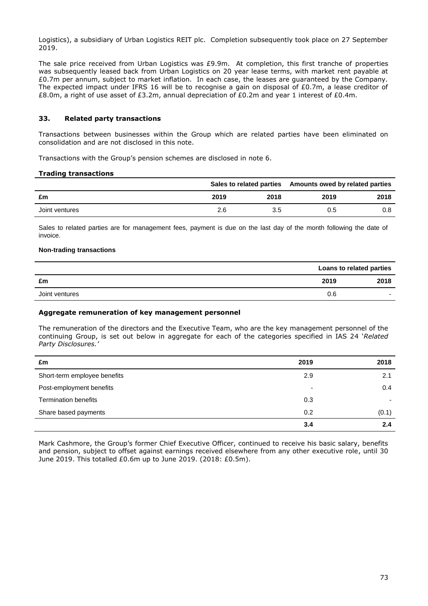Logistics), a subsidiary of Urban Logistics REIT plc. Completion subsequently took place on 27 September 2019.

The sale price received from Urban Logistics was £9.9m. At completion, this first tranche of properties was subsequently leased back from Urban Logistics on 20 year lease terms, with market rent payable at £0.7m per annum, subject to market inflation. In each case, the leases are guaranteed by the Company. The expected impact under IFRS 16 will be to recognise a gain on disposal of  $E0.7m$ , a lease creditor of £8.0m, a right of use asset of £3.2m, annual depreciation of £0.2m and year 1 interest of £0.4m.

# **33. Related party transactions**

Transactions between businesses within the Group which are related parties have been eliminated on consolidation and are not disclosed in this note.

Transactions with the Group's pension schemes are disclosed in note 6.

#### **Trading transactions**

|                |      |      | Sales to related parties Amounts owed by related parties |      |
|----------------|------|------|----------------------------------------------------------|------|
| £m             | 2019 | 2018 | 2019                                                     | 2018 |
| Joint ventures | 2.6  | 3.5  | 0.5                                                      | 0.8  |

Sales to related parties are for management fees, payment is due on the last day of the month following the date of invoice.

# **Non-trading transactions**

|                |      | Loans to related parties |
|----------------|------|--------------------------|
| £m             | 2019 | 2018                     |
| Joint ventures | 0.6  | $\overline{\phantom{0}}$ |

## **Aggregate remuneration of key management personnel**

The remuneration of the directors and the Executive Team, who are the key management personnel of the continuing Group, is set out below in aggregate for each of the categories specified in IAS 24 '*Related Party Disclosures.'*

| £m                           | 2019 | 2018  |
|------------------------------|------|-------|
| Short-term employee benefits | 2.9  | 2.1   |
| Post-employment benefits     | ۰    | 0.4   |
| <b>Termination benefits</b>  | 0.3  |       |
| Share based payments         | 0.2  | (0.1) |
|                              | 3.4  | 2.4   |

Mark Cashmore, the Group's former Chief Executive Officer, continued to receive his basic salary, benefits and pension, subject to offset against earnings received elsewhere from any other executive role, until 30 June 2019. This totalled £0.6m up to June 2019. (2018: £0.5m).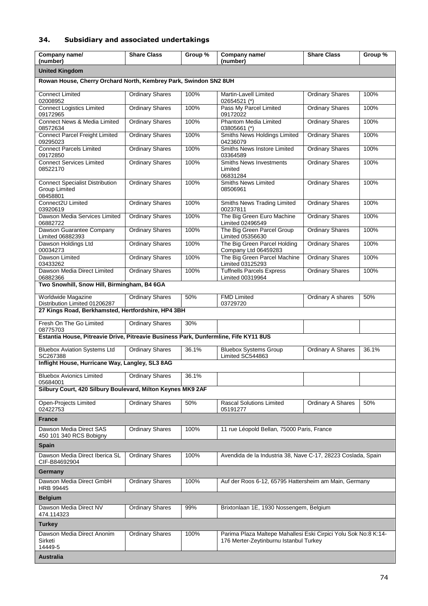# **34. Subsidiary and associated undertakings**

| Company name/<br>(number)                                                            | <b>Share Class</b>     | Group % | Company name/<br>(number)                                                                                 | <b>Share Class</b>       | Group % |
|--------------------------------------------------------------------------------------|------------------------|---------|-----------------------------------------------------------------------------------------------------------|--------------------------|---------|
| <b>United Kingdom</b>                                                                |                        |         |                                                                                                           |                          |         |
| Rowan House, Cherry Orchard North, Kembrey Park, Swindon SN2 8UH                     |                        |         |                                                                                                           |                          |         |
| <b>Connect Limited</b><br>02008952                                                   | <b>Ordinary Shares</b> | 100%    | <b>Martin-Lavell Limited</b><br>02654521 (*)                                                              | <b>Ordinary Shares</b>   | 100%    |
| <b>Connect Logistics Limited</b>                                                     | <b>Ordinary Shares</b> | 100%    | Pass My Parcel Limited                                                                                    | <b>Ordinary Shares</b>   | 100%    |
| 09172965<br>Connect News & Media Limited<br>08572634                                 | <b>Ordinary Shares</b> | 100%    | 09172022<br><b>Phantom Media Limited</b><br>03805661 (*)                                                  | <b>Ordinary Shares</b>   | 100%    |
| <b>Connect Parcel Freight Limited</b><br>09295023                                    | <b>Ordinary Shares</b> | 100%    | Smiths News Holdings Limited<br>04236079                                                                  | <b>Ordinary Shares</b>   | 100%    |
| <b>Connect Parcels Limited</b><br>09172850                                           | <b>Ordinary Shares</b> | 100%    | Smiths News Instore Limited<br>03364589                                                                   | <b>Ordinary Shares</b>   | 100%    |
| <b>Connect Services Limited</b><br>08522170                                          | <b>Ordinary Shares</b> | 100%    | <b>Smiths News Investments</b><br>Limited<br>06831284                                                     | <b>Ordinary Shares</b>   | 100%    |
| <b>Connect Specialist Distribution</b><br><b>Group Limited</b><br>08458801           | <b>Ordinary Shares</b> | 100%    | <b>Smiths News Limited</b><br>08506961                                                                    | <b>Ordinary Shares</b>   | 100%    |
| Connect2U Limited<br>03920619                                                        | <b>Ordinary Shares</b> | 100%    | Smiths News Trading Limited<br>00237811                                                                   | <b>Ordinary Shares</b>   | 100%    |
| Dawson Media Services Limited<br>06882722                                            | <b>Ordinary Shares</b> | 100%    | The Big Green Euro Machine<br>Limited 02496549                                                            | <b>Ordinary Shares</b>   | 100%    |
| Dawson Guarantee Company<br>Limited 06882393                                         | <b>Ordinary Shares</b> | 100%    | The Big Green Parcel Group<br>Limited 05356630                                                            | <b>Ordinary Shares</b>   | 100%    |
| Dawson Holdings Ltd<br>00034273                                                      | <b>Ordinary Shares</b> | 100%    | The Big Green Parcel Holding<br>Company Ltd 06459283                                                      | <b>Ordinary Shares</b>   | 100%    |
| Dawson Limited<br>03433262                                                           | <b>Ordinary Shares</b> | 100%    | The Big Green Parcel Machine<br>Limited 03125293                                                          | <b>Ordinary Shares</b>   | 100%    |
| Dawson Media Direct Limited<br>06882366                                              | <b>Ordinary Shares</b> | 100%    | <b>Tuffnells Parcels Express</b><br>Limited 00319964                                                      | <b>Ordinary Shares</b>   | 100%    |
| Two Snowhill, Snow Hill, Birmingham, B4 6GA                                          |                        |         |                                                                                                           |                          |         |
| Worldwide Magazine<br>Distribution Limited 01206287                                  | Ordinary Shares        | 50%     | <b>FMD Limited</b><br>03729720                                                                            | Ordinary A shares        | 50%     |
| 27 Kings Road, Berkhamsted, Hertfordshire, HP4 3BH                                   |                        |         |                                                                                                           |                          |         |
| Fresh On The Go Limited<br>08775703                                                  | <b>Ordinary Shares</b> | 30%     |                                                                                                           |                          |         |
| Estantia House, Pitreavie Drive, Pitreavie Business Park, Dunfermline, Fife KY11 8US |                        |         |                                                                                                           |                          |         |
| <b>Bluebox Aviation Systems Ltd</b><br>SC267388                                      | <b>Ordinary Shares</b> | 36.1%   | <b>Bluebox Systems Group</b><br>Limited SC544863                                                          | <b>Ordinary A Shares</b> | 36.1%   |
| Inflight House, Hurricane Way, Langley, SL3 8AG                                      |                        |         |                                                                                                           |                          |         |
| <b>Bluebox Avionics Limited</b><br>05684001                                          | <b>Ordinary Shares</b> | 36.1%   |                                                                                                           |                          |         |
| Silbury Court, 420 Silbury Boulevard, Milton Keynes MK9 2AF                          |                        |         |                                                                                                           |                          |         |
| Open-Projects Limited<br>02422753                                                    | <b>Ordinary Shares</b> | 50%     | <b>Rascal Solutions Limited</b><br>05191277                                                               | Ordinary A Shares        | 50%     |
| <b>France</b>                                                                        |                        |         |                                                                                                           |                          |         |
| Dawson Media Direct SAS<br>450 101 340 RCS Bobigny                                   | <b>Ordinary Shares</b> | 100%    | 11 rue Léopold Bellan, 75000 Paris, France                                                                |                          |         |
| <b>Spain</b>                                                                         |                        |         |                                                                                                           |                          |         |
| Dawson Media Direct Iberica SL<br>CIF-B84692904                                      | <b>Ordinary Shares</b> | 100%    | Avendida de la Industria 38, Nave C-17, 28223 Coslada, Spain                                              |                          |         |
| Germany                                                                              |                        |         |                                                                                                           |                          |         |
| Dawson Media Direct GmbH<br><b>HRB 99445</b>                                         | <b>Ordinary Shares</b> | 100%    | Auf der Roos 6-12, 65795 Hattersheim am Main, Germany                                                     |                          |         |
| <b>Belgium</b>                                                                       |                        |         |                                                                                                           |                          |         |
| Dawson Media Direct NV<br>474.114323                                                 | <b>Ordinary Shares</b> | 99%     | Brixtonlaan 1E, 1930 Nossengem, Belgium                                                                   |                          |         |
| <b>Turkey</b>                                                                        |                        |         |                                                                                                           |                          |         |
| Dawson Media Direct Anonim<br>Sirketi                                                | <b>Ordinary Shares</b> | 100%    | Parima Plaza Maltepe Mahallesi Eski Cirpici Yolu Sok No:8 K:14-<br>176 Merter-Zeytinburnu Istanbul Turkey |                          |         |
| 14449-5<br><b>Australia</b>                                                          |                        |         |                                                                                                           |                          |         |
|                                                                                      |                        |         |                                                                                                           |                          |         |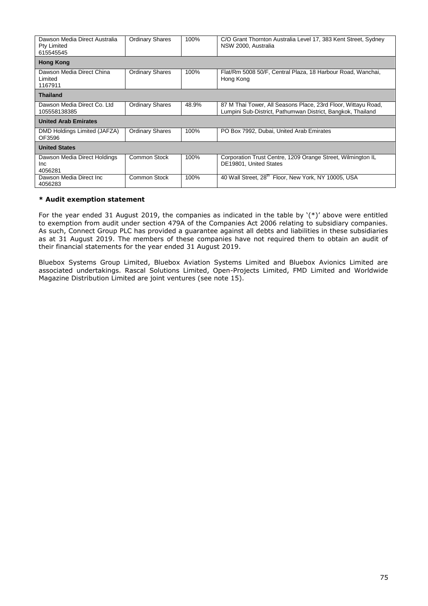| Dawson Media Direct Australia<br>Pty Limited<br>615545545 | <b>Ordinary Shares</b> | 100%  | C/O Grant Thornton Australia Level 17, 383 Kent Street, Sydney<br>NSW 2000, Australia                                        |  |
|-----------------------------------------------------------|------------------------|-------|------------------------------------------------------------------------------------------------------------------------------|--|
| <b>Hong Kong</b>                                          |                        |       |                                                                                                                              |  |
| Dawson Media Direct China<br>Limited<br>1167911           | <b>Ordinary Shares</b> | 100%  | Flat/Rm 5008 50/F, Central Plaza, 18 Harbour Road, Wanchai,<br>Hong Kong                                                     |  |
| <b>Thailand</b>                                           |                        |       |                                                                                                                              |  |
| Dawson Media Direct Co. Ltd<br>105558138385               | <b>Ordinary Shares</b> | 48.9% | 87 M Thai Tower, All Seasons Place, 23rd Floor, Wittayu Road,<br>Lumpini Sub-District, Pathumwan District, Bangkok, Thailand |  |
| <b>United Arab Emirates</b>                               |                        |       |                                                                                                                              |  |
| DMD Holdings Limited (JAFZA)<br>OF3596                    | <b>Ordinary Shares</b> | 100%  | PO Box 7992, Dubai, United Arab Emirates                                                                                     |  |
| <b>United States</b>                                      |                        |       |                                                                                                                              |  |
| Dawson Media Direct Holdings<br><b>Inc</b><br>4056281     | <b>Common Stock</b>    | 100%  | Corporation Trust Centre, 1209 Orange Street, Wilmington IL<br>DE19801, United States                                        |  |
| Dawson Media Direct Inc.<br>4056283                       | Common Stock           | 100%  | 40 Wall Street, 28 <sup>th</sup> Floor, New York, NY 10005, USA                                                              |  |

# **\* Audit exemption statement**

For the year ended 31 August 2019, the companies as indicated in the table by '(\*)' above were entitled to exemption from audit under section 479A of the Companies Act 2006 relating to subsidiary companies. As such, Connect Group PLC has provided a guarantee against all debts and liabilities in these subsidiaries as at 31 August 2019. The members of these companies have not required them to obtain an audit of their financial statements for the year ended 31 August 2019.

Bluebox Systems Group Limited, Bluebox Aviation Systems Limited and Bluebox Avionics Limited are associated undertakings. Rascal Solutions Limited, Open-Projects Limited, FMD Limited and Worldwide Magazine Distribution Limited are joint ventures (see note 15).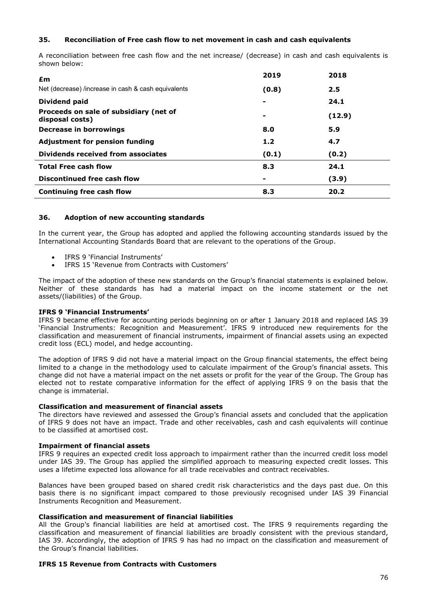# **35. Reconciliation of Free cash flow to net movement in cash and cash equivalents**

A reconciliation between free cash flow and the net increase/ (decrease) in cash and cash equivalents is shown below:

| £m                                                        | 2019  | 2018   |
|-----------------------------------------------------------|-------|--------|
| Net (decrease) /increase in cash & cash equivalents       | (0.8) | 2.5    |
| Dividend paid                                             |       | 24.1   |
| Proceeds on sale of subsidiary (net of<br>disposal costs) |       | (12.9) |
| Decrease in borrowings                                    | 8.0   | 5.9    |
| <b>Adjustment for pension funding</b>                     | 1.2   | 4.7    |
| Dividends received from associates                        | (0.1) | (0.2)  |
| <b>Total Free cash flow</b>                               | 8.3   | 24.1   |
| Discontinued free cash flow                               |       | (3.9)  |
| Continuing free cash flow                                 | 8.3   | 20.2   |

# **36. Adoption of new accounting standards**

In the current year, the Group has adopted and applied the following accounting standards issued by the International Accounting Standards Board that are relevant to the operations of the Group.

- IFRS 9 'Financial Instruments'
- IFRS 15 'Revenue from Contracts with Customers'

The impact of the adoption of these new standards on the Group's financial statements is explained below. Neither of these standards has had a material impact on the income statement or the net assets/(liabilities) of the Group.

# **IFRS 9 'Financial Instruments'**

IFRS 9 became effective for accounting periods beginning on or after 1 January 2018 and replaced IAS 39 'Financial Instruments: Recognition and Measurement'. IFRS 9 introduced new requirements for the classification and measurement of financial instruments, impairment of financial assets using an expected credit loss (ECL) model, and hedge accounting.

The adoption of IFRS 9 did not have a material impact on the Group financial statements, the effect being limited to a change in the methodology used to calculate impairment of the Group's financial assets. This change did not have a material impact on the net assets or profit for the year of the Group. The Group has elected not to restate comparative information for the effect of applying IFRS 9 on the basis that the change is immaterial.

# **Classification and measurement of financial assets**

The directors have reviewed and assessed the Group's financial assets and concluded that the application of IFRS 9 does not have an impact. Trade and other receivables, cash and cash equivalents will continue to be classified at amortised cost.

## **Impairment of financial assets**

IFRS 9 requires an expected credit loss approach to impairment rather than the incurred credit loss model under IAS 39. The Group has applied the simplified approach to measuring expected credit losses. This uses a lifetime expected loss allowance for all trade receivables and contract receivables.

Balances have been grouped based on shared credit risk characteristics and the days past due. On this basis there is no significant impact compared to those previously recognised under IAS 39 Financial Instruments Recognition and Measurement.

## **Classification and measurement of financial liabilities**

All the Group's financial liabilities are held at amortised cost. The IFRS 9 requirements regarding the classification and measurement of financial liabilities are broadly consistent with the previous standard, IAS 39. Accordingly, the adoption of IFRS 9 has had no impact on the classification and measurement of the Group's financial liabilities.

## **IFRS 15 Revenue from Contracts with Customers**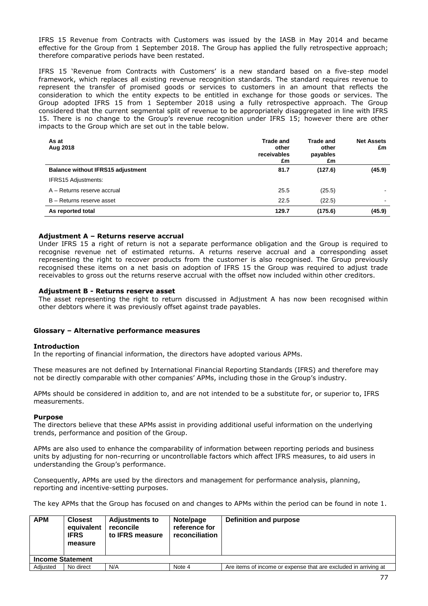IFRS 15 Revenue from Contracts with Customers was issued by the IASB in May 2014 and became effective for the Group from 1 September 2018. The Group has applied the fully retrospective approach; therefore comparative periods have been restated.

IFRS 15 'Revenue from Contracts with Customers' is a new standard based on a five-step model framework, which replaces all existing revenue recognition standards. The standard requires revenue to represent the transfer of promised goods or services to customers in an amount that reflects the consideration to which the entity expects to be entitled in exchange for those goods or services. The Group adopted IFRS 15 from 1 September 2018 using a fully retrospective approach. The Group considered that the current segmental split of revenue to be appropriately disaggregated in line with IFRS 15. There is no change to the Group's revenue recognition under IFRS 15; however there are other impacts to the Group which are set out in the table below.

| As at<br>Aug 2018                        | <b>Trade and</b><br>other<br>receivables<br>£m | <b>Trade and</b><br>other<br>payables<br>£m | <b>Net Assets</b><br>£m |
|------------------------------------------|------------------------------------------------|---------------------------------------------|-------------------------|
| <b>Balance without IFRS15 adjustment</b> | 81.7                                           | (127.6)                                     | (45.9)                  |
| <b>IFRS15 Adjustments:</b>               |                                                |                                             |                         |
| A – Returns reserve accrual              | 25.5                                           | (25.5)                                      |                         |
| B - Returns reserve asset                | 22.5                                           | (22.5)                                      | $\blacksquare$          |
| As reported total                        | 129.7                                          | (175.6)                                     | (45.9)                  |

# **Adjustment A – Returns reserve accrual**

Under IFRS 15 a right of return is not a separate performance obligation and the Group is required to recognise revenue net of estimated returns. A returns reserve accrual and a corresponding asset representing the right to recover products from the customer is also recognised. The Group previously recognised these items on a net basis on adoption of IFRS 15 the Group was required to adjust trade receivables to gross out the returns reserve accrual with the offset now included within other creditors.

## **Adjustment B - Returns reserve asset**

The asset representing the right to return discussed in Adjustment A has now been recognised within other debtors where it was previously offset against trade payables.

## **Glossary – Alternative performance measures**

## **Introduction**

In the reporting of financial information, the directors have adopted various APMs.

These measures are not defined by International Financial Reporting Standards (IFRS) and therefore may not be directly comparable with other companies' APMs, including those in the Group's industry.

APMs should be considered in addition to, and are not intended to be a substitute for, or superior to, IFRS measurements.

## **Purpose**

The directors believe that these APMs assist in providing additional useful information on the underlying trends, performance and position of the Group.

APMs are also used to enhance the comparability of information between reporting periods and business units by adjusting for non-recurring or uncontrollable factors which affect IFRS measures, to aid users in understanding the Group's performance.

Consequently, APMs are used by the directors and management for performance analysis, planning, reporting and incentive-setting purposes.

The key APMs that the Group has focused on and changes to APMs within the period can be found in note 1.

| <b>APM</b>              | <b>Closest</b><br>equivalent<br><b>IFRS</b><br>measure | <b>Adjustments to</b><br>reconcile<br>to IFRS measure | Note/page<br>reference for<br>reconciliation | Definition and purpose                                          |
|-------------------------|--------------------------------------------------------|-------------------------------------------------------|----------------------------------------------|-----------------------------------------------------------------|
| <b>Income Statement</b> |                                                        |                                                       |                                              |                                                                 |
| Adiusted                | No direct                                              | N/A                                                   | Note 4                                       | Are items of income or expense that are excluded in arriving at |
|                         |                                                        |                                                       |                                              |                                                                 |